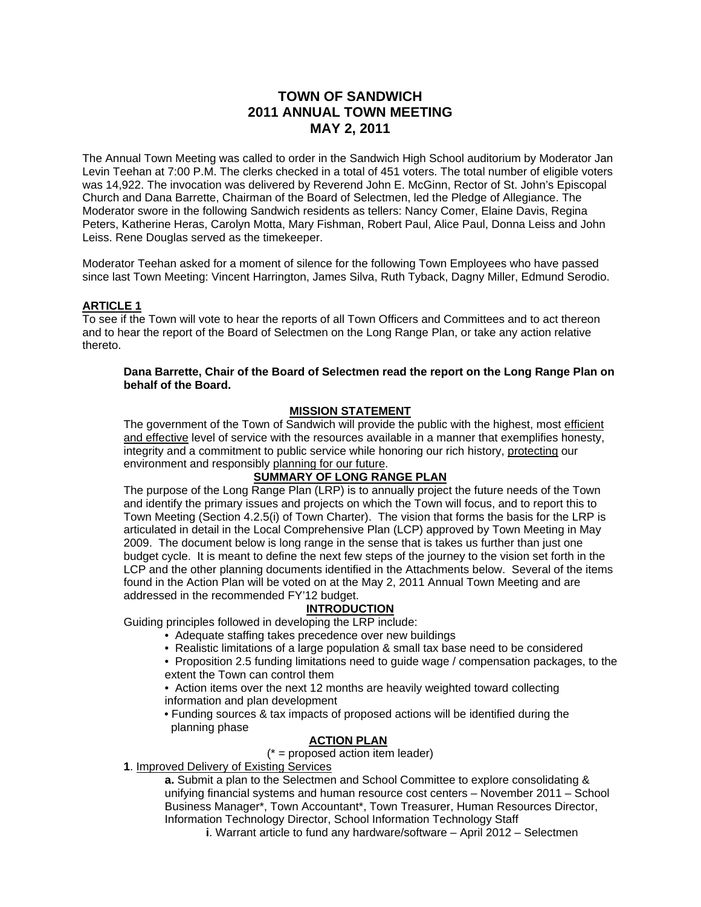# **TOWN OF SANDWICH 2011 ANNUAL TOWN MEETING MAY 2, 2011**

The Annual Town Meeting was called to order in the Sandwich High School auditorium by Moderator Jan Levin Teehan at 7:00 P.M. The clerks checked in a total of 451 voters. The total number of eligible voters was 14,922. The invocation was delivered by Reverend John E. McGinn, Rector of St. John's Episcopal Church and Dana Barrette, Chairman of the Board of Selectmen, led the Pledge of Allegiance. The Moderator swore in the following Sandwich residents as tellers: Nancy Comer, Elaine Davis, Regina Peters, Katherine Heras, Carolyn Motta, Mary Fishman, Robert Paul, Alice Paul, Donna Leiss and John Leiss. Rene Douglas served as the timekeeper.

Moderator Teehan asked for a moment of silence for the following Town Employees who have passed since last Town Meeting: Vincent Harrington, James Silva, Ruth Tyback, Dagny Miller, Edmund Serodio.

#### **ARTICLE 1**

To see if the Town will vote to hear the reports of all Town Officers and Committees and to act thereon and to hear the report of the Board of Selectmen on the Long Range Plan, or take any action relative thereto.

#### **Dana Barrette, Chair of the Board of Selectmen read the report on the Long Range Plan on behalf of the Board.**

#### **MISSION STATEMENT**

The government of the Town of Sandwich will provide the public with the highest, most efficient and effective level of service with the resources available in a manner that exemplifies honesty, integrity and a commitment to public service while honoring our rich history, protecting our environment and responsibly planning for our future.

## **SUMMARY OF LONG RANGE PLAN**

The purpose of the Long Range Plan (LRP) is to annually project the future needs of the Town and identify the primary issues and projects on which the Town will focus, and to report this to Town Meeting (Section 4.2.5(i) of Town Charter). The vision that forms the basis for the LRP is articulated in detail in the Local Comprehensive Plan (LCP) approved by Town Meeting in May 2009. The document below is long range in the sense that is takes us further than just one budget cycle. It is meant to define the next few steps of the journey to the vision set forth in the LCP and the other planning documents identified in the Attachments below. Several of the items found in the Action Plan will be voted on at the May 2, 2011 Annual Town Meeting and are addressed in the recommended FY'12 budget.

## **INTRODUCTION**

Guiding principles followed in developing the LRP include:

- Adequate staffing takes precedence over new buildings
- Realistic limitations of a large population & small tax base need to be considered
- Proposition 2.5 funding limitations need to guide wage / compensation packages, to the extent the Town can control them
- Action items over the next 12 months are heavily weighted toward collecting information and plan development
- Funding sources & tax impacts of proposed actions will be identified during the planning phase

#### **ACTION PLAN**

 $(* =$  proposed action item leader)

**1**. Improved Delivery of Existing Services

**a.** Submit a plan to the Selectmen and School Committee to explore consolidating & unifying financial systems and human resource cost centers – November 2011 – School Business Manager\*, Town Accountant\*, Town Treasurer, Human Resources Director, Information Technology Director, School Information Technology Staff

**i**. Warrant article to fund any hardware/software – April 2012 – Selectmen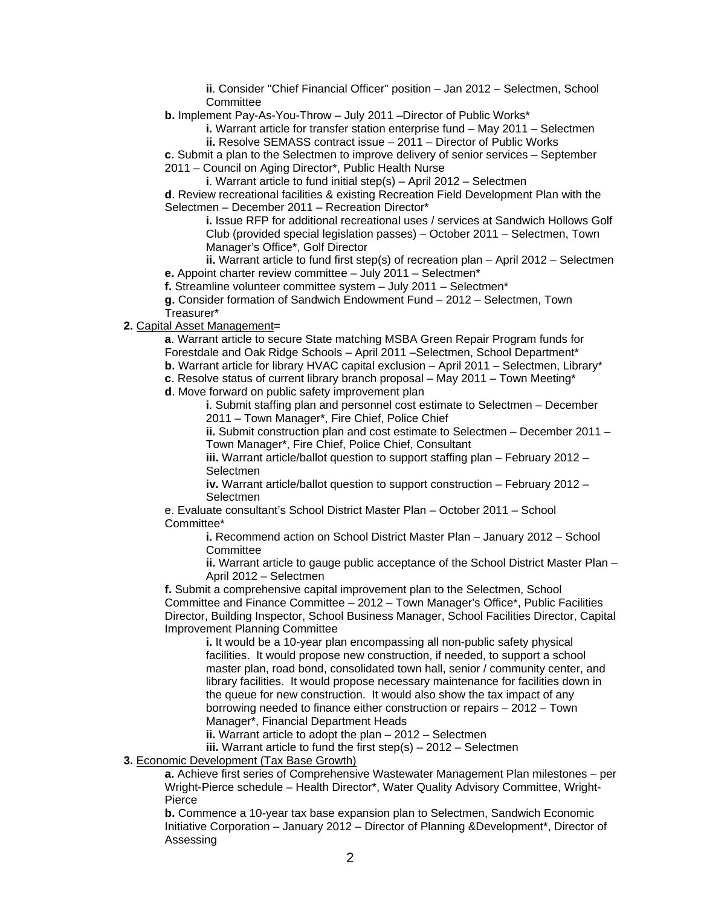**ii**. Consider "Chief Financial Officer" position – Jan 2012 – Selectmen, School **Committee** 

**b.** Implement Pay-As-You-Throw – July 2011 –Director of Public Works\*

**i.** Warrant article for transfer station enterprise fund – May 2011 – Selectmen

**ii.** Resolve SEMASS contract issue – 2011 – Director of Public Works

**c**. Submit a plan to the Selectmen to improve delivery of senior services – September 2011 – Council on Aging Director\*, Public Health Nurse

**i**. Warrant article to fund initial step(s) – April 2012 – Selectmen

**d**. Review recreational facilities & existing Recreation Field Development Plan with the Selectmen – December 2011 – Recreation Director\*

**i.** Issue RFP for additional recreational uses / services at Sandwich Hollows Golf Club (provided special legislation passes) – October 2011 – Selectmen, Town Manager's Office\*, Golf Director

**ii.** Warrant article to fund first step(s) of recreation plan – April 2012 – Selectmen **e.** Appoint charter review committee – July 2011 – Selectmen\*

**f.** Streamline volunteer committee system – July 2011 – Selectmen\*

**g.** Consider formation of Sandwich Endowment Fund – 2012 – Selectmen, Town Treasurer\*

**2.** Capital Asset Management=

**a**. Warrant article to secure State matching MSBA Green Repair Program funds for Forestdale and Oak Ridge Schools – April 2011 –Selectmen, School Department\*

**b.** Warrant article for library HVAC capital exclusion – April 2011 – Selectmen, Library\*

- **c**. Resolve status of current library branch proposal May 2011 Town Meeting\*
- **d**. Move forward on public safety improvement plan

**i**. Submit staffing plan and personnel cost estimate to Selectmen – December 2011 – Town Manager\*, Fire Chief, Police Chief

**ii.** Submit construction plan and cost estimate to Selectmen – December 2011 – Town Manager\*, Fire Chief, Police Chief, Consultant

**iii.** Warrant article/ballot question to support staffing plan – February 2012 – **Selectmen** 

**iv.** Warrant article/ballot question to support construction – February 2012 – **Selectmen** 

e. Evaluate consultant's School District Master Plan – October 2011 – School Committee\*

> **i.** Recommend action on School District Master Plan – January 2012 – School **Committee**

**ii.** Warrant article to gauge public acceptance of the School District Master Plan – April 2012 – Selectmen

**f.** Submit a comprehensive capital improvement plan to the Selectmen, School Committee and Finance Committee – 2012 – Town Manager's Office\*, Public Facilities Director, Building Inspector, School Business Manager, School Facilities Director, Capital Improvement Planning Committee

**i.** It would be a 10-year plan encompassing all non-public safety physical facilities. It would propose new construction, if needed, to support a school master plan, road bond, consolidated town hall, senior / community center, and library facilities. It would propose necessary maintenance for facilities down in the queue for new construction. It would also show the tax impact of any borrowing needed to finance either construction or repairs – 2012 – Town Manager\*, Financial Department Heads

**ii.** Warrant article to adopt the plan – 2012 – Selectmen

**iii.** Warrant article to fund the first step(s) – 2012 – Selectmen

**3.** Economic Development (Tax Base Growth)

**a.** Achieve first series of Comprehensive Wastewater Management Plan milestones – per Wright-Pierce schedule – Health Director\*, Water Quality Advisory Committee, Wright-Pierce

**b.** Commence a 10-year tax base expansion plan to Selectmen, Sandwich Economic Initiative Corporation – January 2012 – Director of Planning &Development\*, Director of Assessing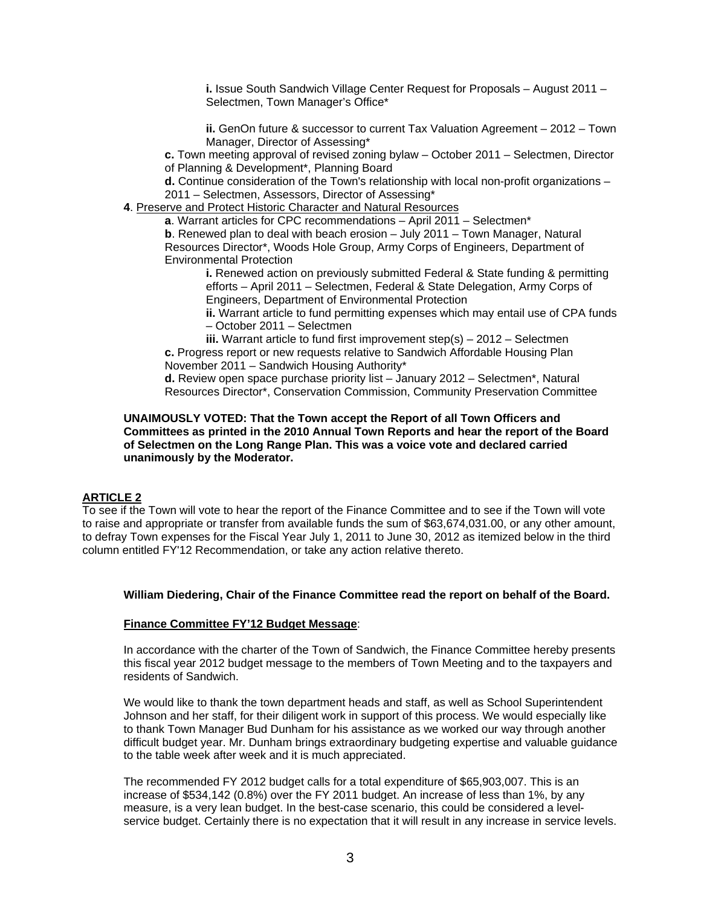**i.** Issue South Sandwich Village Center Request for Proposals – August 2011 – Selectmen, Town Manager's Office\*

**ii.** GenOn future & successor to current Tax Valuation Agreement – 2012 – Town Manager, Director of Assessing\*

**c.** Town meeting approval of revised zoning bylaw – October 2011 – Selectmen, Director of Planning & Development\*, Planning Board

**d.** Continue consideration of the Town's relationship with local non-profit organizations – 2011 – Selectmen, Assessors, Director of Assessing\*

**4**. Preserve and Protect Historic Character and Natural Resources

**a**. Warrant articles for CPC recommendations – April 2011 – Selectmen\*

**b**. Renewed plan to deal with beach erosion – July 2011 – Town Manager, Natural Resources Director\*, Woods Hole Group, Army Corps of Engineers, Department of Environmental Protection

**i.** Renewed action on previously submitted Federal & State funding & permitting efforts – April 2011 – Selectmen, Federal & State Delegation, Army Corps of Engineers, Department of Environmental Protection

**ii.** Warrant article to fund permitting expenses which may entail use of CPA funds – October 2011 – Selectmen

**iii.** Warrant article to fund first improvement step(s) – 2012 – Selectmen **c.** Progress report or new requests relative to Sandwich Affordable Housing Plan November 2011 – Sandwich Housing Authority\*

**d.** Review open space purchase priority list – January 2012 – Selectmen\*, Natural Resources Director\*, Conservation Commission, Community Preservation Committee

#### **UNAIMOUSLY VOTED: That the Town accept the Report of all Town Officers and Committees as printed in the 2010 Annual Town Reports and hear the report of the Board of Selectmen on the Long Range Plan. This was a voice vote and declared carried unanimously by the Moderator.**

## **ARTICLE 2**

To see if the Town will vote to hear the report of the Finance Committee and to see if the Town will vote to raise and appropriate or transfer from available funds the sum of \$63,674,031.00, or any other amount, to defray Town expenses for the Fiscal Year July 1, 2011 to June 30, 2012 as itemized below in the third column entitled FY'12 Recommendation, or take any action relative thereto.

#### **William Diedering, Chair of the Finance Committee read the report on behalf of the Board.**

#### **Finance Committee FY'12 Budget Message**:

In accordance with the charter of the Town of Sandwich, the Finance Committee hereby presents this fiscal year 2012 budget message to the members of Town Meeting and to the taxpayers and residents of Sandwich.

We would like to thank the town department heads and staff, as well as School Superintendent Johnson and her staff, for their diligent work in support of this process. We would especially like to thank Town Manager Bud Dunham for his assistance as we worked our way through another difficult budget year. Mr. Dunham brings extraordinary budgeting expertise and valuable guidance to the table week after week and it is much appreciated.

The recommended FY 2012 budget calls for a total expenditure of \$65,903,007. This is an increase of \$534,142 (0.8%) over the FY 2011 budget. An increase of less than 1%, by any measure, is a very lean budget. In the best-case scenario, this could be considered a levelservice budget. Certainly there is no expectation that it will result in any increase in service levels.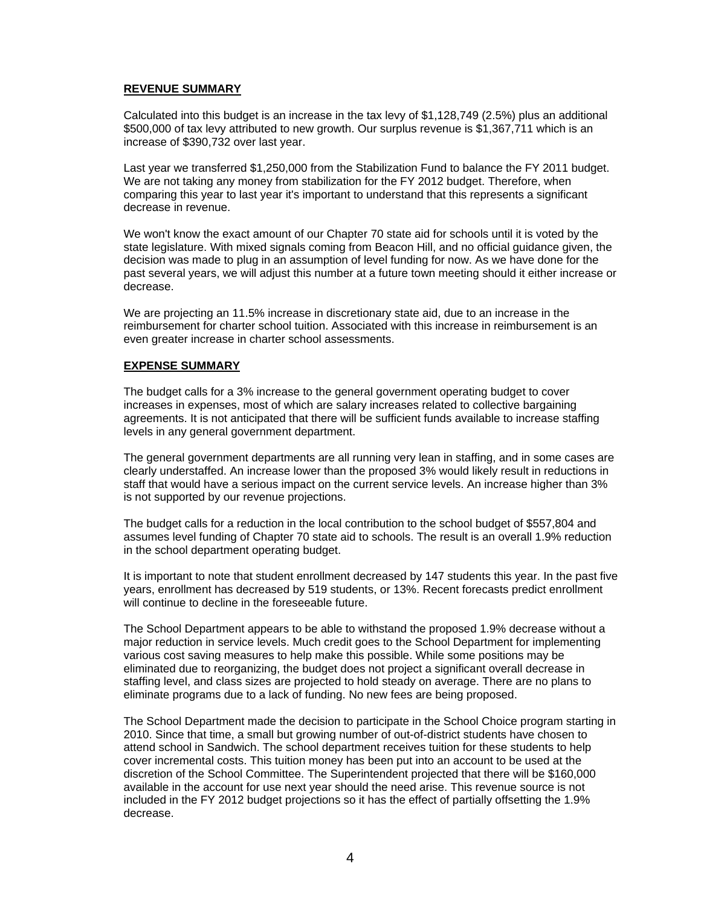## **REVENUE SUMMARY**

Calculated into this budget is an increase in the tax levy of \$1,128,749 (2.5%) plus an additional \$500,000 of tax levy attributed to new growth. Our surplus revenue is \$1,367,711 which is an increase of \$390,732 over last year.

Last year we transferred \$1,250,000 from the Stabilization Fund to balance the FY 2011 budget. We are not taking any money from stabilization for the FY 2012 budget. Therefore, when comparing this year to last year it's important to understand that this represents a significant decrease in revenue.

We won't know the exact amount of our Chapter 70 state aid for schools until it is voted by the state legislature. With mixed signals coming from Beacon Hill, and no official guidance given, the decision was made to plug in an assumption of level funding for now. As we have done for the past several years, we will adjust this number at a future town meeting should it either increase or decrease.

We are projecting an 11.5% increase in discretionary state aid, due to an increase in the reimbursement for charter school tuition. Associated with this increase in reimbursement is an even greater increase in charter school assessments.

#### **EXPENSE SUMMARY**

The budget calls for a 3% increase to the general government operating budget to cover increases in expenses, most of which are salary increases related to collective bargaining agreements. It is not anticipated that there will be sufficient funds available to increase staffing levels in any general government department.

The general government departments are all running very lean in staffing, and in some cases are clearly understaffed. An increase lower than the proposed 3% would likely result in reductions in staff that would have a serious impact on the current service levels. An increase higher than 3% is not supported by our revenue projections.

The budget calls for a reduction in the local contribution to the school budget of \$557,804 and assumes level funding of Chapter 70 state aid to schools. The result is an overall 1.9% reduction in the school department operating budget.

It is important to note that student enrollment decreased by 147 students this year. In the past five years, enrollment has decreased by 519 students, or 13%. Recent forecasts predict enrollment will continue to decline in the foreseeable future.

The School Department appears to be able to withstand the proposed 1.9% decrease without a major reduction in service levels. Much credit goes to the School Department for implementing various cost saving measures to help make this possible. While some positions may be eliminated due to reorganizing, the budget does not project a significant overall decrease in staffing level, and class sizes are projected to hold steady on average. There are no plans to eliminate programs due to a lack of funding. No new fees are being proposed.

The School Department made the decision to participate in the School Choice program starting in 2010. Since that time, a small but growing number of out-of-district students have chosen to attend school in Sandwich. The school department receives tuition for these students to help cover incremental costs. This tuition money has been put into an account to be used at the discretion of the School Committee. The Superintendent projected that there will be \$160,000 available in the account for use next year should the need arise. This revenue source is not included in the FY 2012 budget projections so it has the effect of partially offsetting the 1.9% decrease.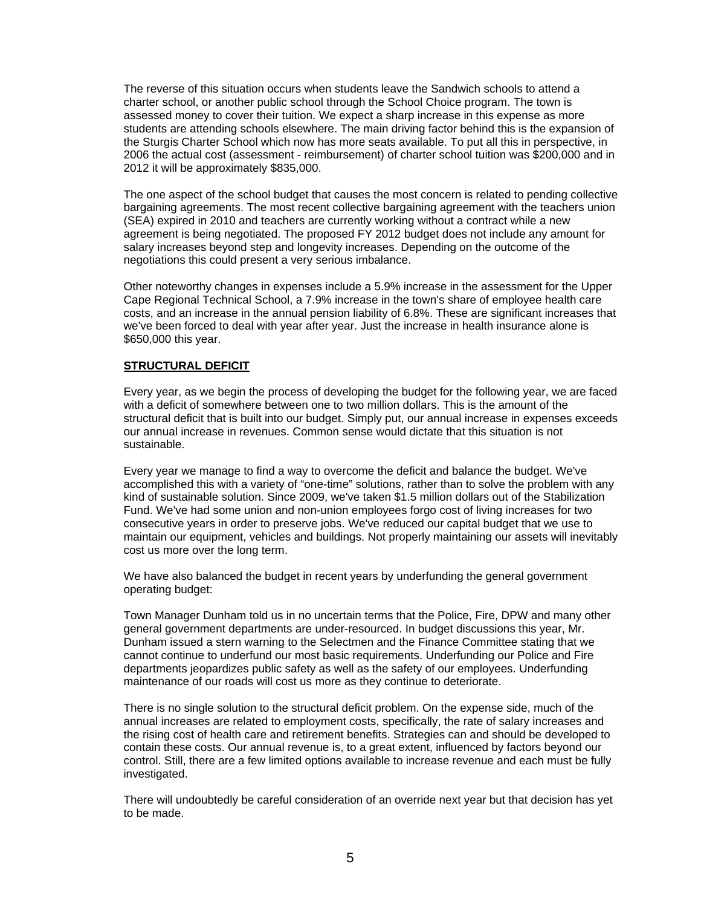The reverse of this situation occurs when students leave the Sandwich schools to attend a charter school, or another public school through the School Choice program. The town is assessed money to cover their tuition. We expect a sharp increase in this expense as more students are attending schools elsewhere. The main driving factor behind this is the expansion of the Sturgis Charter School which now has more seats available. To put all this in perspective, in 2006 the actual cost (assessment - reimbursement) of charter school tuition was \$200,000 and in 2012 it will be approximately \$835,000.

The one aspect of the school budget that causes the most concern is related to pending collective bargaining agreements. The most recent collective bargaining agreement with the teachers union (SEA) expired in 2010 and teachers are currently working without a contract while a new agreement is being negotiated. The proposed FY 2012 budget does not include any amount for salary increases beyond step and longevity increases. Depending on the outcome of the negotiations this could present a very serious imbalance.

Other noteworthy changes in expenses include a 5.9% increase in the assessment for the Upper Cape Regional Technical School, a 7.9% increase in the town's share of employee health care costs, and an increase in the annual pension liability of 6.8%. These are significant increases that we've been forced to deal with year after year. Just the increase in health insurance alone is \$650,000 this year.

#### **STRUCTURAL DEFICIT**

Every year, as we begin the process of developing the budget for the following year, we are faced with a deficit of somewhere between one to two million dollars. This is the amount of the structural deficit that is built into our budget. Simply put, our annual increase in expenses exceeds our annual increase in revenues. Common sense would dictate that this situation is not sustainable.

Every year we manage to find a way to overcome the deficit and balance the budget. We've accomplished this with a variety of "one-time" solutions, rather than to solve the problem with any kind of sustainable solution. Since 2009, we've taken \$1.5 million dollars out of the Stabilization Fund. We've had some union and non-union employees forgo cost of living increases for two consecutive years in order to preserve jobs. We've reduced our capital budget that we use to maintain our equipment, vehicles and buildings. Not properly maintaining our assets will inevitably cost us more over the long term.

We have also balanced the budget in recent years by underfunding the general government operating budget:

Town Manager Dunham told us in no uncertain terms that the Police, Fire, DPW and many other general government departments are under-resourced. In budget discussions this year, Mr. Dunham issued a stern warning to the Selectmen and the Finance Committee stating that we cannot continue to underfund our most basic requirements. Underfunding our Police and Fire departments jeopardizes public safety as well as the safety of our employees. Underfunding maintenance of our roads will cost us more as they continue to deteriorate.

There is no single solution to the structural deficit problem. On the expense side, much of the annual increases are related to employment costs, specifically, the rate of salary increases and the rising cost of health care and retirement benefits. Strategies can and should be developed to contain these costs. Our annual revenue is, to a great extent, influenced by factors beyond our control. Still, there are a few limited options available to increase revenue and each must be fully investigated.

There will undoubtedly be careful consideration of an override next year but that decision has yet to be made.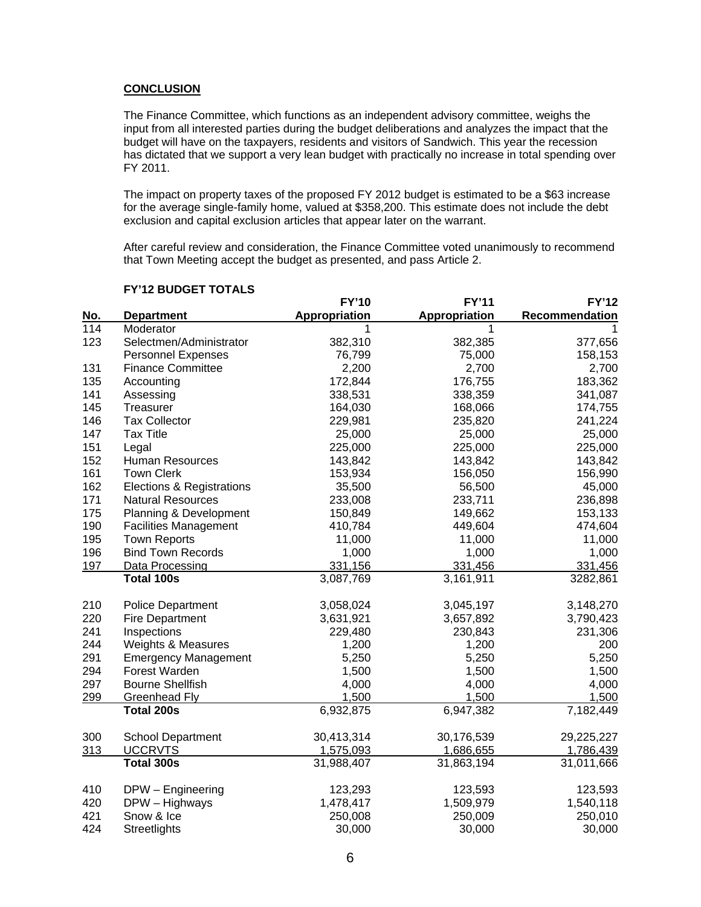#### **CONCLUSION**

The Finance Committee, which functions as an independent advisory committee, weighs the input from all interested parties during the budget deliberations and analyzes the impact that the budget will have on the taxpayers, residents and visitors of Sandwich. This year the recession has dictated that we support a very lean budget with practically no increase in total spending over FY 2011.

The impact on property taxes of the proposed FY 2012 budget is estimated to be a \$63 increase for the average single-family home, valued at \$358,200. This estimate does not include the debt exclusion and capital exclusion articles that appear later on the warrant.

After careful review and consideration, the Finance Committee voted unanimously to recommend that Town Meeting accept the budget as presented, and pass Article 2.

|     |                              | <b>FY'10</b>  | <b>FY'11</b>  | <b>FY'12</b>   |
|-----|------------------------------|---------------|---------------|----------------|
| No. | <b>Department</b>            | Appropriation | Appropriation | Recommendation |
| 114 | Moderator                    | 1             | 1             | 1              |
| 123 | Selectmen/Administrator      | 382,310       | 382,385       | 377,656        |
|     | <b>Personnel Expenses</b>    | 76,799        | 75,000        | 158,153        |
| 131 | <b>Finance Committee</b>     | 2,200         | 2,700         | 2,700          |
| 135 | Accounting                   | 172,844       | 176,755       | 183,362        |
| 141 | Assessing                    | 338,531       | 338,359       | 341,087        |
| 145 | Treasurer                    | 164,030       | 168,066       | 174,755        |
| 146 | <b>Tax Collector</b>         | 229,981       | 235,820       | 241,224        |
| 147 | <b>Tax Title</b>             | 25,000        | 25,000        | 25,000         |
| 151 | Legal                        | 225,000       | 225,000       | 225,000        |
| 152 | Human Resources              | 143,842       | 143,842       | 143,842        |
| 161 | <b>Town Clerk</b>            | 153,934       | 156,050       | 156,990        |
| 162 | Elections & Registrations    | 35,500        | 56,500        | 45,000         |
| 171 | <b>Natural Resources</b>     | 233,008       | 233,711       | 236,898        |
| 175 | Planning & Development       | 150,849       | 149,662       | 153,133        |
| 190 | <b>Facilities Management</b> | 410,784       | 449,604       | 474,604        |
| 195 | <b>Town Reports</b>          | 11,000        | 11,000        | 11,000         |
| 196 | <b>Bind Town Records</b>     | 1,000         | 1,000         | 1,000          |
| 197 | Data Processing              | 331,156       | 331,456       | 331,456        |
|     | <b>Total 100s</b>            | 3,087,769     | 3,161,911     | 3282,861       |
| 210 | <b>Police Department</b>     | 3,058,024     | 3,045,197     | 3,148,270      |
| 220 | <b>Fire Department</b>       | 3,631,921     | 3,657,892     | 3,790,423      |
| 241 | Inspections                  | 229,480       | 230,843       | 231,306        |
| 244 | Weights & Measures           | 1,200         | 1,200         | 200            |
| 291 | <b>Emergency Management</b>  | 5,250         | 5,250         | 5,250          |
| 294 | Forest Warden                | 1,500         | 1,500         | 1,500          |
| 297 | <b>Bourne Shellfish</b>      | 4,000         | 4,000         | 4,000          |
| 299 | <b>Greenhead Fly</b>         | 1,500         | 1,500         | 1,500          |
|     | Total 200s                   | 6,932,875     | 6,947,382     | 7,182,449      |
| 300 | <b>School Department</b>     | 30,413,314    | 30,176,539    | 29,225,227     |
| 313 | <b>UCCRVTS</b>               | 1,575,093     | 1,686,655     | 1,786,439      |
|     | Total 300s                   | 31,988,407    | 31,863,194    | 31,011,666     |
| 410 | DPW - Engineering            | 123,293       | 123,593       | 123,593        |
| 420 | DPW - Highways               | 1,478,417     | 1,509,979     | 1,540,118      |
| 421 | Snow & Ice                   | 250,008       | 250,009       | 250,010        |
| 424 | Streetlights                 | 30,000        | 30,000        | 30,000         |

#### **FY'12 BUDGET TOTALS**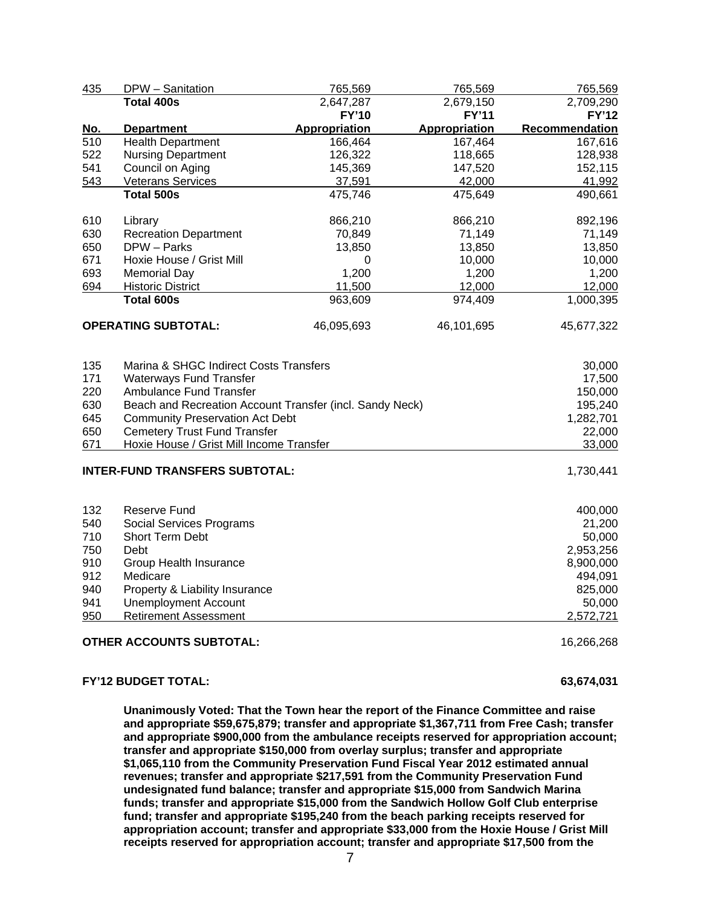| 435        | DPW - Sanitation                                         | 765,569       | 765,569              | 765,569        |
|------------|----------------------------------------------------------|---------------|----------------------|----------------|
|            | <b>Total 400s</b>                                        | 2,647,287     | 2,679,150            | 2,709,290      |
|            |                                                          | <b>FY'10</b>  | <b>FY'11</b>         | <b>FY'12</b>   |
| <u>No.</u> | <b>Department</b>                                        | Appropriation | <b>Appropriation</b> | Recommendation |
| 510        | <b>Health Department</b>                                 | 166,464       | 167,464              | 167,616        |
| 522        | <b>Nursing Department</b>                                | 126,322       | 118,665              | 128,938        |
| 541        | Council on Aging                                         | 145,369       | 147,520              | 152,115        |
| 543        | <b>Veterans Services</b>                                 | 37,591        | 42,000               | 41,992         |
|            | <b>Total 500s</b>                                        | 475,746       | 475,649              | 490,661        |
| 610        | Library                                                  | 866,210       | 866,210              | 892,196        |
| 630        | <b>Recreation Department</b>                             | 70,849        | 71,149               | 71,149         |
| 650        | DPW - Parks                                              | 13,850        | 13,850               | 13,850         |
| 671        | Hoxie House / Grist Mill                                 | 0             | 10,000               | 10,000         |
| 693        | <b>Memorial Day</b>                                      | 1,200         | 1,200                | 1,200          |
| 694        | <b>Historic District</b>                                 | 11,500        | 12,000               | 12,000         |
|            | Total 600s                                               | 963,609       | 974,409              | 1,000,395      |
|            | <b>OPERATING SUBTOTAL:</b>                               | 46,095,693    | 46,101,695           | 45,677,322     |
| 135        | Marina & SHGC Indirect Costs Transfers                   |               |                      | 30,000         |
| 171        | <b>Waterways Fund Transfer</b>                           |               |                      | 17,500         |
| 220        | Ambulance Fund Transfer                                  |               |                      | 150,000        |
| 630        | Beach and Recreation Account Transfer (incl. Sandy Neck) |               |                      | 195,240        |
| 645        | <b>Community Preservation Act Debt</b>                   |               |                      | 1,282,701      |
| 650        | <b>Cemetery Trust Fund Transfer</b>                      |               |                      | 22,000         |
| 671        | Hoxie House / Grist Mill Income Transfer                 |               |                      | 33,000         |
|            | <b>INTER-FUND TRANSFERS SUBTOTAL:</b>                    |               |                      | 1,730,441      |
| 132        | Reserve Fund                                             |               |                      | 400,000        |
| 540        | Social Services Programs                                 |               |                      | 21,200         |
| 710        | Short Term Debt                                          |               |                      | 50,000         |
| 750        | Debt                                                     |               |                      | 2,953,256      |
| 910        | Group Health Insurance                                   |               |                      | 8,900,000      |
| 912        | Medicare                                                 |               |                      | 494,091        |
| 940        | Property & Liability Insurance                           |               |                      | 825,000        |
| 941        | <b>Unemployment Account</b>                              |               |                      | 50,000         |
| 950        | <b>Retirement Assessment</b>                             |               |                      | 2,572,721      |
|            | <b>OTHER ACCOUNTS SUBTOTAL:</b>                          |               |                      | 16,266,268     |

#### **FY'12 BUDGET TOTAL: 63,674,031**

**Unanimously Voted: That the Town hear the report of the Finance Committee and raise and appropriate \$59,675,879; transfer and appropriate \$1,367,711 from Free Cash; transfer and appropriate \$900,000 from the ambulance receipts reserved for appropriation account; transfer and appropriate \$150,000 from overlay surplus; transfer and appropriate \$1,065,110 from the Community Preservation Fund Fiscal Year 2012 estimated annual revenues; transfer and appropriate \$217,591 from the Community Preservation Fund undesignated fund balance; transfer and appropriate \$15,000 from Sandwich Marina funds; transfer and appropriate \$15,000 from the Sandwich Hollow Golf Club enterprise fund; transfer and appropriate \$195,240 from the beach parking receipts reserved for appropriation account; transfer and appropriate \$33,000 from the Hoxie House / Grist Mill receipts reserved for appropriation account; transfer and appropriate \$17,500 from the**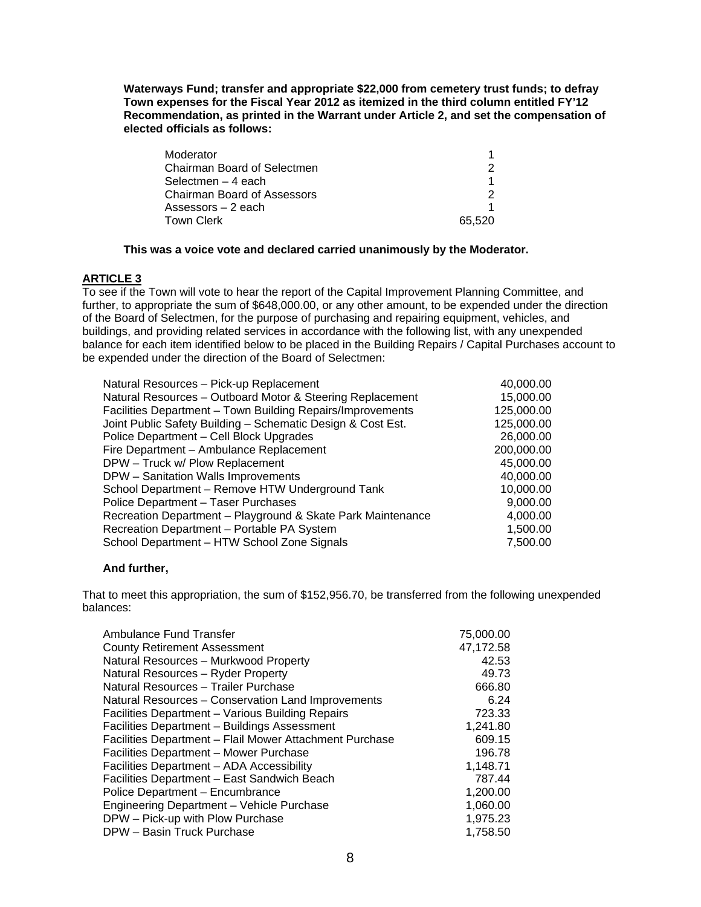**Waterways Fund; transfer and appropriate \$22,000 from cemetery trust funds; to defray Town expenses for the Fiscal Year 2012 as itemized in the third column entitled FY'12 Recommendation, as printed in the Warrant under Article 2, and set the compensation of elected officials as follows:** 

| Moderator                   |        |
|-----------------------------|--------|
| Chairman Board of Selectmen | 2      |
| Selectmen - 4 each          |        |
| Chairman Board of Assessors |        |
| Assessors $-2$ each         |        |
| Town Clerk                  | 65.520 |

### **This was a voice vote and declared carried unanimously by the Moderator.**

## **ARTICLE 3**

To see if the Town will vote to hear the report of the Capital Improvement Planning Committee, and further, to appropriate the sum of \$648,000.00, or any other amount, to be expended under the direction of the Board of Selectmen, for the purpose of purchasing and repairing equipment, vehicles, and buildings, and providing related services in accordance with the following list, with any unexpended balance for each item identified below to be placed in the Building Repairs / Capital Purchases account to be expended under the direction of the Board of Selectmen:

| Natural Resources - Pick-up Replacement                     | 40,000.00  |
|-------------------------------------------------------------|------------|
| Natural Resources - Outboard Motor & Steering Replacement   | 15,000.00  |
| Facilities Department - Town Building Repairs/Improvements  | 125,000.00 |
| Joint Public Safety Building - Schematic Design & Cost Est. | 125,000.00 |
| Police Department - Cell Block Upgrades                     | 26,000.00  |
| Fire Department - Ambulance Replacement                     | 200,000.00 |
| DPW - Truck w/ Plow Replacement                             | 45,000.00  |
| DPW - Sanitation Walls Improvements                         | 40,000.00  |
| School Department - Remove HTW Underground Tank             | 10,000.00  |
| Police Department - Taser Purchases                         | 9,000.00   |
| Recreation Department - Playground & Skate Park Maintenance | 4,000.00   |
| Recreation Department - Portable PA System                  | 1,500.00   |
| School Department - HTW School Zone Signals                 | 7,500.00   |
|                                                             |            |

#### **And further,**

That to meet this appropriation, the sum of \$152,956.70, be transferred from the following unexpended balances:

| Ambulance Fund Transfer                                 | 75,000.00 |
|---------------------------------------------------------|-----------|
|                                                         |           |
| <b>County Retirement Assessment</b>                     | 47,172.58 |
| Natural Resources - Murkwood Property                   | 42.53     |
| Natural Resources - Ryder Property                      | 49.73     |
| Natural Resources - Trailer Purchase                    | 666.80    |
| Natural Resources - Conservation Land Improvements      | 6.24      |
| Facilities Department - Various Building Repairs        | 723.33    |
| Facilities Department - Buildings Assessment            | 1,241.80  |
| Facilities Department - Flail Mower Attachment Purchase | 609.15    |
| Facilities Department - Mower Purchase                  | 196.78    |
| Facilities Department - ADA Accessibility               | 1,148.71  |
| Facilities Department - East Sandwich Beach             | 787.44    |
| Police Department - Encumbrance                         | 1,200.00  |
| Engineering Department - Vehicle Purchase               | 1,060.00  |
| DPW - Pick-up with Plow Purchase                        | 1,975.23  |
| DPW - Basin Truck Purchase                              | 1.758.50  |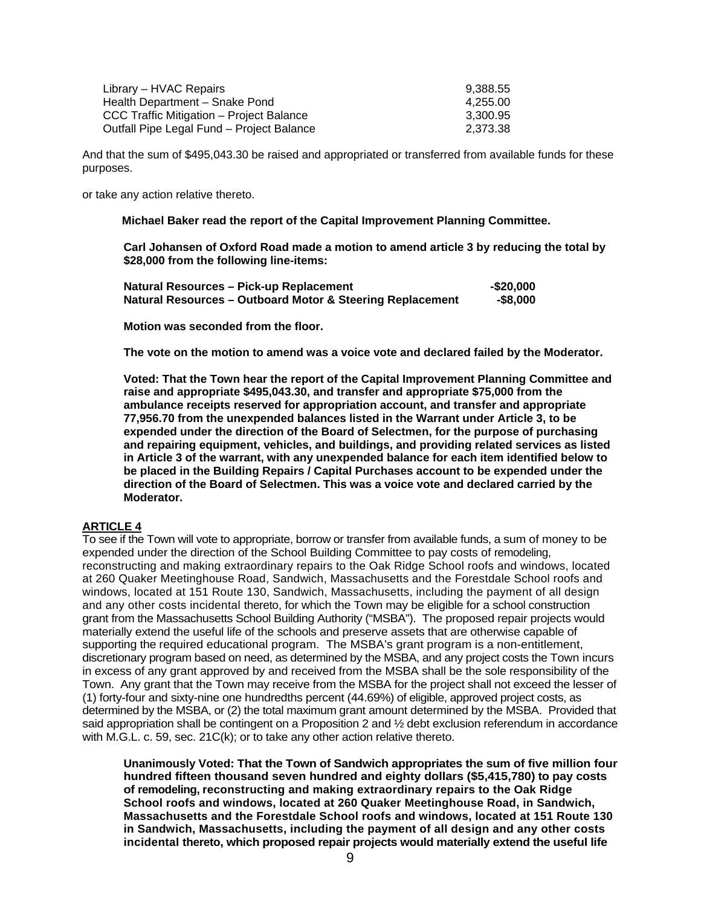| Library – HVAC Repairs                    | 9.388.55 |
|-------------------------------------------|----------|
| Health Department - Snake Pond            | 4.255.00 |
| CCC Traffic Mitigation - Project Balance  | 3.300.95 |
| Outfall Pipe Legal Fund - Project Balance | 2.373.38 |

And that the sum of \$495,043.30 be raised and appropriated or transferred from available funds for these purposes.

or take any action relative thereto.

 **Michael Baker read the report of the Capital Improvement Planning Committee.** 

**Carl Johansen of Oxford Road made a motion to amend article 3 by reducing the total by \$28,000 from the following line-items:** 

| Natural Resources – Pick-up Replacement                   | -\$20.000 |
|-----------------------------------------------------------|-----------|
| Natural Resources – Outboard Motor & Steering Replacement | -\$8.000  |

**Motion was seconded from the floor.** 

**The vote on the motion to amend was a voice vote and declared failed by the Moderator.** 

**Voted: That the Town hear the report of the Capital Improvement Planning Committee and raise and appropriate \$495,043.30, and transfer and appropriate \$75,000 from the ambulance receipts reserved for appropriation account, and transfer and appropriate 77,956.70 from the unexpended balances listed in the Warrant under Article 3, to be expended under the direction of the Board of Selectmen, for the purpose of purchasing and repairing equipment, vehicles, and buildings, and providing related services as listed in Article 3 of the warrant, with any unexpended balance for each item identified below to be placed in the Building Repairs / Capital Purchases account to be expended under the direction of the Board of Selectmen. This was a voice vote and declared carried by the Moderator.** 

## **ARTICLE 4**

To see if the Town will vote to appropriate, borrow or transfer from available funds, a sum of money to be expended under the direction of the School Building Committee to pay costs of remodeling, reconstructing and making extraordinary repairs to the Oak Ridge School roofs and windows, located at 260 Quaker Meetinghouse Road, Sandwich, Massachusetts and the Forestdale School roofs and windows, located at 151 Route 130, Sandwich, Massachusetts, including the payment of all design and any other costs incidental thereto, for which the Town may be eligible for a school construction grant from the Massachusetts School Building Authority ("MSBA"). The proposed repair projects would materially extend the useful life of the schools and preserve assets that are otherwise capable of supporting the required educational program. The MSBA's grant program is a non-entitlement, discretionary program based on need, as determined by the MSBA, and any project costs the Town incurs in excess of any grant approved by and received from the MSBA shall be the sole responsibility of the Town. Any grant that the Town may receive from the MSBA for the project shall not exceed the lesser of (1) forty-four and sixty-nine one hundredths percent (44.69%) of eligible, approved project costs, as determined by the MSBA, or (2) the total maximum grant amount determined by the MSBA. Provided that said appropriation shall be contingent on a Proposition 2 and ½ debt exclusion referendum in accordance with M.G.L. c. 59, sec. 21C(k); or to take any other action relative thereto.

**Unanimously Voted: That the Town of Sandwich appropriates the sum of five million four hundred fifteen thousand seven hundred and eighty dollars (\$5,415,780) to pay costs of remodeling, reconstructing and making extraordinary repairs to the Oak Ridge School roofs and windows, located at 260 Quaker Meetinghouse Road, in Sandwich, Massachusetts and the Forestdale School roofs and windows, located at 151 Route 130 in Sandwich, Massachusetts, including the payment of all design and any other costs incidental thereto, which proposed repair projects would materially extend the useful life**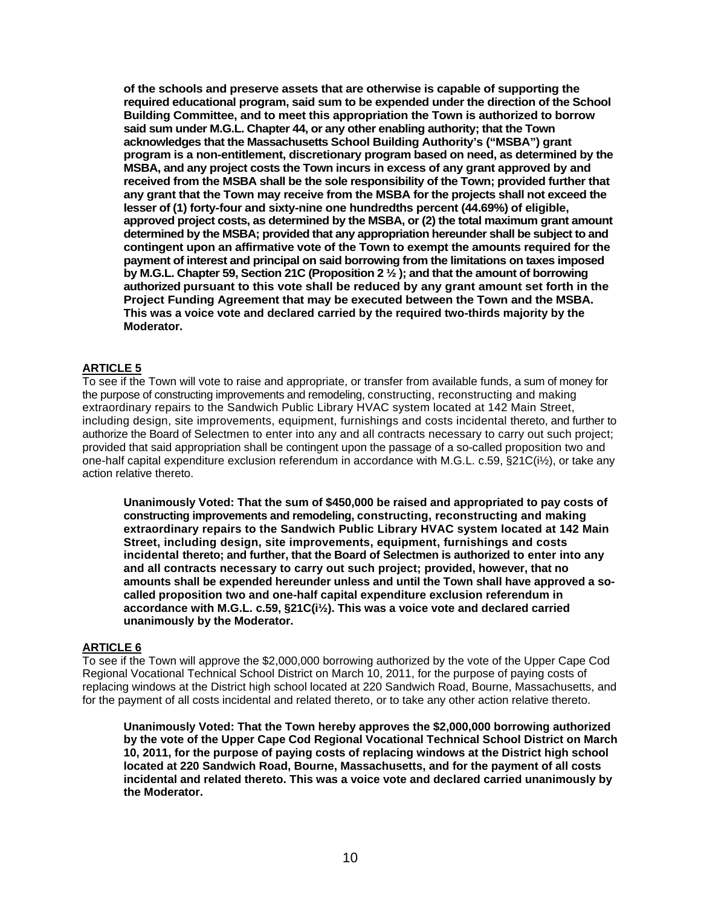**of the schools and preserve assets that are otherwise is capable of supporting the required educational program, said sum to be expended under the direction of the School Building Committee, and to meet this appropriation the Town is authorized to borrow said sum under M.G.L. Chapter 44, or any other enabling authority; that the Town acknowledges that the Massachusetts School Building Authority's ("MSBA") grant program is a non-entitlement, discretionary program based on need, as determined by the MSBA, and any project costs the Town incurs in excess of any grant approved by and received from the MSBA shall be the sole responsibility of the Town; provided further that any grant that the Town may receive from the MSBA for the projects shall not exceed the lesser of (1) forty-four and sixty-nine one hundredths percent (44.69%) of eligible, approved project costs, as determined by the MSBA, or (2) the total maximum grant amount determined by the MSBA; provided that any appropriation hereunder shall be subject to and contingent upon an affirmative vote of the Town to exempt the amounts required for the payment of interest and principal on said borrowing from the limitations on taxes imposed by M.G.L. Chapter 59, Section 21C (Proposition 2 ½ ); and that the amount of borrowing authorized pursuant to this vote shall be reduced by any grant amount set forth in the Project Funding Agreement that may be executed between the Town and the MSBA. This was a voice vote and declared carried by the required two-thirds majority by the Moderator.**

## **ARTICLE 5**

To see if the Town will vote to raise and appropriate, or transfer from available funds, a sum of money for the purpose of constructing improvements and remodeling, constructing, reconstructing and making extraordinary repairs to the Sandwich Public Library HVAC system located at 142 Main Street, including design, site improvements, equipment, furnishings and costs incidental thereto, and further to authorize the Board of Selectmen to enter into any and all contracts necessary to carry out such project; provided that said appropriation shall be contingent upon the passage of a so-called proposition two and one-half capital expenditure exclusion referendum in accordance with M.G.L. c.59, §21C(i½), or take any action relative thereto.

**Unanimously Voted: That the sum of \$450,000 be raised and appropriated to pay costs of constructing improvements and remodeling, constructing, reconstructing and making extraordinary repairs to the Sandwich Public Library HVAC system located at 142 Main Street, including design, site improvements, equipment, furnishings and costs incidental thereto; and further, that the Board of Selectmen is authorized to enter into any and all contracts necessary to carry out such project; provided, however, that no amounts shall be expended hereunder unless and until the Town shall have approved a socalled proposition two and one-half capital expenditure exclusion referendum in accordance with M.G.L. c.59, §21C(i½). This was a voice vote and declared carried unanimously by the Moderator.** 

## **ARTICLE 6**

To see if the Town will approve the \$2,000,000 borrowing authorized by the vote of the Upper Cape Cod Regional Vocational Technical School District on March 10, 2011, for the purpose of paying costs of replacing windows at the District high school located at 220 Sandwich Road, Bourne, Massachusetts, and for the payment of all costs incidental and related thereto, or to take any other action relative thereto.

**Unanimously Voted: That the Town hereby approves the \$2,000,000 borrowing authorized by the vote of the Upper Cape Cod Regional Vocational Technical School District on March 10, 2011, for the purpose of paying costs of replacing windows at the District high school located at 220 Sandwich Road, Bourne, Massachusetts, and for the payment of all costs incidental and related thereto. This was a voice vote and declared carried unanimously by the Moderator.**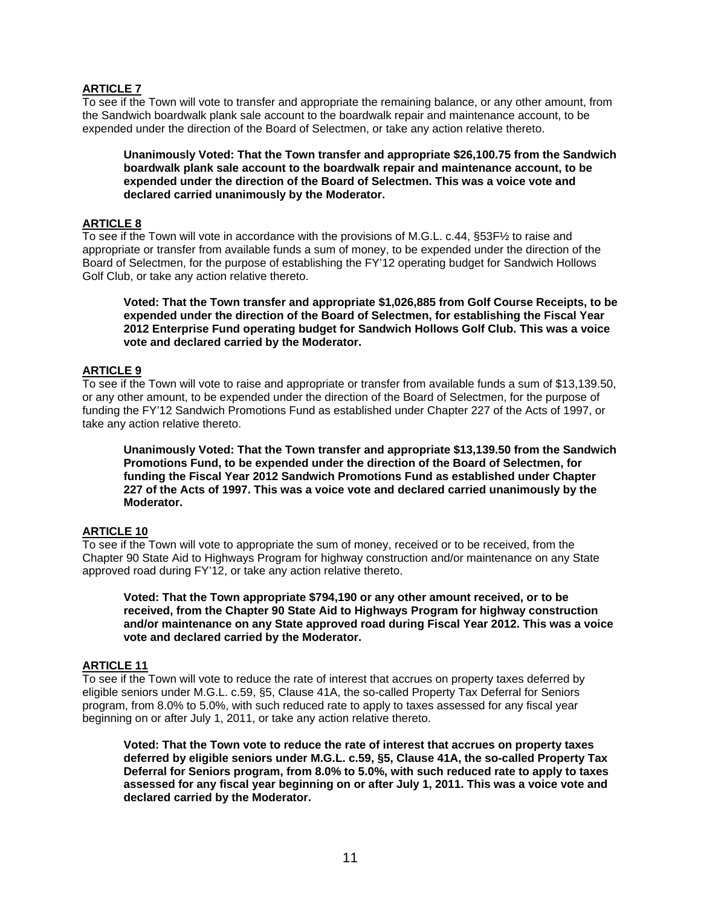## **ARTICLE 7**

To see if the Town will vote to transfer and appropriate the remaining balance, or any other amount, from the Sandwich boardwalk plank sale account to the boardwalk repair and maintenance account, to be expended under the direction of the Board of Selectmen, or take any action relative thereto.

**Unanimously Voted: That the Town transfer and appropriate \$26,100.75 from the Sandwich boardwalk plank sale account to the boardwalk repair and maintenance account, to be expended under the direction of the Board of Selectmen. This was a voice vote and declared carried unanimously by the Moderator.**

# **ARTICLE 8**

To see if the Town will vote in accordance with the provisions of M.G.L. c.44, §53F½ to raise and appropriate or transfer from available funds a sum of money, to be expended under the direction of the Board of Selectmen, for the purpose of establishing the FY'12 operating budget for Sandwich Hollows Golf Club, or take any action relative thereto.

**Voted: That the Town transfer and appropriate \$1,026,885 from Golf Course Receipts, to be expended under the direction of the Board of Selectmen, for establishing the Fiscal Year 2012 Enterprise Fund operating budget for Sandwich Hollows Golf Club. This was a voice vote and declared carried by the Moderator.** 

#### **ARTICLE 9**

To see if the Town will vote to raise and appropriate or transfer from available funds a sum of \$13,139.50, or any other amount, to be expended under the direction of the Board of Selectmen, for the purpose of funding the FY'12 Sandwich Promotions Fund as established under Chapter 227 of the Acts of 1997, or take any action relative thereto.

**Unanimously Voted: That the Town transfer and appropriate \$13,139.50 from the Sandwich Promotions Fund, to be expended under the direction of the Board of Selectmen, for funding the Fiscal Year 2012 Sandwich Promotions Fund as established under Chapter 227 of the Acts of 1997. This was a voice vote and declared carried unanimously by the Moderator.** 

## **ARTICLE 10**

To see if the Town will vote to appropriate the sum of money, received or to be received, from the Chapter 90 State Aid to Highways Program for highway construction and/or maintenance on any State approved road during FY'12, or take any action relative thereto.

**Voted: That the Town appropriate \$794,190 or any other amount received, or to be received, from the Chapter 90 State Aid to Highways Program for highway construction and/or maintenance on any State approved road during Fiscal Year 2012. This was a voice vote and declared carried by the Moderator.** 

#### **ARTICLE 11**

To see if the Town will vote to reduce the rate of interest that accrues on property taxes deferred by eligible seniors under M.G.L. c.59, §5, Clause 41A, the so-called Property Tax Deferral for Seniors program, from 8.0% to 5.0%, with such reduced rate to apply to taxes assessed for any fiscal year beginning on or after July 1, 2011, or take any action relative thereto.

**Voted: That the Town vote to reduce the rate of interest that accrues on property taxes deferred by eligible seniors under M.G.L. c.59, §5, Clause 41A, the so-called Property Tax Deferral for Seniors program, from 8.0% to 5.0%, with such reduced rate to apply to taxes assessed for any fiscal year beginning on or after July 1, 2011. This was a voice vote and declared carried by the Moderator.**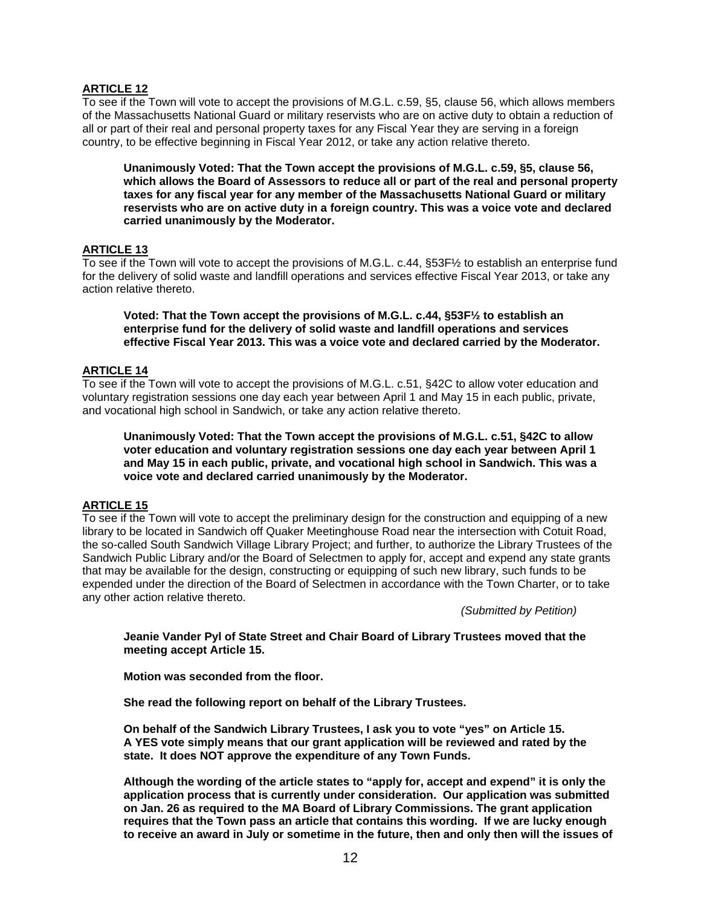## **ARTICLE 12**

To see if the Town will vote to accept the provisions of M.G.L. c.59, §5, clause 56, which allows members of the Massachusetts National Guard or military reservists who are on active duty to obtain a reduction of all or part of their real and personal property taxes for any Fiscal Year they are serving in a foreign country, to be effective beginning in Fiscal Year 2012, or take any action relative thereto.

**Unanimously Voted: That the Town accept the provisions of M.G.L. c.59, §5, clause 56, which allows the Board of Assessors to reduce all or part of the real and personal property taxes for any fiscal year for any member of the Massachusetts National Guard or military reservists who are on active duty in a foreign country. This was a voice vote and declared carried unanimously by the Moderator.** 

#### **ARTICLE 13**

To see if the Town will vote to accept the provisions of M.G.L. c.44, §53F½ to establish an enterprise fund for the delivery of solid waste and landfill operations and services effective Fiscal Year 2013, or take any action relative thereto.

**Voted: That the Town accept the provisions of M.G.L. c.44, §53F½ to establish an enterprise fund for the delivery of solid waste and landfill operations and services effective Fiscal Year 2013. This was a voice vote and declared carried by the Moderator.** 

#### **ARTICLE 14**

To see if the Town will vote to accept the provisions of M.G.L. c.51, §42C to allow voter education and voluntary registration sessions one day each year between April 1 and May 15 in each public, private, and vocational high school in Sandwich, or take any action relative thereto.

**Unanimously Voted: That the Town accept the provisions of M.G.L. c.51, §42C to allow voter education and voluntary registration sessions one day each year between April 1 and May 15 in each public, private, and vocational high school in Sandwich. This was a voice vote and declared carried unanimously by the Moderator.** 

## **ARTICLE 15**

To see if the Town will vote to accept the preliminary design for the construction and equipping of a new library to be located in Sandwich off Quaker Meetinghouse Road near the intersection with Cotuit Road, the so-called South Sandwich Village Library Project; and further, to authorize the Library Trustees of the Sandwich Public Library and/or the Board of Selectmen to apply for, accept and expend any state grants that may be available for the design, constructing or equipping of such new library, such funds to be expended under the direction of the Board of Selectmen in accordance with the Town Charter, or to take any other action relative thereto.

*(Submitted by Petition)* 

**Jeanie Vander Pyl of State Street and Chair Board of Library Trustees moved that the meeting accept Article 15.** 

**Motion was seconded from the floor.** 

**She read the following report on behalf of the Library Trustees.** 

**On behalf of the Sandwich Library Trustees, I ask you to vote "yes" on Article 15. A YES vote simply means that our grant application will be reviewed and rated by the state. It does NOT approve the expenditure of any Town Funds.** 

**Although the wording of the article states to "apply for, accept and expend" it is only the application process that is currently under consideration. Our application was submitted on Jan. 26 as required to the MA Board of Library Commissions. The grant application requires that the Town pass an article that contains this wording. If we are lucky enough to receive an award in July or sometime in the future, then and only then will the issues of**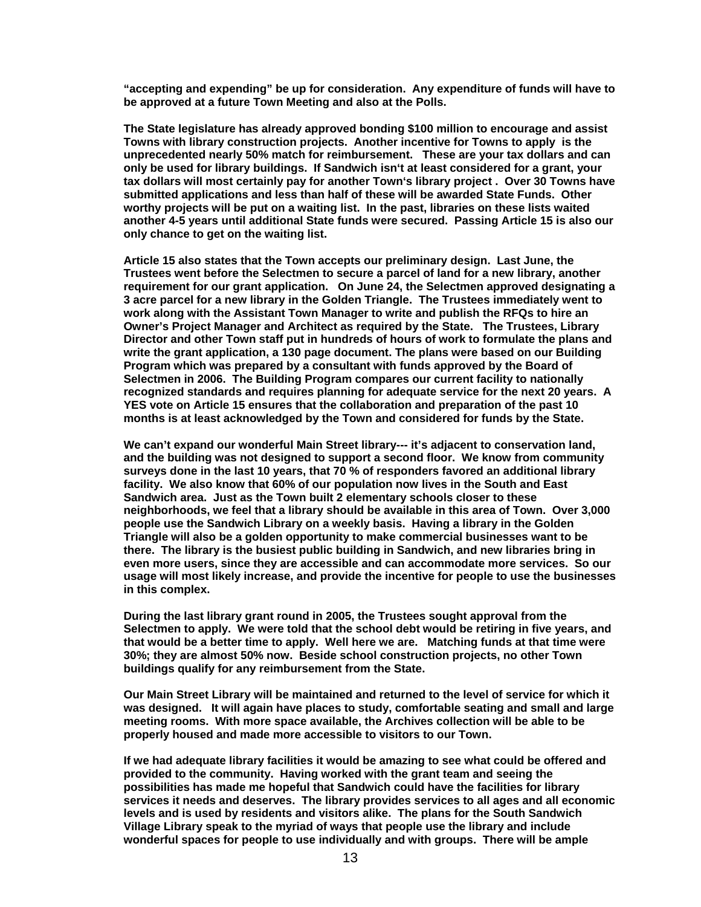**"accepting and expending" be up for consideration. Any expenditure of funds will have to be approved at a future Town Meeting and also at the Polls.** 

**The State legislature has already approved bonding \$100 million to encourage and assist Towns with library construction projects. Another incentive for Towns to apply is the unprecedented nearly 50% match for reimbursement. These are your tax dollars and can only be used for library buildings. If Sandwich isn't at least considered for a grant, your tax dollars will most certainly pay for another Town's library project . Over 30 Towns have submitted applications and less than half of these will be awarded State Funds. Other worthy projects will be put on a waiting list. In the past, libraries on these lists waited another 4-5 years until additional State funds were secured. Passing Article 15 is also our only chance to get on the waiting list.** 

**Article 15 also states that the Town accepts our preliminary design. Last June, the Trustees went before the Selectmen to secure a parcel of land for a new library, another requirement for our grant application. On June 24, the Selectmen approved designating a 3 acre parcel for a new library in the Golden Triangle. The Trustees immediately went to work along with the Assistant Town Manager to write and publish the RFQs to hire an Owner's Project Manager and Architect as required by the State. The Trustees, Library Director and other Town staff put in hundreds of hours of work to formulate the plans and write the grant application, a 130 page document. The plans were based on our Building Program which was prepared by a consultant with funds approved by the Board of Selectmen in 2006. The Building Program compares our current facility to nationally recognized standards and requires planning for adequate service for the next 20 years. A YES vote on Article 15 ensures that the collaboration and preparation of the past 10 months is at least acknowledged by the Town and considered for funds by the State.** 

**We can't expand our wonderful Main Street library--- it's adjacent to conservation land, and the building was not designed to support a second floor. We know from community surveys done in the last 10 years, that 70 % of responders favored an additional library facility. We also know that 60% of our population now lives in the South and East Sandwich area. Just as the Town built 2 elementary schools closer to these neighborhoods, we feel that a library should be available in this area of Town. Over 3,000 people use the Sandwich Library on a weekly basis. Having a library in the Golden Triangle will also be a golden opportunity to make commercial businesses want to be there. The library is the busiest public building in Sandwich, and new libraries bring in even more users, since they are accessible and can accommodate more services. So our usage will most likely increase, and provide the incentive for people to use the businesses in this complex.** 

**During the last library grant round in 2005, the Trustees sought approval from the Selectmen to apply. We were told that the school debt would be retiring in five years, and that would be a better time to apply. Well here we are. Matching funds at that time were 30%; they are almost 50% now. Beside school construction projects, no other Town buildings qualify for any reimbursement from the State.** 

**Our Main Street Library will be maintained and returned to the level of service for which it was designed. It will again have places to study, comfortable seating and small and large meeting rooms. With more space available, the Archives collection will be able to be properly housed and made more accessible to visitors to our Town.** 

**If we had adequate library facilities it would be amazing to see what could be offered and provided to the community. Having worked with the grant team and seeing the possibilities has made me hopeful that Sandwich could have the facilities for library services it needs and deserves. The library provides services to all ages and all economic levels and is used by residents and visitors alike. The plans for the South Sandwich Village Library speak to the myriad of ways that people use the library and include wonderful spaces for people to use individually and with groups. There will be ample**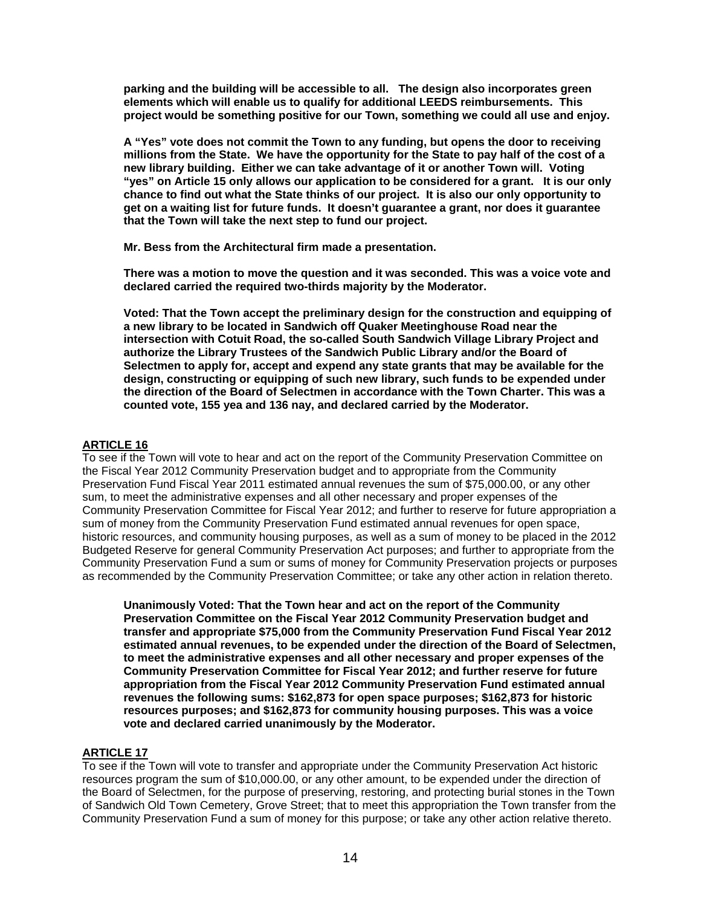**parking and the building will be accessible to all. The design also incorporates green elements which will enable us to qualify for additional LEEDS reimbursements. This project would be something positive for our Town, something we could all use and enjoy.** 

**A "Yes" vote does not commit the Town to any funding, but opens the door to receiving millions from the State. We have the opportunity for the State to pay half of the cost of a new library building. Either we can take advantage of it or another Town will. Voting "yes" on Article 15 only allows our application to be considered for a grant. It is our only chance to find out what the State thinks of our project. It is also our only opportunity to get on a waiting list for future funds. It doesn't guarantee a grant, nor does it guarantee that the Town will take the next step to fund our project.** 

**Mr. Bess from the Architectural firm made a presentation.** 

**There was a motion to move the question and it was seconded. This was a voice vote and declared carried the required two-thirds majority by the Moderator.** 

**Voted: That the Town accept the preliminary design for the construction and equipping of a new library to be located in Sandwich off Quaker Meetinghouse Road near the intersection with Cotuit Road, the so-called South Sandwich Village Library Project and authorize the Library Trustees of the Sandwich Public Library and/or the Board of Selectmen to apply for, accept and expend any state grants that may be available for the design, constructing or equipping of such new library, such funds to be expended under the direction of the Board of Selectmen in accordance with the Town Charter. This was a counted vote, 155 yea and 136 nay, and declared carried by the Moderator.** 

## **ARTICLE 16**

To see if the Town will vote to hear and act on the report of the Community Preservation Committee on the Fiscal Year 2012 Community Preservation budget and to appropriate from the Community Preservation Fund Fiscal Year 2011 estimated annual revenues the sum of \$75,000.00, or any other sum, to meet the administrative expenses and all other necessary and proper expenses of the Community Preservation Committee for Fiscal Year 2012; and further to reserve for future appropriation a sum of money from the Community Preservation Fund estimated annual revenues for open space, historic resources, and community housing purposes, as well as a sum of money to be placed in the 2012 Budgeted Reserve for general Community Preservation Act purposes; and further to appropriate from the Community Preservation Fund a sum or sums of money for Community Preservation projects or purposes as recommended by the Community Preservation Committee; or take any other action in relation thereto.

**Unanimously Voted: That the Town hear and act on the report of the Community Preservation Committee on the Fiscal Year 2012 Community Preservation budget and transfer and appropriate \$75,000 from the Community Preservation Fund Fiscal Year 2012 estimated annual revenues, to be expended under the direction of the Board of Selectmen, to meet the administrative expenses and all other necessary and proper expenses of the Community Preservation Committee for Fiscal Year 2012; and further reserve for future appropriation from the Fiscal Year 2012 Community Preservation Fund estimated annual revenues the following sums: \$162,873 for open space purposes; \$162,873 for historic resources purposes; and \$162,873 for community housing purposes. This was a voice vote and declared carried unanimously by the Moderator.** 

# **ARTICLE 17**

To see if the Town will vote to transfer and appropriate under the Community Preservation Act historic resources program the sum of \$10,000.00, or any other amount, to be expended under the direction of the Board of Selectmen, for the purpose of preserving, restoring, and protecting burial stones in the Town of Sandwich Old Town Cemetery, Grove Street; that to meet this appropriation the Town transfer from the Community Preservation Fund a sum of money for this purpose; or take any other action relative thereto.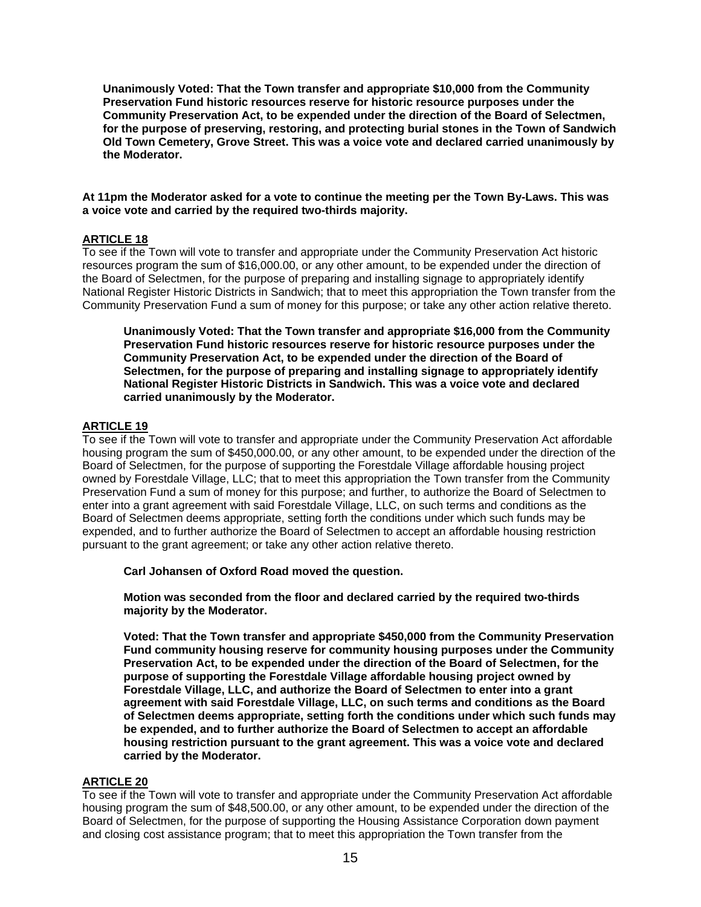**Unanimously Voted: That the Town transfer and appropriate \$10,000 from the Community Preservation Fund historic resources reserve for historic resource purposes under the Community Preservation Act, to be expended under the direction of the Board of Selectmen, for the purpose of preserving, restoring, and protecting burial stones in the Town of Sandwich Old Town Cemetery, Grove Street. This was a voice vote and declared carried unanimously by the Moderator.** 

#### **At 11pm the Moderator asked for a vote to continue the meeting per the Town By-Laws. This was a voice vote and carried by the required two-thirds majority.**

## **ARTICLE 18**

To see if the Town will vote to transfer and appropriate under the Community Preservation Act historic resources program the sum of \$16,000.00, or any other amount, to be expended under the direction of the Board of Selectmen, for the purpose of preparing and installing signage to appropriately identify National Register Historic Districts in Sandwich; that to meet this appropriation the Town transfer from the Community Preservation Fund a sum of money for this purpose; or take any other action relative thereto.

**Unanimously Voted: That the Town transfer and appropriate \$16,000 from the Community Preservation Fund historic resources reserve for historic resource purposes under the Community Preservation Act, to be expended under the direction of the Board of Selectmen, for the purpose of preparing and installing signage to appropriately identify National Register Historic Districts in Sandwich. This was a voice vote and declared carried unanimously by the Moderator.** 

## **ARTICLE 19**

To see if the Town will vote to transfer and appropriate under the Community Preservation Act affordable housing program the sum of \$450,000.00, or any other amount, to be expended under the direction of the Board of Selectmen, for the purpose of supporting the Forestdale Village affordable housing project owned by Forestdale Village, LLC; that to meet this appropriation the Town transfer from the Community Preservation Fund a sum of money for this purpose; and further, to authorize the Board of Selectmen to enter into a grant agreement with said Forestdale Village, LLC, on such terms and conditions as the Board of Selectmen deems appropriate, setting forth the conditions under which such funds may be expended, and to further authorize the Board of Selectmen to accept an affordable housing restriction pursuant to the grant agreement; or take any other action relative thereto.

 **Carl Johansen of Oxford Road moved the question.** 

**Motion was seconded from the floor and declared carried by the required two-thirds majority by the Moderator.** 

**Voted: That the Town transfer and appropriate \$450,000 from the Community Preservation Fund community housing reserve for community housing purposes under the Community Preservation Act, to be expended under the direction of the Board of Selectmen, for the purpose of supporting the Forestdale Village affordable housing project owned by Forestdale Village, LLC, and authorize the Board of Selectmen to enter into a grant agreement with said Forestdale Village, LLC, on such terms and conditions as the Board of Selectmen deems appropriate, setting forth the conditions under which such funds may be expended, and to further authorize the Board of Selectmen to accept an affordable housing restriction pursuant to the grant agreement. This was a voice vote and declared carried by the Moderator.**

## **ARTICLE 20**

To see if the Town will vote to transfer and appropriate under the Community Preservation Act affordable housing program the sum of \$48,500.00, or any other amount, to be expended under the direction of the Board of Selectmen, for the purpose of supporting the Housing Assistance Corporation down payment and closing cost assistance program; that to meet this appropriation the Town transfer from the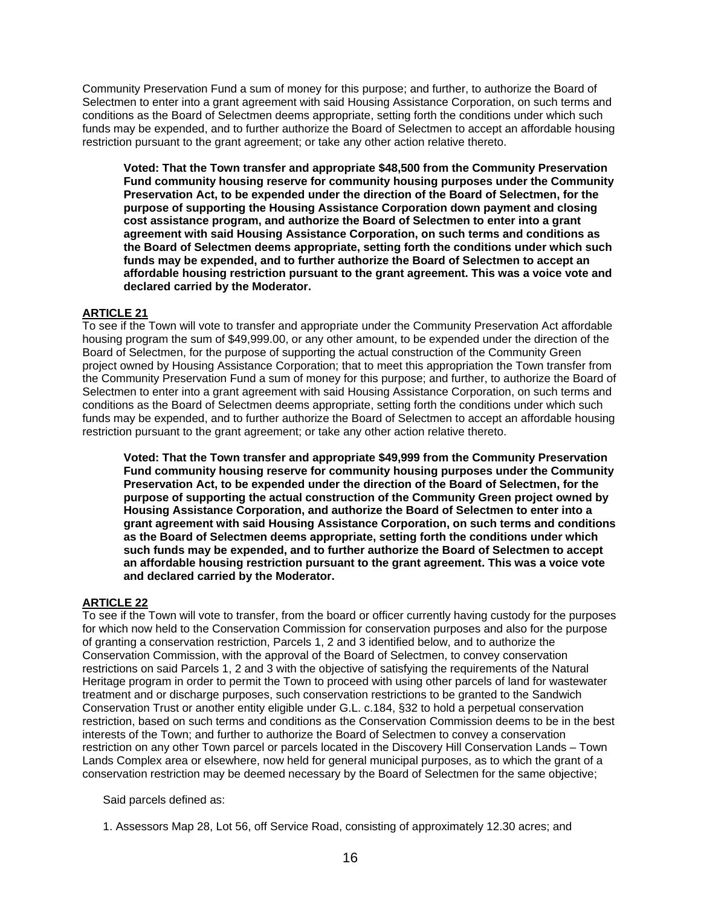Community Preservation Fund a sum of money for this purpose; and further, to authorize the Board of Selectmen to enter into a grant agreement with said Housing Assistance Corporation, on such terms and conditions as the Board of Selectmen deems appropriate, setting forth the conditions under which such funds may be expended, and to further authorize the Board of Selectmen to accept an affordable housing restriction pursuant to the grant agreement; or take any other action relative thereto.

**Voted: That the Town transfer and appropriate \$48,500 from the Community Preservation Fund community housing reserve for community housing purposes under the Community Preservation Act, to be expended under the direction of the Board of Selectmen, for the purpose of supporting the Housing Assistance Corporation down payment and closing cost assistance program, and authorize the Board of Selectmen to enter into a grant agreement with said Housing Assistance Corporation, on such terms and conditions as the Board of Selectmen deems appropriate, setting forth the conditions under which such funds may be expended, and to further authorize the Board of Selectmen to accept an affordable housing restriction pursuant to the grant agreement. This was a voice vote and declared carried by the Moderator.** 

## **ARTICLE 21**

To see if the Town will vote to transfer and appropriate under the Community Preservation Act affordable housing program the sum of \$49,999.00, or any other amount, to be expended under the direction of the Board of Selectmen, for the purpose of supporting the actual construction of the Community Green project owned by Housing Assistance Corporation; that to meet this appropriation the Town transfer from the Community Preservation Fund a sum of money for this purpose; and further, to authorize the Board of Selectmen to enter into a grant agreement with said Housing Assistance Corporation, on such terms and conditions as the Board of Selectmen deems appropriate, setting forth the conditions under which such funds may be expended, and to further authorize the Board of Selectmen to accept an affordable housing restriction pursuant to the grant agreement; or take any other action relative thereto.

**Voted: That the Town transfer and appropriate \$49,999 from the Community Preservation Fund community housing reserve for community housing purposes under the Community Preservation Act, to be expended under the direction of the Board of Selectmen, for the purpose of supporting the actual construction of the Community Green project owned by Housing Assistance Corporation, and authorize the Board of Selectmen to enter into a grant agreement with said Housing Assistance Corporation, on such terms and conditions as the Board of Selectmen deems appropriate, setting forth the conditions under which such funds may be expended, and to further authorize the Board of Selectmen to accept an affordable housing restriction pursuant to the grant agreement. This was a voice vote and declared carried by the Moderator.** 

## **ARTICLE 22**

To see if the Town will vote to transfer, from the board or officer currently having custody for the purposes for which now held to the Conservation Commission for conservation purposes and also for the purpose of granting a conservation restriction, Parcels 1, 2 and 3 identified below, and to authorize the Conservation Commission, with the approval of the Board of Selectmen, to convey conservation restrictions on said Parcels 1, 2 and 3 with the objective of satisfying the requirements of the Natural Heritage program in order to permit the Town to proceed with using other parcels of land for wastewater treatment and or discharge purposes, such conservation restrictions to be granted to the Sandwich Conservation Trust or another entity eligible under G.L. c.184, §32 to hold a perpetual conservation restriction, based on such terms and conditions as the Conservation Commission deems to be in the best interests of the Town; and further to authorize the Board of Selectmen to convey a conservation restriction on any other Town parcel or parcels located in the Discovery Hill Conservation Lands – Town Lands Complex area or elsewhere, now held for general municipal purposes, as to which the grant of a conservation restriction may be deemed necessary by the Board of Selectmen for the same objective;

Said parcels defined as:

1. Assessors Map 28, Lot 56, off Service Road, consisting of approximately 12.30 acres; and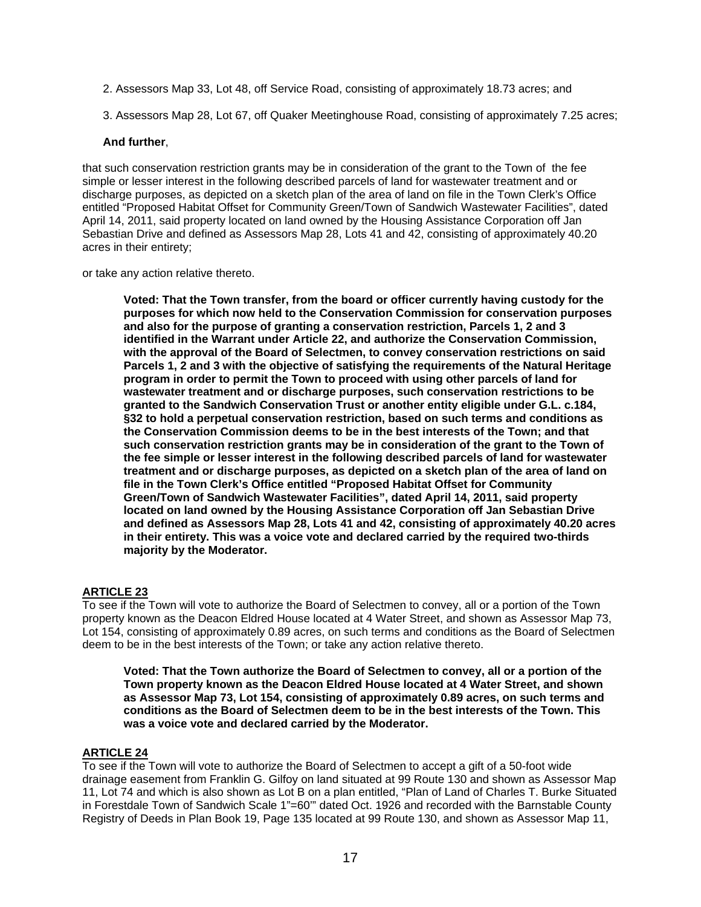2. Assessors Map 33, Lot 48, off Service Road, consisting of approximately 18.73 acres; and

3. Assessors Map 28, Lot 67, off Quaker Meetinghouse Road, consisting of approximately 7.25 acres;

#### **And further**,

that such conservation restriction grants may be in consideration of the grant to the Town of the fee simple or lesser interest in the following described parcels of land for wastewater treatment and or discharge purposes, as depicted on a sketch plan of the area of land on file in the Town Clerk's Office entitled "Proposed Habitat Offset for Community Green/Town of Sandwich Wastewater Facilities", dated April 14, 2011, said property located on land owned by the Housing Assistance Corporation off Jan Sebastian Drive and defined as Assessors Map 28, Lots 41 and 42, consisting of approximately 40.20 acres in their entirety;

or take any action relative thereto.

**Voted: That the Town transfer, from the board or officer currently having custody for the purposes for which now held to the Conservation Commission for conservation purposes and also for the purpose of granting a conservation restriction, Parcels 1, 2 and 3 identified in the Warrant under Article 22, and authorize the Conservation Commission, with the approval of the Board of Selectmen, to convey conservation restrictions on said Parcels 1, 2 and 3 with the objective of satisfying the requirements of the Natural Heritage program in order to permit the Town to proceed with using other parcels of land for wastewater treatment and or discharge purposes, such conservation restrictions to be granted to the Sandwich Conservation Trust or another entity eligible under G.L. c.184, §32 to hold a perpetual conservation restriction, based on such terms and conditions as the Conservation Commission deems to be in the best interests of the Town; and that such conservation restriction grants may be in consideration of the grant to the Town of the fee simple or lesser interest in the following described parcels of land for wastewater treatment and or discharge purposes, as depicted on a sketch plan of the area of land on file in the Town Clerk's Office entitled "Proposed Habitat Offset for Community Green/Town of Sandwich Wastewater Facilities", dated April 14, 2011, said property located on land owned by the Housing Assistance Corporation off Jan Sebastian Drive and defined as Assessors Map 28, Lots 41 and 42, consisting of approximately 40.20 acres in their entirety. This was a voice vote and declared carried by the required two-thirds majority by the Moderator.**

## **ARTICLE 23**

To see if the Town will vote to authorize the Board of Selectmen to convey, all or a portion of the Town property known as the Deacon Eldred House located at 4 Water Street, and shown as Assessor Map 73, Lot 154, consisting of approximately 0.89 acres, on such terms and conditions as the Board of Selectmen deem to be in the best interests of the Town; or take any action relative thereto.

**Voted: That the Town authorize the Board of Selectmen to convey, all or a portion of the Town property known as the Deacon Eldred House located at 4 Water Street, and shown as Assessor Map 73, Lot 154, consisting of approximately 0.89 acres, on such terms and conditions as the Board of Selectmen deem to be in the best interests of the Town. This was a voice vote and declared carried by the Moderator.** 

## **ARTICLE 24**

To see if the Town will vote to authorize the Board of Selectmen to accept a gift of a 50-foot wide drainage easement from Franklin G. Gilfoy on land situated at 99 Route 130 and shown as Assessor Map 11, Lot 74 and which is also shown as Lot B on a plan entitled, "Plan of Land of Charles T. Burke Situated in Forestdale Town of Sandwich Scale 1"=60" dated Oct. 1926 and recorded with the Barnstable County Registry of Deeds in Plan Book 19, Page 135 located at 99 Route 130, and shown as Assessor Map 11,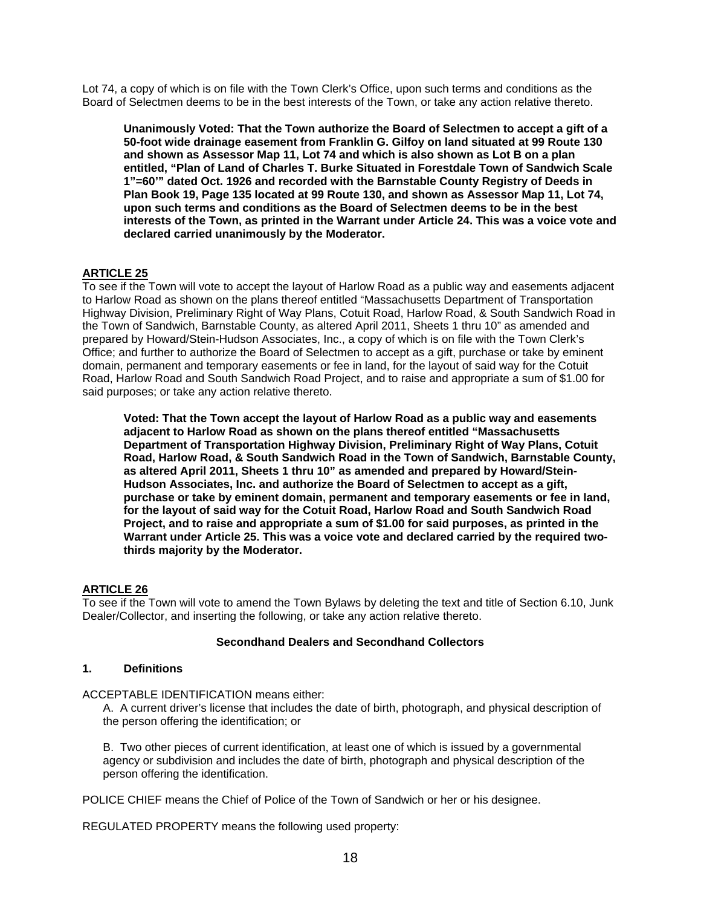Lot 74, a copy of which is on file with the Town Clerk's Office, upon such terms and conditions as the Board of Selectmen deems to be in the best interests of the Town, or take any action relative thereto.

**Unanimously Voted: That the Town authorize the Board of Selectmen to accept a gift of a 50-foot wide drainage easement from Franklin G. Gilfoy on land situated at 99 Route 130 and shown as Assessor Map 11, Lot 74 and which is also shown as Lot B on a plan entitled, "Plan of Land of Charles T. Burke Situated in Forestdale Town of Sandwich Scale 1"=60'" dated Oct. 1926 and recorded with the Barnstable County Registry of Deeds in Plan Book 19, Page 135 located at 99 Route 130, and shown as Assessor Map 11, Lot 74, upon such terms and conditions as the Board of Selectmen deems to be in the best interests of the Town, as printed in the Warrant under Article 24. This was a voice vote and declared carried unanimously by the Moderator.** 

## **ARTICLE 25**

To see if the Town will vote to accept the layout of Harlow Road as a public way and easements adjacent to Harlow Road as shown on the plans thereof entitled "Massachusetts Department of Transportation Highway Division, Preliminary Right of Way Plans, Cotuit Road, Harlow Road, & South Sandwich Road in the Town of Sandwich, Barnstable County, as altered April 2011, Sheets 1 thru 10" as amended and prepared by Howard/Stein-Hudson Associates, Inc., a copy of which is on file with the Town Clerk's Office; and further to authorize the Board of Selectmen to accept as a gift, purchase or take by eminent domain, permanent and temporary easements or fee in land, for the layout of said way for the Cotuit Road, Harlow Road and South Sandwich Road Project, and to raise and appropriate a sum of \$1.00 for said purposes; or take any action relative thereto.

**Voted: That the Town accept the layout of Harlow Road as a public way and easements adjacent to Harlow Road as shown on the plans thereof entitled "Massachusetts Department of Transportation Highway Division, Preliminary Right of Way Plans, Cotuit Road, Harlow Road, & South Sandwich Road in the Town of Sandwich, Barnstable County, as altered April 2011, Sheets 1 thru 10" as amended and prepared by Howard/Stein-Hudson Associates, Inc. and authorize the Board of Selectmen to accept as a gift, purchase or take by eminent domain, permanent and temporary easements or fee in land, for the layout of said way for the Cotuit Road, Harlow Road and South Sandwich Road Project, and to raise and appropriate a sum of \$1.00 for said purposes, as printed in the Warrant under Article 25. This was a voice vote and declared carried by the required twothirds majority by the Moderator.**

## **ARTICLE 26**

To see if the Town will vote to amend the Town Bylaws by deleting the text and title of Section 6.10, Junk Dealer/Collector, and inserting the following, or take any action relative thereto.

## **Secondhand Dealers and Secondhand Collectors**

#### **1. Definitions**

ACCEPTABLE IDENTIFICATION means either:

A. A current driver's license that includes the date of birth, photograph, and physical description of the person offering the identification; or

B. Two other pieces of current identification, at least one of which is issued by a governmental agency or subdivision and includes the date of birth, photograph and physical description of the person offering the identification.

POLICE CHIEF means the Chief of Police of the Town of Sandwich or her or his designee.

REGULATED PROPERTY means the following used property: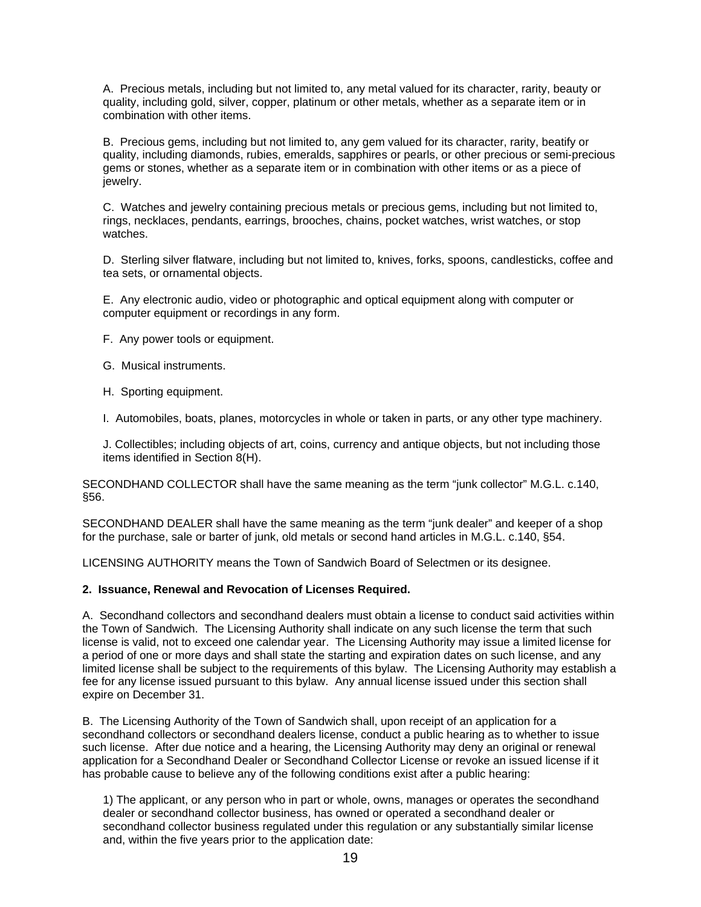A. Precious metals, including but not limited to, any metal valued for its character, rarity, beauty or quality, including gold, silver, copper, platinum or other metals, whether as a separate item or in combination with other items.

B. Precious gems, including but not limited to, any gem valued for its character, rarity, beatify or quality, including diamonds, rubies, emeralds, sapphires or pearls, or other precious or semi-precious gems or stones, whether as a separate item or in combination with other items or as a piece of jewelry.

C. Watches and jewelry containing precious metals or precious gems, including but not limited to, rings, necklaces, pendants, earrings, brooches, chains, pocket watches, wrist watches, or stop watches.

D. Sterling silver flatware, including but not limited to, knives, forks, spoons, candlesticks, coffee and tea sets, or ornamental objects.

E. Any electronic audio, video or photographic and optical equipment along with computer or computer equipment or recordings in any form.

F. Any power tools or equipment.

G. Musical instruments.

H. Sporting equipment.

I. Automobiles, boats, planes, motorcycles in whole or taken in parts, or any other type machinery.

J. Collectibles; including objects of art, coins, currency and antique objects, but not including those items identified in Section 8(H).

SECONDHAND COLLECTOR shall have the same meaning as the term "junk collector" M.G.L. c.140, §56.

SECONDHAND DEALER shall have the same meaning as the term "junk dealer" and keeper of a shop for the purchase, sale or barter of junk, old metals or second hand articles in M.G.L. c.140, §54.

LICENSING AUTHORITY means the Town of Sandwich Board of Selectmen or its designee.

#### **2. Issuance, Renewal and Revocation of Licenses Required.**

A. Secondhand collectors and secondhand dealers must obtain a license to conduct said activities within the Town of Sandwich. The Licensing Authority shall indicate on any such license the term that such license is valid, not to exceed one calendar year. The Licensing Authority may issue a limited license for a period of one or more days and shall state the starting and expiration dates on such license, and any limited license shall be subject to the requirements of this bylaw. The Licensing Authority may establish a fee for any license issued pursuant to this bylaw. Any annual license issued under this section shall expire on December 31.

B. The Licensing Authority of the Town of Sandwich shall, upon receipt of an application for a secondhand collectors or secondhand dealers license, conduct a public hearing as to whether to issue such license. After due notice and a hearing, the Licensing Authority may deny an original or renewal application for a Secondhand Dealer or Secondhand Collector License or revoke an issued license if it has probable cause to believe any of the following conditions exist after a public hearing:

1) The applicant, or any person who in part or whole, owns, manages or operates the secondhand dealer or secondhand collector business, has owned or operated a secondhand dealer or secondhand collector business regulated under this regulation or any substantially similar license and, within the five years prior to the application date: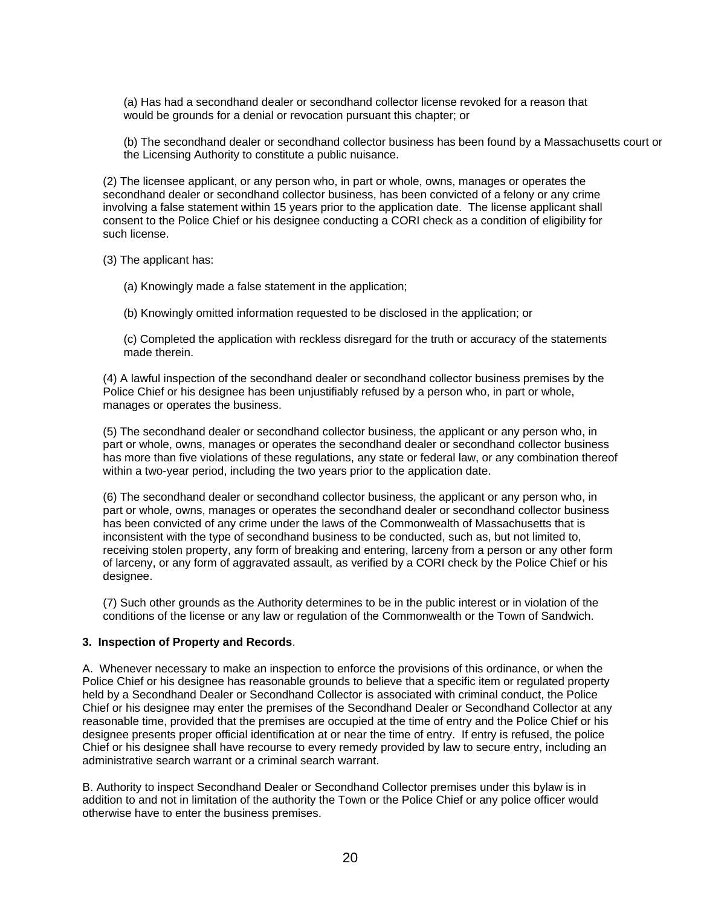(a) Has had a secondhand dealer or secondhand collector license revoked for a reason that would be grounds for a denial or revocation pursuant this chapter; or

(b) The secondhand dealer or secondhand collector business has been found by a Massachusetts court or the Licensing Authority to constitute a public nuisance.

(2) The licensee applicant, or any person who, in part or whole, owns, manages or operates the secondhand dealer or secondhand collector business, has been convicted of a felony or any crime involving a false statement within 15 years prior to the application date. The license applicant shall consent to the Police Chief or his designee conducting a CORI check as a condition of eligibility for such license.

(3) The applicant has:

(a) Knowingly made a false statement in the application;

(b) Knowingly omitted information requested to be disclosed in the application; or

(c) Completed the application with reckless disregard for the truth or accuracy of the statements made therein.

(4) A lawful inspection of the secondhand dealer or secondhand collector business premises by the Police Chief or his designee has been unjustifiably refused by a person who, in part or whole, manages or operates the business.

(5) The secondhand dealer or secondhand collector business, the applicant or any person who, in part or whole, owns, manages or operates the secondhand dealer or secondhand collector business has more than five violations of these regulations, any state or federal law, or any combination thereof within a two-year period, including the two years prior to the application date.

(6) The secondhand dealer or secondhand collector business, the applicant or any person who, in part or whole, owns, manages or operates the secondhand dealer or secondhand collector business has been convicted of any crime under the laws of the Commonwealth of Massachusetts that is inconsistent with the type of secondhand business to be conducted, such as, but not limited to, receiving stolen property, any form of breaking and entering, larceny from a person or any other form of larceny, or any form of aggravated assault, as verified by a CORI check by the Police Chief or his designee.

(7) Such other grounds as the Authority determines to be in the public interest or in violation of the conditions of the license or any law or regulation of the Commonwealth or the Town of Sandwich.

#### **3. Inspection of Property and Records**.

A. Whenever necessary to make an inspection to enforce the provisions of this ordinance, or when the Police Chief or his designee has reasonable grounds to believe that a specific item or regulated property held by a Secondhand Dealer or Secondhand Collector is associated with criminal conduct, the Police Chief or his designee may enter the premises of the Secondhand Dealer or Secondhand Collector at any reasonable time, provided that the premises are occupied at the time of entry and the Police Chief or his designee presents proper official identification at or near the time of entry. If entry is refused, the police Chief or his designee shall have recourse to every remedy provided by law to secure entry, including an administrative search warrant or a criminal search warrant.

B. Authority to inspect Secondhand Dealer or Secondhand Collector premises under this bylaw is in addition to and not in limitation of the authority the Town or the Police Chief or any police officer would otherwise have to enter the business premises.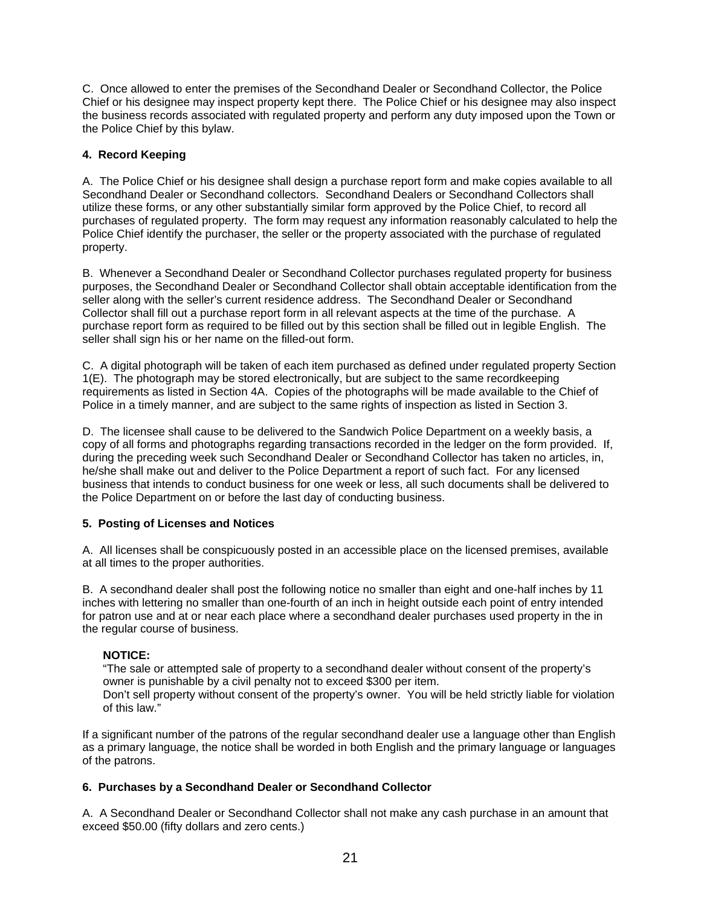C. Once allowed to enter the premises of the Secondhand Dealer or Secondhand Collector, the Police Chief or his designee may inspect property kept there. The Police Chief or his designee may also inspect the business records associated with regulated property and perform any duty imposed upon the Town or the Police Chief by this bylaw.

## **4. Record Keeping**

A. The Police Chief or his designee shall design a purchase report form and make copies available to all Secondhand Dealer or Secondhand collectors. Secondhand Dealers or Secondhand Collectors shall utilize these forms, or any other substantially similar form approved by the Police Chief, to record all purchases of regulated property. The form may request any information reasonably calculated to help the Police Chief identify the purchaser, the seller or the property associated with the purchase of regulated property.

B. Whenever a Secondhand Dealer or Secondhand Collector purchases regulated property for business purposes, the Secondhand Dealer or Secondhand Collector shall obtain acceptable identification from the seller along with the seller's current residence address. The Secondhand Dealer or Secondhand Collector shall fill out a purchase report form in all relevant aspects at the time of the purchase. A purchase report form as required to be filled out by this section shall be filled out in legible English. The seller shall sign his or her name on the filled-out form.

C. A digital photograph will be taken of each item purchased as defined under regulated property Section 1(E). The photograph may be stored electronically, but are subject to the same recordkeeping requirements as listed in Section 4A. Copies of the photographs will be made available to the Chief of Police in a timely manner, and are subject to the same rights of inspection as listed in Section 3.

D. The licensee shall cause to be delivered to the Sandwich Police Department on a weekly basis, a copy of all forms and photographs regarding transactions recorded in the ledger on the form provided. If, during the preceding week such Secondhand Dealer or Secondhand Collector has taken no articles, in, he/she shall make out and deliver to the Police Department a report of such fact. For any licensed business that intends to conduct business for one week or less, all such documents shall be delivered to the Police Department on or before the last day of conducting business.

## **5. Posting of Licenses and Notices**

A. All licenses shall be conspicuously posted in an accessible place on the licensed premises, available at all times to the proper authorities.

B. A secondhand dealer shall post the following notice no smaller than eight and one-half inches by 11 inches with lettering no smaller than one-fourth of an inch in height outside each point of entry intended for patron use and at or near each place where a secondhand dealer purchases used property in the in the regular course of business.

## **NOTICE:**

"The sale or attempted sale of property to a secondhand dealer without consent of the property's owner is punishable by a civil penalty not to exceed \$300 per item.

Don't sell property without consent of the property's owner. You will be held strictly liable for violation of this law."

If a significant number of the patrons of the regular secondhand dealer use a language other than English as a primary language, the notice shall be worded in both English and the primary language or languages of the patrons.

## **6. Purchases by a Secondhand Dealer or Secondhand Collector**

A. A Secondhand Dealer or Secondhand Collector shall not make any cash purchase in an amount that exceed \$50.00 (fifty dollars and zero cents.)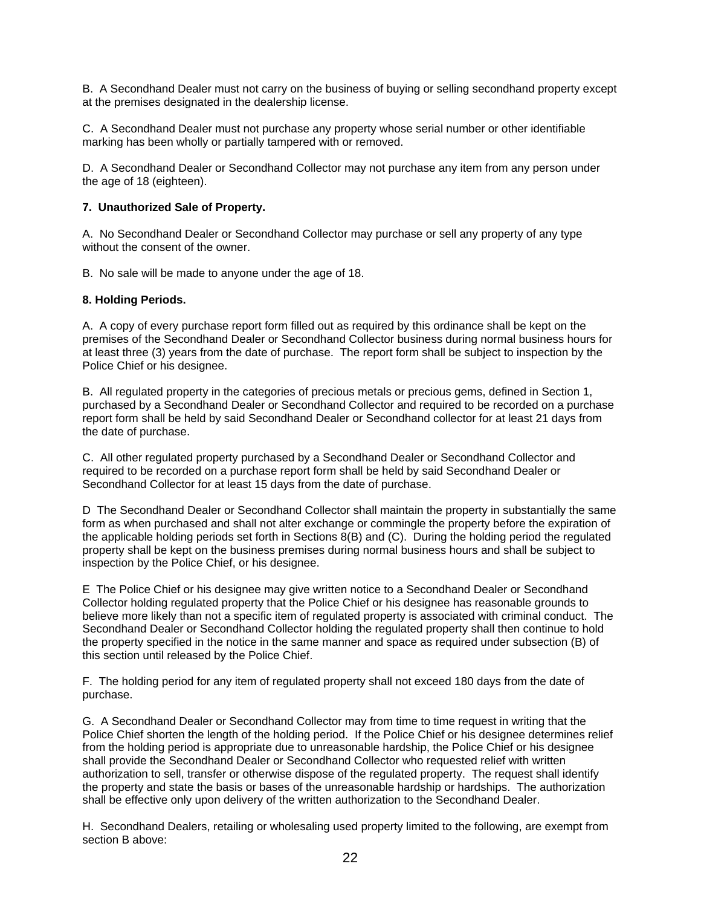B. A Secondhand Dealer must not carry on the business of buying or selling secondhand property except at the premises designated in the dealership license.

C. A Secondhand Dealer must not purchase any property whose serial number or other identifiable marking has been wholly or partially tampered with or removed.

D. A Secondhand Dealer or Secondhand Collector may not purchase any item from any person under the age of 18 (eighteen).

## **7. Unauthorized Sale of Property.**

A. No Secondhand Dealer or Secondhand Collector may purchase or sell any property of any type without the consent of the owner.

B. No sale will be made to anyone under the age of 18.

#### **8. Holding Periods.**

A. A copy of every purchase report form filled out as required by this ordinance shall be kept on the premises of the Secondhand Dealer or Secondhand Collector business during normal business hours for at least three (3) years from the date of purchase. The report form shall be subject to inspection by the Police Chief or his designee.

B. All regulated property in the categories of precious metals or precious gems, defined in Section 1, purchased by a Secondhand Dealer or Secondhand Collector and required to be recorded on a purchase report form shall be held by said Secondhand Dealer or Secondhand collector for at least 21 days from the date of purchase.

C. All other regulated property purchased by a Secondhand Dealer or Secondhand Collector and required to be recorded on a purchase report form shall be held by said Secondhand Dealer or Secondhand Collector for at least 15 days from the date of purchase.

D The Secondhand Dealer or Secondhand Collector shall maintain the property in substantially the same form as when purchased and shall not alter exchange or commingle the property before the expiration of the applicable holding periods set forth in Sections 8(B) and (C). During the holding period the regulated property shall be kept on the business premises during normal business hours and shall be subject to inspection by the Police Chief, or his designee.

E The Police Chief or his designee may give written notice to a Secondhand Dealer or Secondhand Collector holding regulated property that the Police Chief or his designee has reasonable grounds to believe more likely than not a specific item of regulated property is associated with criminal conduct. The Secondhand Dealer or Secondhand Collector holding the regulated property shall then continue to hold the property specified in the notice in the same manner and space as required under subsection (B) of this section until released by the Police Chief.

F. The holding period for any item of regulated property shall not exceed 180 days from the date of purchase.

G. A Secondhand Dealer or Secondhand Collector may from time to time request in writing that the Police Chief shorten the length of the holding period. If the Police Chief or his designee determines relief from the holding period is appropriate due to unreasonable hardship, the Police Chief or his designee shall provide the Secondhand Dealer or Secondhand Collector who requested relief with written authorization to sell, transfer or otherwise dispose of the regulated property. The request shall identify the property and state the basis or bases of the unreasonable hardship or hardships. The authorization shall be effective only upon delivery of the written authorization to the Secondhand Dealer.

H. Secondhand Dealers, retailing or wholesaling used property limited to the following, are exempt from section B above: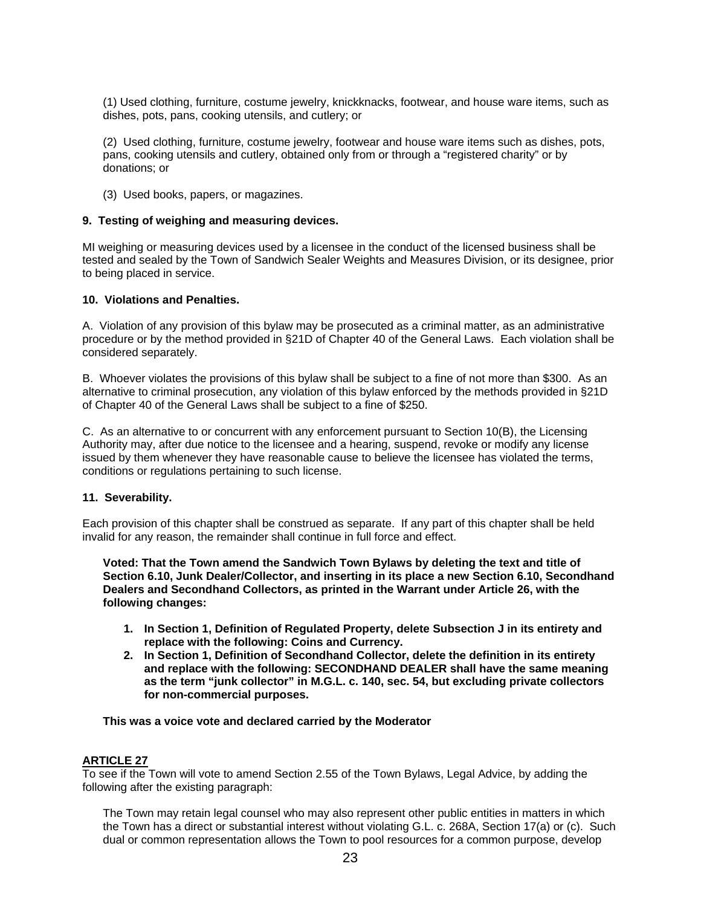(1) Used clothing, furniture, costume jewelry, knickknacks, footwear, and house ware items, such as dishes, pots, pans, cooking utensils, and cutlery; or

(2) Used clothing, furniture, costume jewelry, footwear and house ware items such as dishes, pots, pans, cooking utensils and cutlery, obtained only from or through a "registered charity" or by donations; or

(3) Used books, papers, or magazines.

#### **9. Testing of weighing and measuring devices.**

MI weighing or measuring devices used by a licensee in the conduct of the licensed business shall be tested and sealed by the Town of Sandwich Sealer Weights and Measures Division, or its designee, prior to being placed in service.

#### **10. Violations and Penalties.**

A. Violation of any provision of this bylaw may be prosecuted as a criminal matter, as an administrative procedure or by the method provided in §21D of Chapter 40 of the General Laws. Each violation shall be considered separately.

B. Whoever violates the provisions of this bylaw shall be subject to a fine of not more than \$300. As an alternative to criminal prosecution, any violation of this bylaw enforced by the methods provided in §21D of Chapter 40 of the General Laws shall be subject to a fine of \$250.

C. As an alternative to or concurrent with any enforcement pursuant to Section 10(B), the Licensing Authority may, after due notice to the licensee and a hearing, suspend, revoke or modify any license issued by them whenever they have reasonable cause to believe the licensee has violated the terms, conditions or regulations pertaining to such license.

#### **11. Severability.**

Each provision of this chapter shall be construed as separate. If any part of this chapter shall be held invalid for any reason, the remainder shall continue in full force and effect.

**Voted: That the Town amend the Sandwich Town Bylaws by deleting the text and title of Section 6.10, Junk Dealer/Collector, and inserting in its place a new Section 6.10, Secondhand Dealers and Secondhand Collectors, as printed in the Warrant under Article 26, with the following changes:** 

- **1. In Section 1, Definition of Regulated Property, delete Subsection J in its entirety and replace with the following: Coins and Currency.**
- **2. In Section 1, Definition of Secondhand Collector, delete the definition in its entirety and replace with the following: SECONDHAND DEALER shall have the same meaning as the term "junk collector" in M.G.L. c. 140, sec. 54, but excluding private collectors for non-commercial purposes.**

#### **This was a voice vote and declared carried by the Moderator**

### **ARTICLE 27**

To see if the Town will vote to amend Section 2.55 of the Town Bylaws, Legal Advice, by adding the following after the existing paragraph:

The Town may retain legal counsel who may also represent other public entities in matters in which the Town has a direct or substantial interest without violating G.L. c. 268A, Section 17(a) or (c). Such dual or common representation allows the Town to pool resources for a common purpose, develop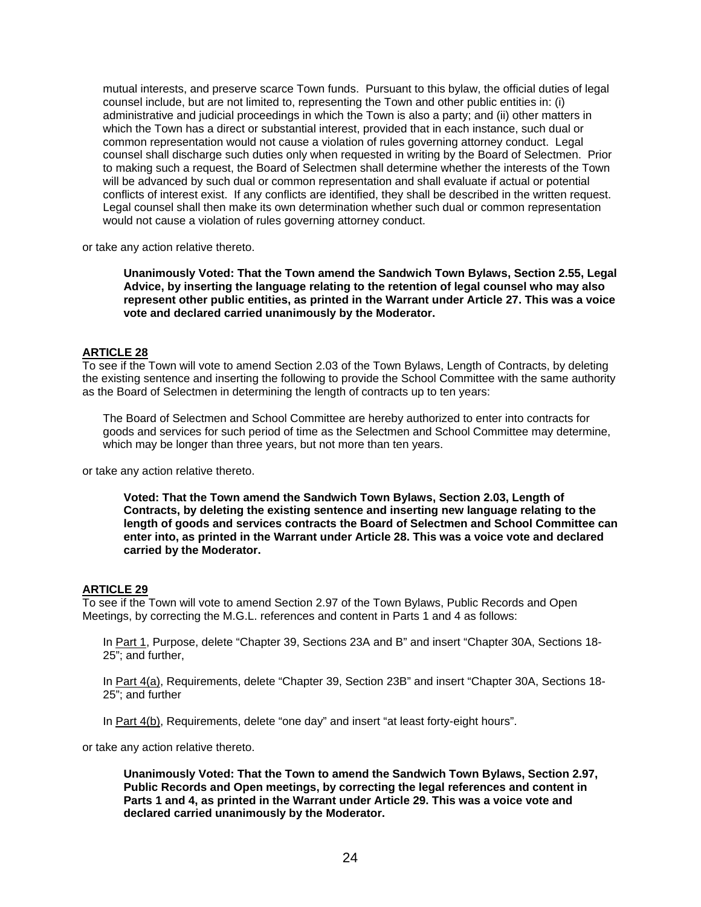mutual interests, and preserve scarce Town funds. Pursuant to this bylaw, the official duties of legal counsel include, but are not limited to, representing the Town and other public entities in: (i) administrative and judicial proceedings in which the Town is also a party; and (ii) other matters in which the Town has a direct or substantial interest, provided that in each instance, such dual or common representation would not cause a violation of rules governing attorney conduct. Legal counsel shall discharge such duties only when requested in writing by the Board of Selectmen. Prior to making such a request, the Board of Selectmen shall determine whether the interests of the Town will be advanced by such dual or common representation and shall evaluate if actual or potential conflicts of interest exist. If any conflicts are identified, they shall be described in the written request. Legal counsel shall then make its own determination whether such dual or common representation would not cause a violation of rules governing attorney conduct.

or take any action relative thereto.

**Unanimously Voted: That the Town amend the Sandwich Town Bylaws, Section 2.55, Legal Advice, by inserting the language relating to the retention of legal counsel who may also represent other public entities, as printed in the Warrant under Article 27. This was a voice vote and declared carried unanimously by the Moderator.** 

## **ARTICLE 28**

To see if the Town will vote to amend Section 2.03 of the Town Bylaws, Length of Contracts, by deleting the existing sentence and inserting the following to provide the School Committee with the same authority as the Board of Selectmen in determining the length of contracts up to ten years:

The Board of Selectmen and School Committee are hereby authorized to enter into contracts for goods and services for such period of time as the Selectmen and School Committee may determine, which may be longer than three years, but not more than ten years.

or take any action relative thereto.

**Voted: That the Town amend the Sandwich Town Bylaws, Section 2.03, Length of Contracts, by deleting the existing sentence and inserting new language relating to the length of goods and services contracts the Board of Selectmen and School Committee can enter into, as printed in the Warrant under Article 28. This was a voice vote and declared carried by the Moderator.** 

### **ARTICLE 29**

To see if the Town will vote to amend Section 2.97 of the Town Bylaws, Public Records and Open Meetings, by correcting the M.G.L. references and content in Parts 1 and 4 as follows:

In Part 1, Purpose, delete "Chapter 39, Sections 23A and B" and insert "Chapter 30A, Sections 18-25"; and further,

In Part 4(a), Requirements, delete "Chapter 39, Section 23B" and insert "Chapter 30A, Sections 18- 25"; and further

In Part 4(b), Requirements, delete "one day" and insert "at least forty-eight hours".

or take any action relative thereto.

**Unanimously Voted: That the Town to amend the Sandwich Town Bylaws, Section 2.97, Public Records and Open meetings, by correcting the legal references and content in Parts 1 and 4, as printed in the Warrant under Article 29. This was a voice vote and declared carried unanimously by the Moderator.**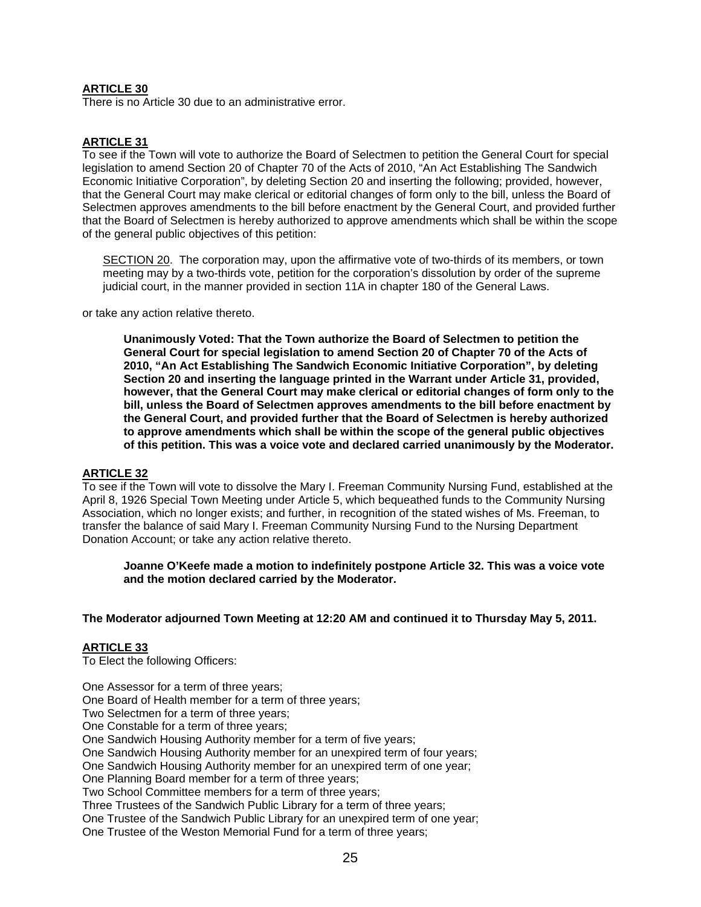## **ARTICLE 30**

There is no Article 30 due to an administrative error.

# **ARTICLE 31**

To see if the Town will vote to authorize the Board of Selectmen to petition the General Court for special legislation to amend Section 20 of Chapter 70 of the Acts of 2010, "An Act Establishing The Sandwich Economic Initiative Corporation", by deleting Section 20 and inserting the following; provided, however, that the General Court may make clerical or editorial changes of form only to the bill, unless the Board of Selectmen approves amendments to the bill before enactment by the General Court, and provided further that the Board of Selectmen is hereby authorized to approve amendments which shall be within the scope of the general public objectives of this petition:

SECTION 20. The corporation may, upon the affirmative vote of two-thirds of its members, or town meeting may by a two-thirds vote, petition for the corporation's dissolution by order of the supreme judicial court, in the manner provided in section 11A in chapter 180 of the General Laws.

or take any action relative thereto.

**Unanimously Voted: That the Town authorize the Board of Selectmen to petition the General Court for special legislation to amend Section 20 of Chapter 70 of the Acts of 2010, "An Act Establishing The Sandwich Economic Initiative Corporation", by deleting Section 20 and inserting the language printed in the Warrant under Article 31, provided, however, that the General Court may make clerical or editorial changes of form only to the bill, unless the Board of Selectmen approves amendments to the bill before enactment by the General Court, and provided further that the Board of Selectmen is hereby authorized to approve amendments which shall be within the scope of the general public objectives of this petition. This was a voice vote and declared carried unanimously by the Moderator.** 

#### **ARTICLE 32**

To see if the Town will vote to dissolve the Mary I. Freeman Community Nursing Fund, established at the April 8, 1926 Special Town Meeting under Article 5, which bequeathed funds to the Community Nursing Association, which no longer exists; and further, in recognition of the stated wishes of Ms. Freeman, to transfer the balance of said Mary I. Freeman Community Nursing Fund to the Nursing Department Donation Account; or take any action relative thereto.

**Joanne O'Keefe made a motion to indefinitely postpone Article 32. This was a voice vote and the motion declared carried by the Moderator.** 

#### **The Moderator adjourned Town Meeting at 12:20 AM and continued it to Thursday May 5, 2011.**

#### **ARTICLE 33**

To Elect the following Officers:

One Assessor for a term of three years;

One Board of Health member for a term of three years;

Two Selectmen for a term of three years;

One Constable for a term of three years;

One Sandwich Housing Authority member for a term of five years;

One Sandwich Housing Authority member for an unexpired term of four years;

One Sandwich Housing Authority member for an unexpired term of one year;

One Planning Board member for a term of three years;

Two School Committee members for a term of three years;

Three Trustees of the Sandwich Public Library for a term of three years;

One Trustee of the Sandwich Public Library for an unexpired term of one year;

One Trustee of the Weston Memorial Fund for a term of three years;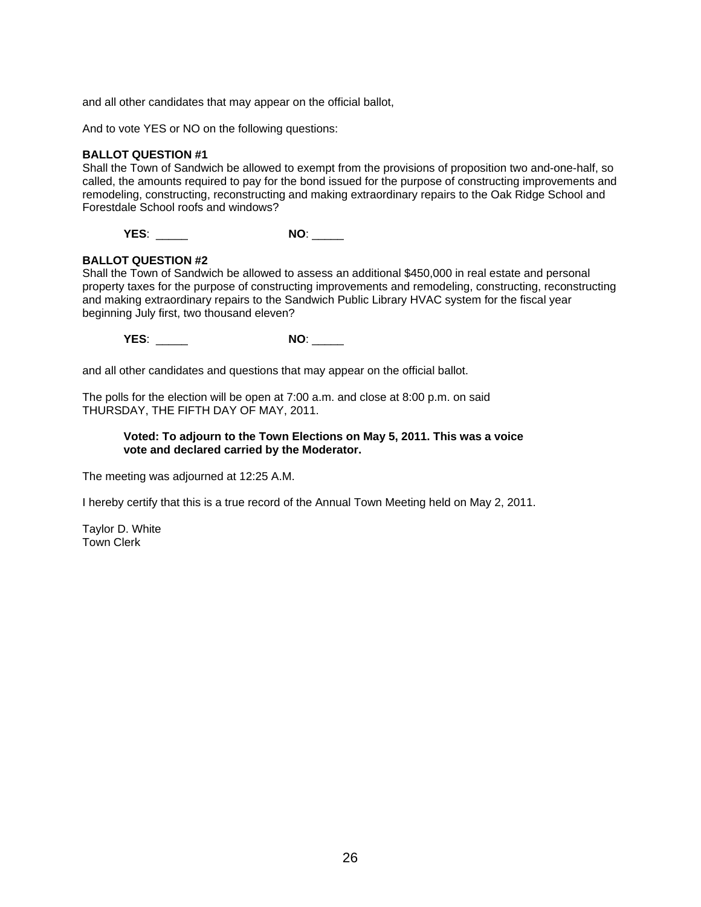and all other candidates that may appear on the official ballot,

And to vote YES or NO on the following questions:

#### **BALLOT QUESTION #1**

Shall the Town of Sandwich be allowed to exempt from the provisions of proposition two and-one-half, so called, the amounts required to pay for the bond issued for the purpose of constructing improvements and remodeling, constructing, reconstructing and making extraordinary repairs to the Oak Ridge School and Forestdale School roofs and windows?

**YES**: \_\_\_\_\_ **NO**: \_\_\_\_\_

## **BALLOT QUESTION #2**

Shall the Town of Sandwich be allowed to assess an additional \$450,000 in real estate and personal property taxes for the purpose of constructing improvements and remodeling, constructing, reconstructing and making extraordinary repairs to the Sandwich Public Library HVAC system for the fiscal year beginning July first, two thousand eleven?

**YES**: \_\_\_\_\_ **NO**: \_\_\_\_\_

and all other candidates and questions that may appear on the official ballot.

The polls for the election will be open at 7:00 a.m. and close at 8:00 p.m. on said THURSDAY, THE FIFTH DAY OF MAY, 2011.

#### **Voted: To adjourn to the Town Elections on May 5, 2011. This was a voice vote and declared carried by the Moderator.**

The meeting was adjourned at 12:25 A.M.

I hereby certify that this is a true record of the Annual Town Meeting held on May 2, 2011.

Taylor D. White Town Clerk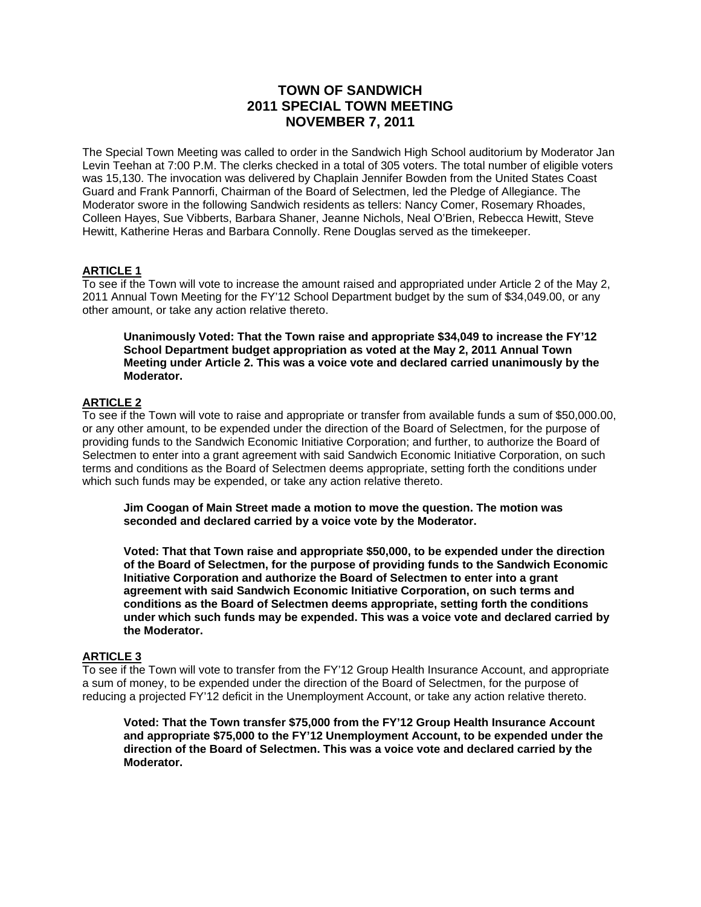# **TOWN OF SANDWICH 2011 SPECIAL TOWN MEETING NOVEMBER 7, 2011**

The Special Town Meeting was called to order in the Sandwich High School auditorium by Moderator Jan Levin Teehan at 7:00 P.M. The clerks checked in a total of 305 voters. The total number of eligible voters was 15,130. The invocation was delivered by Chaplain Jennifer Bowden from the United States Coast Guard and Frank Pannorfi, Chairman of the Board of Selectmen, led the Pledge of Allegiance. The Moderator swore in the following Sandwich residents as tellers: Nancy Comer, Rosemary Rhoades, Colleen Hayes, Sue Vibberts, Barbara Shaner, Jeanne Nichols, Neal O'Brien, Rebecca Hewitt, Steve Hewitt, Katherine Heras and Barbara Connolly. Rene Douglas served as the timekeeper.

### **ARTICLE 1**

To see if the Town will vote to increase the amount raised and appropriated under Article 2 of the May 2, 2011 Annual Town Meeting for the FY'12 School Department budget by the sum of \$34,049.00, or any other amount, or take any action relative thereto.

**Unanimously Voted: That the Town raise and appropriate \$34,049 to increase the FY'12 School Department budget appropriation as voted at the May 2, 2011 Annual Town Meeting under Article 2. This was a voice vote and declared carried unanimously by the Moderator.** 

## **ARTICLE 2**

To see if the Town will vote to raise and appropriate or transfer from available funds a sum of \$50,000.00, or any other amount, to be expended under the direction of the Board of Selectmen, for the purpose of providing funds to the Sandwich Economic Initiative Corporation; and further, to authorize the Board of Selectmen to enter into a grant agreement with said Sandwich Economic Initiative Corporation, on such terms and conditions as the Board of Selectmen deems appropriate, setting forth the conditions under which such funds may be expended, or take any action relative thereto.

**Jim Coogan of Main Street made a motion to move the question. The motion was seconded and declared carried by a voice vote by the Moderator.**

**Voted: That that Town raise and appropriate \$50,000, to be expended under the direction of the Board of Selectmen, for the purpose of providing funds to the Sandwich Economic Initiative Corporation and authorize the Board of Selectmen to enter into a grant agreement with said Sandwich Economic Initiative Corporation, on such terms and conditions as the Board of Selectmen deems appropriate, setting forth the conditions under which such funds may be expended. This was a voice vote and declared carried by the Moderator.**

#### **ARTICLE 3**

To see if the Town will vote to transfer from the FY'12 Group Health Insurance Account, and appropriate a sum of money, to be expended under the direction of the Board of Selectmen, for the purpose of reducing a projected FY'12 deficit in the Unemployment Account, or take any action relative thereto.

**Voted: That the Town transfer \$75,000 from the FY'12 Group Health Insurance Account and appropriate \$75,000 to the FY'12 Unemployment Account, to be expended under the direction of the Board of Selectmen. This was a voice vote and declared carried by the Moderator.**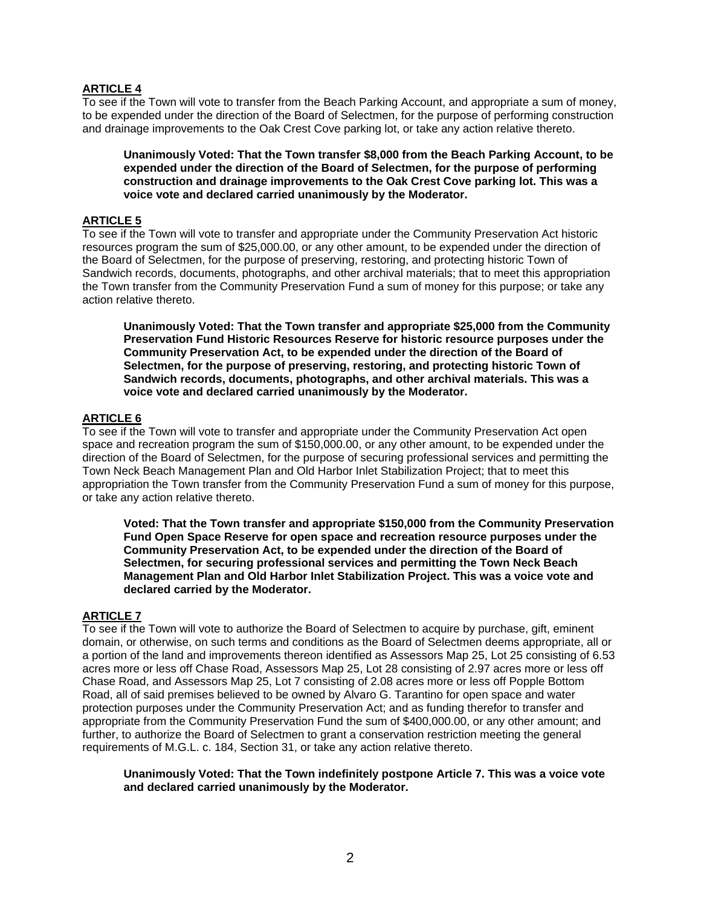## **ARTICLE 4**

To see if the Town will vote to transfer from the Beach Parking Account, and appropriate a sum of money, to be expended under the direction of the Board of Selectmen, for the purpose of performing construction and drainage improvements to the Oak Crest Cove parking lot, or take any action relative thereto.

**Unanimously Voted: That the Town transfer \$8,000 from the Beach Parking Account, to be expended under the direction of the Board of Selectmen, for the purpose of performing construction and drainage improvements to the Oak Crest Cove parking lot. This was a voice vote and declared carried unanimously by the Moderator.** 

#### **ARTICLE 5**

To see if the Town will vote to transfer and appropriate under the Community Preservation Act historic resources program the sum of \$25,000.00, or any other amount, to be expended under the direction of the Board of Selectmen, for the purpose of preserving, restoring, and protecting historic Town of Sandwich records, documents, photographs, and other archival materials; that to meet this appropriation the Town transfer from the Community Preservation Fund a sum of money for this purpose; or take any action relative thereto.

**Unanimously Voted: That the Town transfer and appropriate \$25,000 from the Community Preservation Fund Historic Resources Reserve for historic resource purposes under the Community Preservation Act, to be expended under the direction of the Board of Selectmen, for the purpose of preserving, restoring, and protecting historic Town of Sandwich records, documents, photographs, and other archival materials. This was a voice vote and declared carried unanimously by the Moderator.** 

## **ARTICLE 6**

To see if the Town will vote to transfer and appropriate under the Community Preservation Act open space and recreation program the sum of \$150,000.00, or any other amount, to be expended under the direction of the Board of Selectmen, for the purpose of securing professional services and permitting the Town Neck Beach Management Plan and Old Harbor Inlet Stabilization Project; that to meet this appropriation the Town transfer from the Community Preservation Fund a sum of money for this purpose, or take any action relative thereto.

**Voted: That the Town transfer and appropriate \$150,000 from the Community Preservation Fund Open Space Reserve for open space and recreation resource purposes under the Community Preservation Act, to be expended under the direction of the Board of Selectmen, for securing professional services and permitting the Town Neck Beach Management Plan and Old Harbor Inlet Stabilization Project. This was a voice vote and declared carried by the Moderator.** 

#### **ARTICLE 7**

To see if the Town will vote to authorize the Board of Selectmen to acquire by purchase, gift, eminent domain, or otherwise, on such terms and conditions as the Board of Selectmen deems appropriate, all or a portion of the land and improvements thereon identified as Assessors Map 25, Lot 25 consisting of 6.53 acres more or less off Chase Road, Assessors Map 25, Lot 28 consisting of 2.97 acres more or less off Chase Road, and Assessors Map 25, Lot 7 consisting of 2.08 acres more or less off Popple Bottom Road, all of said premises believed to be owned by Alvaro G. Tarantino for open space and water protection purposes under the Community Preservation Act; and as funding therefor to transfer and appropriate from the Community Preservation Fund the sum of \$400,000.00, or any other amount; and further, to authorize the Board of Selectmen to grant a conservation restriction meeting the general requirements of M.G.L. c. 184, Section 31, or take any action relative thereto.

**Unanimously Voted: That the Town indefinitely postpone Article 7. This was a voice vote and declared carried unanimously by the Moderator.**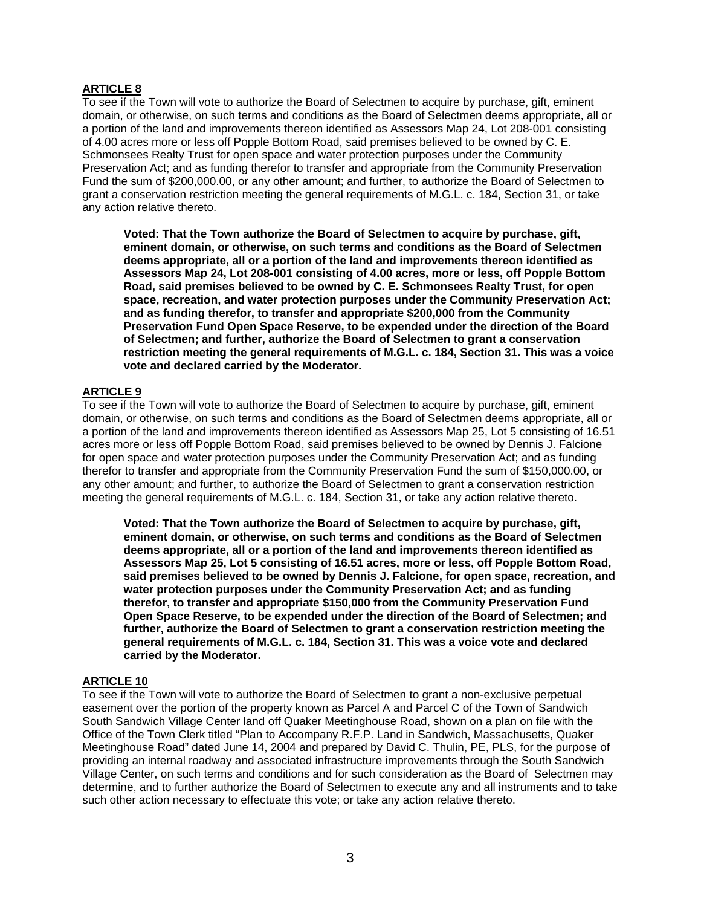## **ARTICLE 8**

To see if the Town will vote to authorize the Board of Selectmen to acquire by purchase, gift, eminent domain, or otherwise, on such terms and conditions as the Board of Selectmen deems appropriate, all or a portion of the land and improvements thereon identified as Assessors Map 24, Lot 208-001 consisting of 4.00 acres more or less off Popple Bottom Road, said premises believed to be owned by C. E. Schmonsees Realty Trust for open space and water protection purposes under the Community Preservation Act; and as funding therefor to transfer and appropriate from the Community Preservation Fund the sum of \$200,000.00, or any other amount; and further, to authorize the Board of Selectmen to grant a conservation restriction meeting the general requirements of M.G.L. c. 184, Section 31, or take any action relative thereto.

**Voted: That the Town authorize the Board of Selectmen to acquire by purchase, gift, eminent domain, or otherwise, on such terms and conditions as the Board of Selectmen deems appropriate, all or a portion of the land and improvements thereon identified as Assessors Map 24, Lot 208-001 consisting of 4.00 acres, more or less, off Popple Bottom Road, said premises believed to be owned by C. E. Schmonsees Realty Trust, for open space, recreation, and water protection purposes under the Community Preservation Act; and as funding therefor, to transfer and appropriate \$200,000 from the Community Preservation Fund Open Space Reserve, to be expended under the direction of the Board of Selectmen; and further, authorize the Board of Selectmen to grant a conservation restriction meeting the general requirements of M.G.L. c. 184, Section 31. This was a voice vote and declared carried by the Moderator.** 

#### **ARTICLE 9**

To see if the Town will vote to authorize the Board of Selectmen to acquire by purchase, gift, eminent domain, or otherwise, on such terms and conditions as the Board of Selectmen deems appropriate, all or a portion of the land and improvements thereon identified as Assessors Map 25, Lot 5 consisting of 16.51 acres more or less off Popple Bottom Road, said premises believed to be owned by Dennis J. Falcione for open space and water protection purposes under the Community Preservation Act; and as funding therefor to transfer and appropriate from the Community Preservation Fund the sum of \$150,000.00, or any other amount; and further, to authorize the Board of Selectmen to grant a conservation restriction meeting the general requirements of M.G.L. c. 184, Section 31, or take any action relative thereto.

**Voted: That the Town authorize the Board of Selectmen to acquire by purchase, gift, eminent domain, or otherwise, on such terms and conditions as the Board of Selectmen deems appropriate, all or a portion of the land and improvements thereon identified as Assessors Map 25, Lot 5 consisting of 16.51 acres, more or less, off Popple Bottom Road, said premises believed to be owned by Dennis J. Falcione, for open space, recreation, and water protection purposes under the Community Preservation Act; and as funding therefor, to transfer and appropriate \$150,000 from the Community Preservation Fund Open Space Reserve, to be expended under the direction of the Board of Selectmen; and further, authorize the Board of Selectmen to grant a conservation restriction meeting the general requirements of M.G.L. c. 184, Section 31. This was a voice vote and declared carried by the Moderator.** 

## **ARTICLE 10**

To see if the Town will vote to authorize the Board of Selectmen to grant a non-exclusive perpetual easement over the portion of the property known as Parcel A and Parcel C of the Town of Sandwich South Sandwich Village Center land off Quaker Meetinghouse Road, shown on a plan on file with the Office of the Town Clerk titled "Plan to Accompany R.F.P. Land in Sandwich, Massachusetts, Quaker Meetinghouse Road" dated June 14, 2004 and prepared by David C. Thulin, PE, PLS, for the purpose of providing an internal roadway and associated infrastructure improvements through the South Sandwich Village Center, on such terms and conditions and for such consideration as the Board of Selectmen may determine, and to further authorize the Board of Selectmen to execute any and all instruments and to take such other action necessary to effectuate this vote; or take any action relative thereto.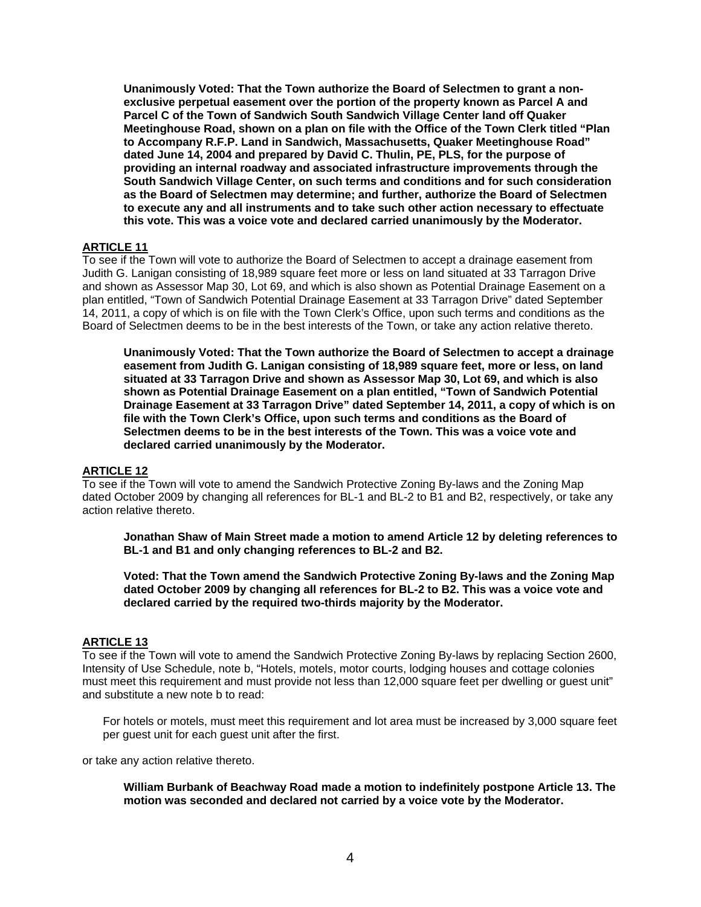**Unanimously Voted: That the Town authorize the Board of Selectmen to grant a nonexclusive perpetual easement over the portion of the property known as Parcel A and Parcel C of the Town of Sandwich South Sandwich Village Center land off Quaker Meetinghouse Road, shown on a plan on file with the Office of the Town Clerk titled "Plan to Accompany R.F.P. Land in Sandwich, Massachusetts, Quaker Meetinghouse Road" dated June 14, 2004 and prepared by David C. Thulin, PE, PLS, for the purpose of providing an internal roadway and associated infrastructure improvements through the South Sandwich Village Center, on such terms and conditions and for such consideration as the Board of Selectmen may determine; and further, authorize the Board of Selectmen to execute any and all instruments and to take such other action necessary to effectuate this vote. This was a voice vote and declared carried unanimously by the Moderator.** 

#### **ARTICLE 11**

To see if the Town will vote to authorize the Board of Selectmen to accept a drainage easement from Judith G. Lanigan consisting of 18,989 square feet more or less on land situated at 33 Tarragon Drive and shown as Assessor Map 30, Lot 69, and which is also shown as Potential Drainage Easement on a plan entitled, "Town of Sandwich Potential Drainage Easement at 33 Tarragon Drive" dated September 14, 2011, a copy of which is on file with the Town Clerk's Office, upon such terms and conditions as the Board of Selectmen deems to be in the best interests of the Town, or take any action relative thereto.

**Unanimously Voted: That the Town authorize the Board of Selectmen to accept a drainage easement from Judith G. Lanigan consisting of 18,989 square feet, more or less, on land situated at 33 Tarragon Drive and shown as Assessor Map 30, Lot 69, and which is also shown as Potential Drainage Easement on a plan entitled, "Town of Sandwich Potential Drainage Easement at 33 Tarragon Drive" dated September 14, 2011, a copy of which is on file with the Town Clerk's Office, upon such terms and conditions as the Board of Selectmen deems to be in the best interests of the Town. This was a voice vote and declared carried unanimously by the Moderator.** 

#### **ARTICLE 12**

To see if the Town will vote to amend the Sandwich Protective Zoning By-laws and the Zoning Map dated October 2009 by changing all references for BL-1 and BL-2 to B1 and B2, respectively, or take any action relative thereto.

**Jonathan Shaw of Main Street made a motion to amend Article 12 by deleting references to BL-1 and B1 and only changing references to BL-2 and B2.** 

**Voted: That the Town amend the Sandwich Protective Zoning By-laws and the Zoning Map dated October 2009 by changing all references for BL-2 to B2. This was a voice vote and declared carried by the required two-thirds majority by the Moderator.** 

## **ARTICLE 13**

To see if the Town will vote to amend the Sandwich Protective Zoning By-laws by replacing Section 2600, Intensity of Use Schedule, note b, "Hotels, motels, motor courts, lodging houses and cottage colonies must meet this requirement and must provide not less than 12,000 square feet per dwelling or guest unit" and substitute a new note b to read:

For hotels or motels, must meet this requirement and lot area must be increased by 3,000 square feet per guest unit for each guest unit after the first.

or take any action relative thereto.

**William Burbank of Beachway Road made a motion to indefinitely postpone Article 13. The motion was seconded and declared not carried by a voice vote by the Moderator.**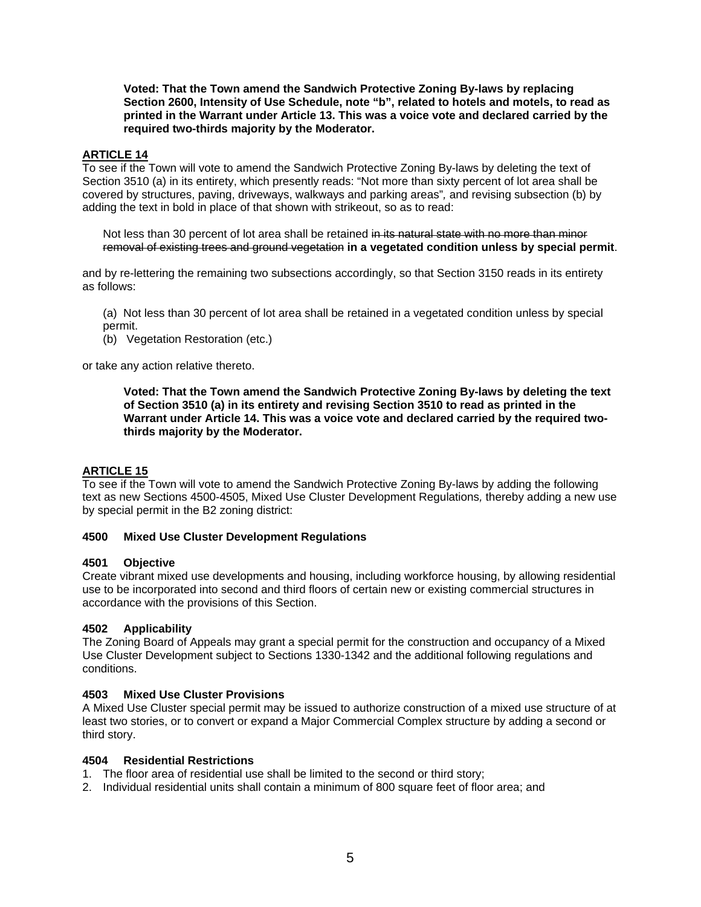**Voted: That the Town amend the Sandwich Protective Zoning By-laws by replacing Section 2600, Intensity of Use Schedule, note "b", related to hotels and motels, to read as printed in the Warrant under Article 13. This was a voice vote and declared carried by the required two-thirds majority by the Moderator.** 

# **ARTICLE 14**

To see if the Town will vote to amend the Sandwich Protective Zoning By-laws by deleting the text of Section 3510 (a) in its entirety, which presently reads: "Not more than sixty percent of lot area shall be covered by structures, paving, driveways, walkways and parking areas"*,* and revising subsection (b) by adding the text in bold in place of that shown with strikeout, so as to read:

Not less than 30 percent of lot area shall be retained in its natural state with no more than minor removal of existing trees and ground vegetation **in a vegetated condition unless by special permit**.

and by re-lettering the remaining two subsections accordingly, so that Section 3150 reads in its entirety as follows:

(a) Not less than 30 percent of lot area shall be retained in a vegetated condition unless by special permit.

(b) Vegetation Restoration (etc.)

or take any action relative thereto.

**Voted: That the Town amend the Sandwich Protective Zoning By-laws by deleting the text of Section 3510 (a) in its entirety and revising Section 3510 to read as printed in the Warrant under Article 14. This was a voice vote and declared carried by the required twothirds majority by the Moderator.**

#### **ARTICLE 15**

To see if the Town will vote to amend the Sandwich Protective Zoning By-laws by adding the following text as new Sections 4500-4505, Mixed Use Cluster Development Regulations*,* thereby adding a new use by special permit in the B2 zoning district:

#### **4500 Mixed Use Cluster Development Regulations**

#### **4501 Objective**

Create vibrant mixed use developments and housing, including workforce housing, by allowing residential use to be incorporated into second and third floors of certain new or existing commercial structures in accordance with the provisions of this Section.

#### **4502 Applicability**

The Zoning Board of Appeals may grant a special permit for the construction and occupancy of a Mixed Use Cluster Development subject to Sections 1330-1342 and the additional following regulations and conditions.

#### **4503 Mixed Use Cluster Provisions**

A Mixed Use Cluster special permit may be issued to authorize construction of a mixed use structure of at least two stories, or to convert or expand a Major Commercial Complex structure by adding a second or third story.

#### **4504 Residential Restrictions**

- 1. The floor area of residential use shall be limited to the second or third story;
- 2. Individual residential units shall contain a minimum of 800 square feet of floor area; and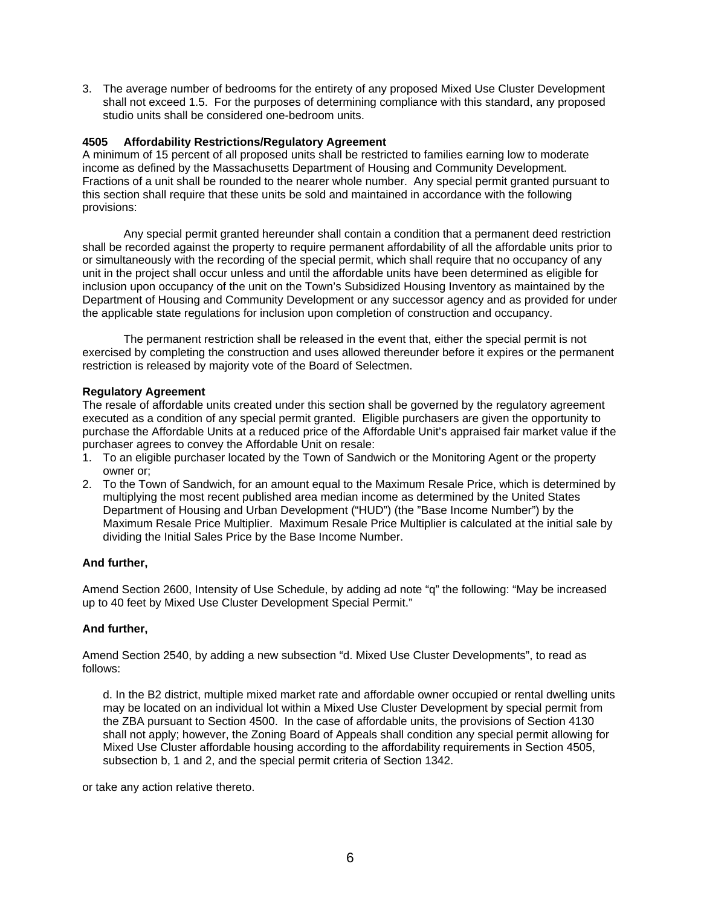3. The average number of bedrooms for the entirety of any proposed Mixed Use Cluster Development shall not exceed 1.5. For the purposes of determining compliance with this standard, any proposed studio units shall be considered one-bedroom units.

## **4505 Affordability Restrictions/Regulatory Agreement**

A minimum of 15 percent of all proposed units shall be restricted to families earning low to moderate income as defined by the Massachusetts Department of Housing and Community Development. Fractions of a unit shall be rounded to the nearer whole number. Any special permit granted pursuant to this section shall require that these units be sold and maintained in accordance with the following provisions:

Any special permit granted hereunder shall contain a condition that a permanent deed restriction shall be recorded against the property to require permanent affordability of all the affordable units prior to or simultaneously with the recording of the special permit, which shall require that no occupancy of any unit in the project shall occur unless and until the affordable units have been determined as eligible for inclusion upon occupancy of the unit on the Town's Subsidized Housing Inventory as maintained by the Department of Housing and Community Development or any successor agency and as provided for under the applicable state regulations for inclusion upon completion of construction and occupancy.

The permanent restriction shall be released in the event that, either the special permit is not exercised by completing the construction and uses allowed thereunder before it expires or the permanent restriction is released by majority vote of the Board of Selectmen.

#### **Regulatory Agreement**

The resale of affordable units created under this section shall be governed by the regulatory agreement executed as a condition of any special permit granted. Eligible purchasers are given the opportunity to purchase the Affordable Units at a reduced price of the Affordable Unit's appraised fair market value if the purchaser agrees to convey the Affordable Unit on resale:

- 1. To an eligible purchaser located by the Town of Sandwich or the Monitoring Agent or the property owner or;
- 2. To the Town of Sandwich, for an amount equal to the Maximum Resale Price, which is determined by multiplying the most recent published area median income as determined by the United States Department of Housing and Urban Development ("HUD") (the "Base Income Number") by the Maximum Resale Price Multiplier. Maximum Resale Price Multiplier is calculated at the initial sale by dividing the Initial Sales Price by the Base Income Number.

## **And further,**

Amend Section 2600, Intensity of Use Schedule, by adding ad note "q" the following: "May be increased up to 40 feet by Mixed Use Cluster Development Special Permit."

## **And further,**

Amend Section 2540, by adding a new subsection "d. Mixed Use Cluster Developments", to read as follows:

d. In the B2 district, multiple mixed market rate and affordable owner occupied or rental dwelling units may be located on an individual lot within a Mixed Use Cluster Development by special permit from the ZBA pursuant to Section 4500. In the case of affordable units, the provisions of Section 4130 shall not apply; however, the Zoning Board of Appeals shall condition any special permit allowing for Mixed Use Cluster affordable housing according to the affordability requirements in Section 4505, subsection b, 1 and 2, and the special permit criteria of Section 1342.

or take any action relative thereto.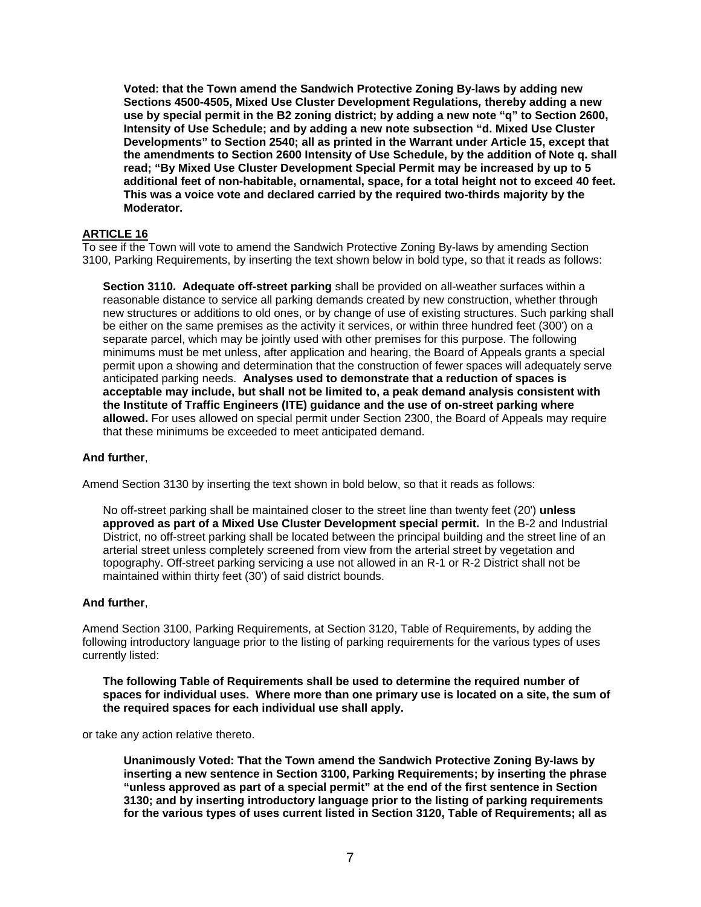**Voted: that the Town amend the Sandwich Protective Zoning By-laws by adding new Sections 4500-4505, Mixed Use Cluster Development Regulations***,* **thereby adding a new use by special permit in the B2 zoning district; by adding a new note "q" to Section 2600, Intensity of Use Schedule; and by adding a new note subsection "d. Mixed Use Cluster Developments" to Section 2540; all as printed in the Warrant under Article 15, except that the amendments to Section 2600 Intensity of Use Schedule, by the addition of Note q. shall read; "By Mixed Use Cluster Development Special Permit may be increased by up to 5 additional feet of non-habitable, ornamental, space, for a total height not to exceed 40 feet. This was a voice vote and declared carried by the required two-thirds majority by the Moderator.** 

## **ARTICLE 16**

To see if the Town will vote to amend the Sandwich Protective Zoning By-laws by amending Section 3100, Parking Requirements, by inserting the text shown below in bold type, so that it reads as follows:

**Section 3110. Adequate off-street parking** shall be provided on all-weather surfaces within a reasonable distance to service all parking demands created by new construction, whether through new structures or additions to old ones, or by change of use of existing structures. Such parking shall be either on the same premises as the activity it services, or within three hundred feet (300') on a separate parcel, which may be jointly used with other premises for this purpose. The following minimums must be met unless, after application and hearing, the Board of Appeals grants a special permit upon a showing and determination that the construction of fewer spaces will adequately serve anticipated parking needs. **Analyses used to demonstrate that a reduction of spaces is acceptable may include, but shall not be limited to, a peak demand analysis consistent with the Institute of Traffic Engineers (ITE) guidance and the use of on-street parking where allowed.** For uses allowed on special permit under Section 2300, the Board of Appeals may require that these minimums be exceeded to meet anticipated demand.

#### **And further**,

Amend Section 3130 by inserting the text shown in bold below, so that it reads as follows:

No off-street parking shall be maintained closer to the street line than twenty feet (20') **unless approved as part of a Mixed Use Cluster Development special permit.** In the B-2 and Industrial District, no off-street parking shall be located between the principal building and the street line of an arterial street unless completely screened from view from the arterial street by vegetation and topography. Off-street parking servicing a use not allowed in an R-1 or R-2 District shall not be maintained within thirty feet (30') of said district bounds.

#### **And further**,

Amend Section 3100, Parking Requirements, at Section 3120, Table of Requirements, by adding the following introductory language prior to the listing of parking requirements for the various types of uses currently listed:

**The following Table of Requirements shall be used to determine the required number of spaces for individual uses. Where more than one primary use is located on a site, the sum of the required spaces for each individual use shall apply.** 

or take any action relative thereto.

**Unanimously Voted: That the Town amend the Sandwich Protective Zoning By-laws by inserting a new sentence in Section 3100, Parking Requirements; by inserting the phrase "unless approved as part of a special permit" at the end of the first sentence in Section 3130; and by inserting introductory language prior to the listing of parking requirements for the various types of uses current listed in Section 3120, Table of Requirements; all as**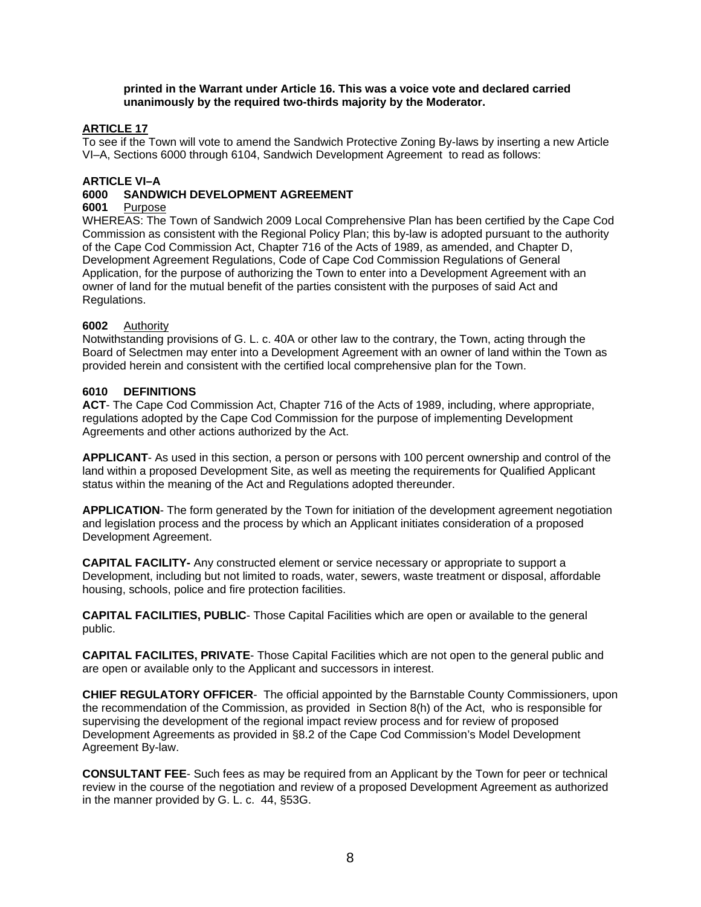#### **printed in the Warrant under Article 16. This was a voice vote and declared carried unanimously by the required two-thirds majority by the Moderator.**

## **ARTICLE 17**

To see if the Town will vote to amend the Sandwich Protective Zoning By-laws by inserting a new Article VI–A, Sections 6000 through 6104, Sandwich Development Agreement to read as follows:

#### **ARTICLE VI–A**

# **6000 SANDWICH DEVELOPMENT AGREEMENT**

#### **Purpose**

WHEREAS: The Town of Sandwich 2009 Local Comprehensive Plan has been certified by the Cape Cod Commission as consistent with the Regional Policy Plan; this by-law is adopted pursuant to the authority of the Cape Cod Commission Act, Chapter 716 of the Acts of 1989, as amended, and Chapter D, Development Agreement Regulations, Code of Cape Cod Commission Regulations of General Application, for the purpose of authorizing the Town to enter into a Development Agreement with an owner of land for the mutual benefit of the parties consistent with the purposes of said Act and Regulations.

#### **6002** Authority

Notwithstanding provisions of G. L. c. 40A or other law to the contrary, the Town, acting through the Board of Selectmen may enter into a Development Agreement with an owner of land within the Town as provided herein and consistent with the certified local comprehensive plan for the Town.

#### **6010 DEFINITIONS**

**ACT**- The Cape Cod Commission Act, Chapter 716 of the Acts of 1989, including, where appropriate, regulations adopted by the Cape Cod Commission for the purpose of implementing Development Agreements and other actions authorized by the Act.

**APPLICANT**- As used in this section, a person or persons with 100 percent ownership and control of the land within a proposed Development Site, as well as meeting the requirements for Qualified Applicant status within the meaning of the Act and Regulations adopted thereunder.

**APPLICATION**- The form generated by the Town for initiation of the development agreement negotiation and legislation process and the process by which an Applicant initiates consideration of a proposed Development Agreement.

**CAPITAL FACILITY-** Any constructed element or service necessary or appropriate to support a Development, including but not limited to roads, water, sewers, waste treatment or disposal, affordable housing, schools, police and fire protection facilities.

**CAPITAL FACILITIES, PUBLIC**- Those Capital Facilities which are open or available to the general public.

**CAPITAL FACILITES, PRIVATE**- Those Capital Facilities which are not open to the general public and are open or available only to the Applicant and successors in interest.

**CHIEF REGULATORY OFFICER**-The official appointed by the Barnstable County Commissioners, upon the recommendation of the Commission, as provided in Section 8(h) of the Act, who is responsible for supervising the development of the regional impact review process and for review of proposed Development Agreements as provided in §8.2 of the Cape Cod Commission's Model Development Agreement By-law.

**CONSULTANT FEE**- Such fees as may be required from an Applicant by the Town for peer or technical review in the course of the negotiation and review of a proposed Development Agreement as authorized in the manner provided by G. L. c. 44, §53G.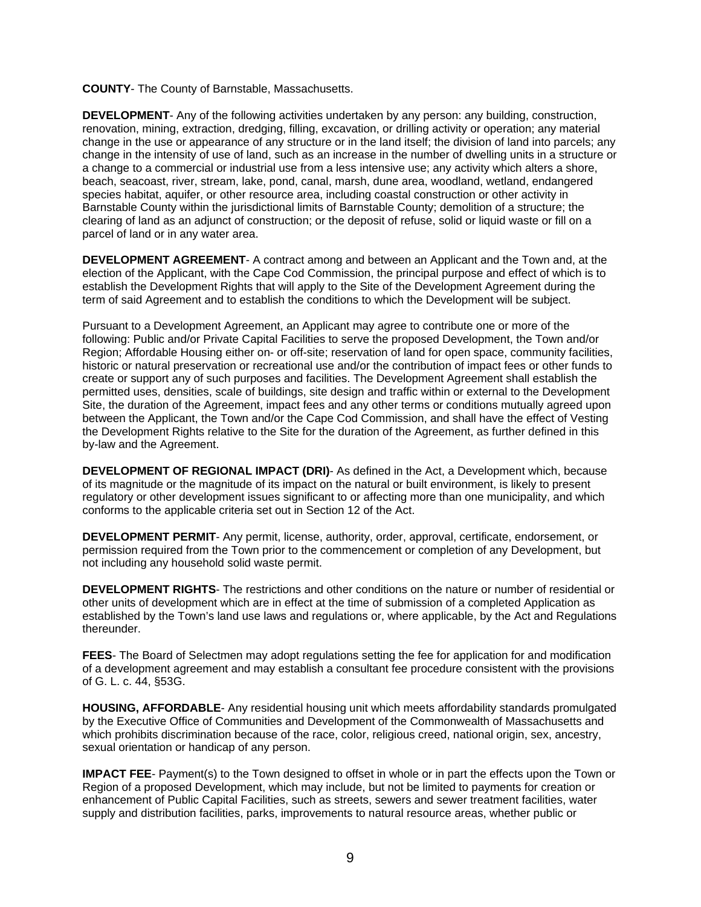**COUNTY**- The County of Barnstable, Massachusetts.

**DEVELOPMENT**- Any of the following activities undertaken by any person: any building, construction, renovation, mining, extraction, dredging, filling, excavation, or drilling activity or operation; any material change in the use or appearance of any structure or in the land itself; the division of land into parcels; any change in the intensity of use of land, such as an increase in the number of dwelling units in a structure or a change to a commercial or industrial use from a less intensive use; any activity which alters a shore, beach, seacoast, river, stream, lake, pond, canal, marsh, dune area, woodland, wetland, endangered species habitat, aquifer, or other resource area, including coastal construction or other activity in Barnstable County within the jurisdictional limits of Barnstable County; demolition of a structure; the clearing of land as an adjunct of construction; or the deposit of refuse, solid or liquid waste or fill on a parcel of land or in any water area.

**DEVELOPMENT AGREEMENT**- A contract among and between an Applicant and the Town and, at the election of the Applicant, with the Cape Cod Commission, the principal purpose and effect of which is to establish the Development Rights that will apply to the Site of the Development Agreement during the term of said Agreement and to establish the conditions to which the Development will be subject.

Pursuant to a Development Agreement, an Applicant may agree to contribute one or more of the following: Public and/or Private Capital Facilities to serve the proposed Development, the Town and/or Region; Affordable Housing either on- or off-site; reservation of land for open space, community facilities, historic or natural preservation or recreational use and/or the contribution of impact fees or other funds to create or support any of such purposes and facilities. The Development Agreement shall establish the permitted uses, densities, scale of buildings, site design and traffic within or external to the Development Site, the duration of the Agreement, impact fees and any other terms or conditions mutually agreed upon between the Applicant, the Town and/or the Cape Cod Commission, and shall have the effect of Vesting the Development Rights relative to the Site for the duration of the Agreement, as further defined in this by-law and the Agreement.

**DEVELOPMENT OF REGIONAL IMPACT (DRI)**- As defined in the Act, a Development which, because of its magnitude or the magnitude of its impact on the natural or built environment, is likely to present regulatory or other development issues significant to or affecting more than one municipality, and which conforms to the applicable criteria set out in Section 12 of the Act.

**DEVELOPMENT PERMIT**- Any permit, license, authority, order, approval, certificate, endorsement, or permission required from the Town prior to the commencement or completion of any Development, but not including any household solid waste permit.

**DEVELOPMENT RIGHTS**- The restrictions and other conditions on the nature or number of residential or other units of development which are in effect at the time of submission of a completed Application as established by the Town's land use laws and regulations or, where applicable, by the Act and Regulations thereunder.

**FEES**- The Board of Selectmen may adopt regulations setting the fee for application for and modification of a development agreement and may establish a consultant fee procedure consistent with the provisions of G. L. c. 44, §53G.

**HOUSING, AFFORDABLE**- Any residential housing unit which meets affordability standards promulgated by the Executive Office of Communities and Development of the Commonwealth of Massachusetts and which prohibits discrimination because of the race, color, religious creed, national origin, sex, ancestry, sexual orientation or handicap of any person.

**IMPACT FEE**- Payment(s) to the Town designed to offset in whole or in part the effects upon the Town or Region of a proposed Development, which may include, but not be limited to payments for creation or enhancement of Public Capital Facilities, such as streets, sewers and sewer treatment facilities, water supply and distribution facilities, parks, improvements to natural resource areas, whether public or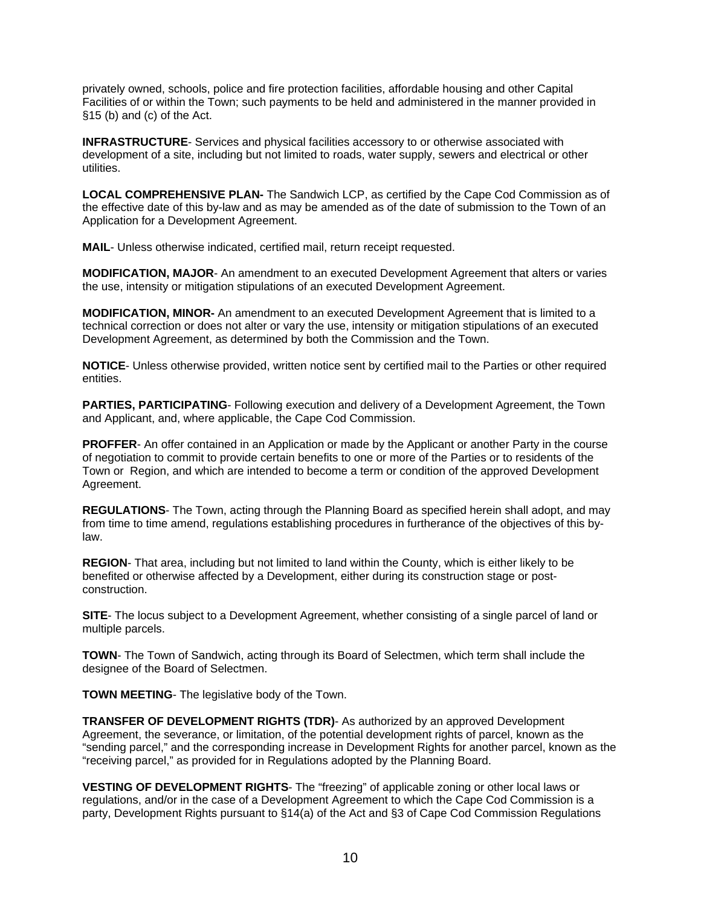privately owned, schools, police and fire protection facilities, affordable housing and other Capital Facilities of or within the Town; such payments to be held and administered in the manner provided in §15 (b) and (c) of the Act.

**INFRASTRUCTURE**- Services and physical facilities accessory to or otherwise associated with development of a site, including but not limited to roads, water supply, sewers and electrical or other utilities.

**LOCAL COMPREHENSIVE PLAN-** The Sandwich LCP, as certified by the Cape Cod Commission as of the effective date of this by-law and as may be amended as of the date of submission to the Town of an Application for a Development Agreement.

**MAIL**- Unless otherwise indicated, certified mail, return receipt requested.

**MODIFICATION, MAJOR**- An amendment to an executed Development Agreement that alters or varies the use, intensity or mitigation stipulations of an executed Development Agreement.

**MODIFICATION, MINOR-** An amendment to an executed Development Agreement that is limited to a technical correction or does not alter or vary the use, intensity or mitigation stipulations of an executed Development Agreement, as determined by both the Commission and the Town.

**NOTICE**- Unless otherwise provided, written notice sent by certified mail to the Parties or other required entities.

**PARTIES, PARTICIPATING**- Following execution and delivery of a Development Agreement, the Town and Applicant, and, where applicable, the Cape Cod Commission.

**PROFFER**- An offer contained in an Application or made by the Applicant or another Party in the course of negotiation to commit to provide certain benefits to one or more of the Parties or to residents of the Town or Region, and which are intended to become a term or condition of the approved Development Agreement.

**REGULATIONS**- The Town, acting through the Planning Board as specified herein shall adopt, and may from time to time amend, regulations establishing procedures in furtherance of the objectives of this bylaw.

**REGION**- That area, including but not limited to land within the County, which is either likely to be benefited or otherwise affected by a Development, either during its construction stage or postconstruction.

**SITE**- The locus subject to a Development Agreement, whether consisting of a single parcel of land or multiple parcels.

**TOWN**- The Town of Sandwich, acting through its Board of Selectmen, which term shall include the designee of the Board of Selectmen.

**TOWN MEETING**- The legislative body of the Town.

**TRANSFER OF DEVELOPMENT RIGHTS (TDR)**- As authorized by an approved Development Agreement, the severance, or limitation, of the potential development rights of parcel, known as the "sending parcel," and the corresponding increase in Development Rights for another parcel, known as the "receiving parcel," as provided for in Regulations adopted by the Planning Board.

**VESTING OF DEVELOPMENT RIGHTS**- The "freezing" of applicable zoning or other local laws or regulations, and/or in the case of a Development Agreement to which the Cape Cod Commission is a party, Development Rights pursuant to §14(a) of the Act and §3 of Cape Cod Commission Regulations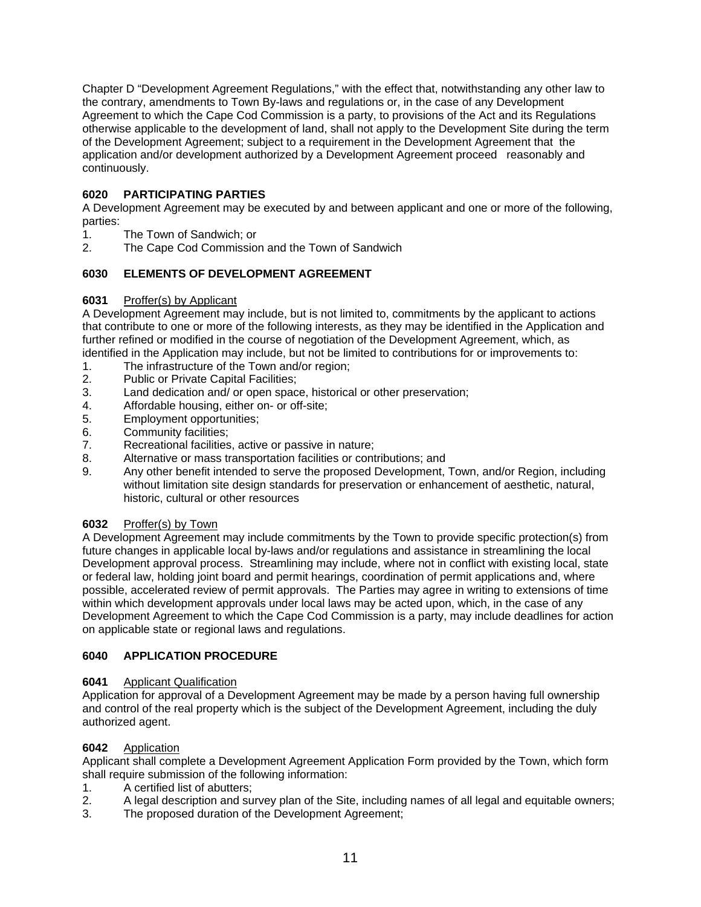Chapter D "Development Agreement Regulations," with the effect that, notwithstanding any other law to the contrary, amendments to Town By-laws and regulations or, in the case of any Development Agreement to which the Cape Cod Commission is a party, to provisions of the Act and its Regulations otherwise applicable to the development of land, shall not apply to the Development Site during the term of the Development Agreement; subject to a requirement in the Development Agreement that the application and/or development authorized by a Development Agreement proceed reasonably and continuously.

## **6020 PARTICIPATING PARTIES**

A Development Agreement may be executed by and between applicant and one or more of the following, parties:

- 1. The Town of Sandwich; or
- 2. The Cape Cod Commission and the Town of Sandwich

## **6030 ELEMENTS OF DEVELOPMENT AGREEMENT**

## **6031** Proffer(s) by Applicant

A Development Agreement may include, but is not limited to, commitments by the applicant to actions that contribute to one or more of the following interests, as they may be identified in the Application and further refined or modified in the course of negotiation of the Development Agreement, which, as identified in the Application may include, but not be limited to contributions for or improvements to:

- 1. The infrastructure of the Town and/or region;
- 2. Public or Private Capital Facilities;
- 3. Land dedication and/ or open space, historical or other preservation;
- 4. Affordable housing, either on- or off-site;
- 5. Employment opportunities;
- 6. Community facilities;
- 7. Recreational facilities, active or passive in nature;
- 8. Alternative or mass transportation facilities or contributions; and
- 9. Any other benefit intended to serve the proposed Development, Town, and/or Region, including without limitation site design standards for preservation or enhancement of aesthetic, natural, historic, cultural or other resources

## **6032** Proffer(s) by Town

A Development Agreement may include commitments by the Town to provide specific protection(s) from future changes in applicable local by-laws and/or regulations and assistance in streamlining the local Development approval process. Streamlining may include, where not in conflict with existing local, state or federal law, holding joint board and permit hearings, coordination of permit applications and, where possible, accelerated review of permit approvals. The Parties may agree in writing to extensions of time within which development approvals under local laws may be acted upon, which, in the case of any Development Agreement to which the Cape Cod Commission is a party, may include deadlines for action on applicable state or regional laws and regulations.

## **6040 APPLICATION PROCEDURE**

#### **6041** Applicant Qualification

Application for approval of a Development Agreement may be made by a person having full ownership and control of the real property which is the subject of the Development Agreement, including the duly authorized agent.

## **6042** Application

Applicant shall complete a Development Agreement Application Form provided by the Town, which form shall require submission of the following information:

- 1. A certified list of abutters;
- 2. A legal description and survey plan of the Site, including names of all legal and equitable owners;
- 3. The proposed duration of the Development Agreement;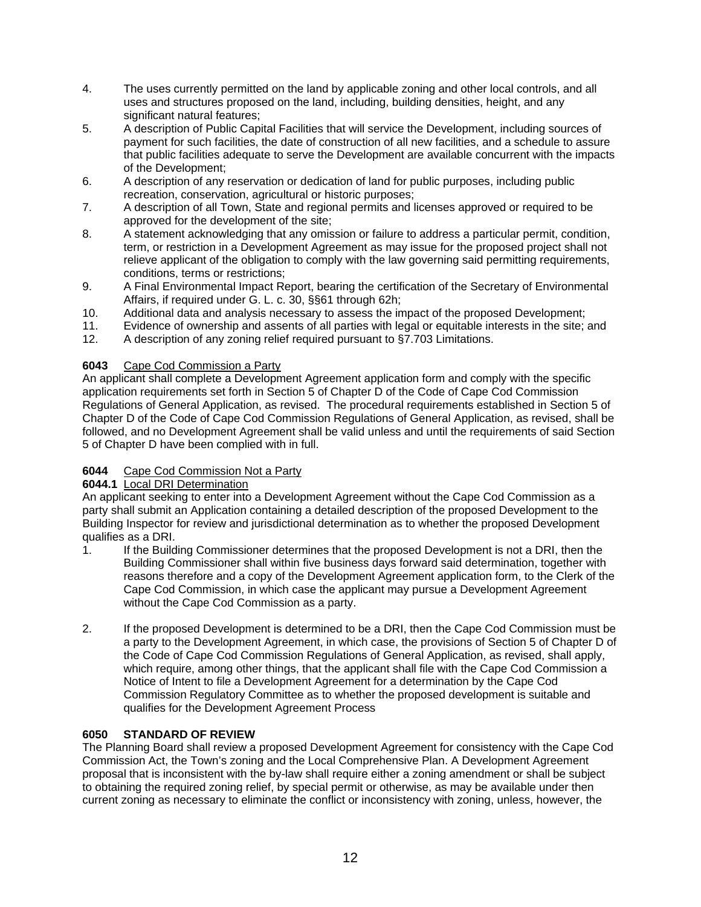- 4. The uses currently permitted on the land by applicable zoning and other local controls, and all uses and structures proposed on the land, including, building densities, height, and any significant natural features:
- 5. A description of Public Capital Facilities that will service the Development, including sources of payment for such facilities, the date of construction of all new facilities, and a schedule to assure that public facilities adequate to serve the Development are available concurrent with the impacts of the Development;
- 6. A description of any reservation or dedication of land for public purposes, including public recreation, conservation, agricultural or historic purposes;
- 7. A description of all Town, State and regional permits and licenses approved or required to be approved for the development of the site;
- 8. A statement acknowledging that any omission or failure to address a particular permit, condition, term, or restriction in a Development Agreement as may issue for the proposed project shall not relieve applicant of the obligation to comply with the law governing said permitting requirements, conditions, terms or restrictions;
- 9. A Final Environmental Impact Report, bearing the certification of the Secretary of Environmental Affairs, if required under G. L. c. 30, §§61 through 62h;
- 10. Additional data and analysis necessary to assess the impact of the proposed Development;
- 11. Evidence of ownership and assents of all parties with legal or equitable interests in the site; and
- 12. A description of any zoning relief required pursuant to §7.703 Limitations.

## **6043** Cape Cod Commission a Party

An applicant shall complete a Development Agreement application form and comply with the specific application requirements set forth in Section 5 of Chapter D of the Code of Cape Cod Commission Regulations of General Application, as revised. The procedural requirements established in Section 5 of Chapter D of the Code of Cape Cod Commission Regulations of General Application, as revised, shall be followed, and no Development Agreement shall be valid unless and until the requirements of said Section 5 of Chapter D have been complied with in full.

# **6044** Cape Cod Commission Not a Party

## **6044.1** Local DRI Determination

An applicant seeking to enter into a Development Agreement without the Cape Cod Commission as a party shall submit an Application containing a detailed description of the proposed Development to the Building Inspector for review and jurisdictional determination as to whether the proposed Development qualifies as a DRI.

- 1. If the Building Commissioner determines that the proposed Development is not a DRI, then the Building Commissioner shall within five business days forward said determination, together with reasons therefore and a copy of the Development Agreement application form, to the Clerk of the Cape Cod Commission, in which case the applicant may pursue a Development Agreement without the Cape Cod Commission as a party.
- 2. If the proposed Development is determined to be a DRI, then the Cape Cod Commission must be a party to the Development Agreement, in which case, the provisions of Section 5 of Chapter D of the Code of Cape Cod Commission Regulations of General Application, as revised, shall apply, which require, among other things, that the applicant shall file with the Cape Cod Commission a Notice of Intent to file a Development Agreement for a determination by the Cape Cod Commission Regulatory Committee as to whether the proposed development is suitable and qualifies for the Development Agreement Process

## **6050 STANDARD OF REVIEW**

The Planning Board shall review a proposed Development Agreement for consistency with the Cape Cod Commission Act, the Town's zoning and the Local Comprehensive Plan. A Development Agreement proposal that is inconsistent with the by-law shall require either a zoning amendment or shall be subject to obtaining the required zoning relief, by special permit or otherwise, as may be available under then current zoning as necessary to eliminate the conflict or inconsistency with zoning, unless, however, the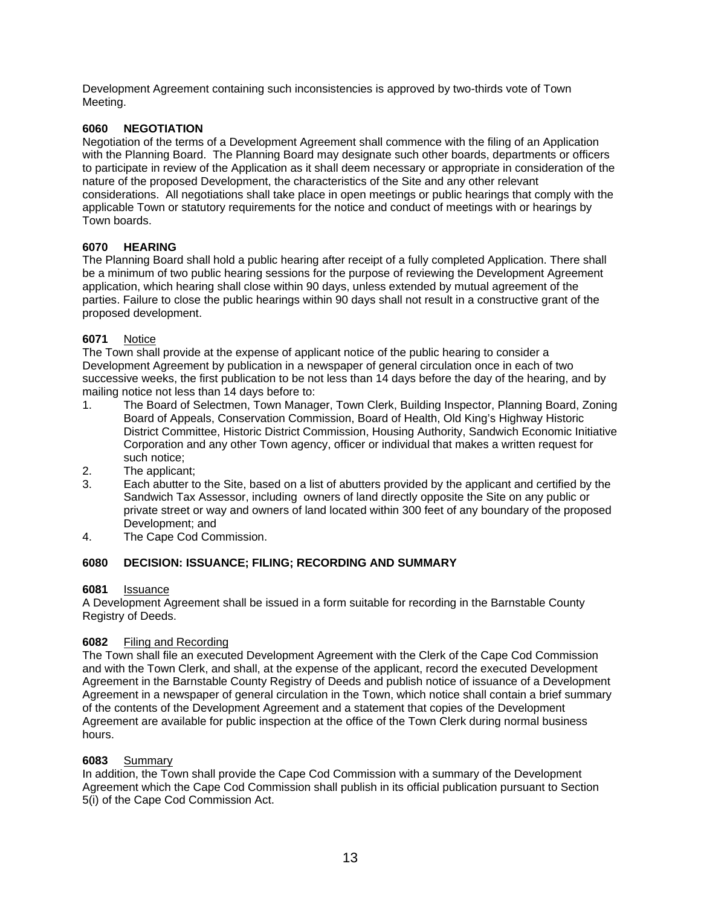Development Agreement containing such inconsistencies is approved by two-thirds vote of Town Meeting.

# **6060 NEGOTIATION**

Negotiation of the terms of a Development Agreement shall commence with the filing of an Application with the Planning Board. The Planning Board may designate such other boards, departments or officers to participate in review of the Application as it shall deem necessary or appropriate in consideration of the nature of the proposed Development, the characteristics of the Site and any other relevant considerations. All negotiations shall take place in open meetings or public hearings that comply with the applicable Town or statutory requirements for the notice and conduct of meetings with or hearings by Town boards.

## **6070 HEARING**

The Planning Board shall hold a public hearing after receipt of a fully completed Application. There shall be a minimum of two public hearing sessions for the purpose of reviewing the Development Agreement application, which hearing shall close within 90 days, unless extended by mutual agreement of the parties. Failure to close the public hearings within 90 days shall not result in a constructive grant of the proposed development.

## **6071** Notice

The Town shall provide at the expense of applicant notice of the public hearing to consider a Development Agreement by publication in a newspaper of general circulation once in each of two successive weeks, the first publication to be not less than 14 days before the day of the hearing, and by mailing notice not less than 14 days before to:

- 1. The Board of Selectmen, Town Manager, Town Clerk, Building Inspector, Planning Board, Zoning Board of Appeals, Conservation Commission, Board of Health, Old King's Highway Historic District Committee, Historic District Commission, Housing Authority, Sandwich Economic Initiative Corporation and any other Town agency, officer or individual that makes a written request for such notice;
- 2. The applicant;
- 3. Each abutter to the Site, based on a list of abutters provided by the applicant and certified by the Sandwich Tax Assessor, including owners of land directly opposite the Site on any public or private street or way and owners of land located within 300 feet of any boundary of the proposed Development; and
- 4. The Cape Cod Commission.

# **6080 DECISION: ISSUANCE; FILING; RECORDING AND SUMMARY**

## **6081** Issuance

A Development Agreement shall be issued in a form suitable for recording in the Barnstable County Registry of Deeds.

## **6082** Filing and Recording

The Town shall file an executed Development Agreement with the Clerk of the Cape Cod Commission and with the Town Clerk, and shall, at the expense of the applicant, record the executed Development Agreement in the Barnstable County Registry of Deeds and publish notice of issuance of a Development Agreement in a newspaper of general circulation in the Town, which notice shall contain a brief summary of the contents of the Development Agreement and a statement that copies of the Development Agreement are available for public inspection at the office of the Town Clerk during normal business hours.

## **6083** Summary

In addition, the Town shall provide the Cape Cod Commission with a summary of the Development Agreement which the Cape Cod Commission shall publish in its official publication pursuant to Section 5(i) of the Cape Cod Commission Act.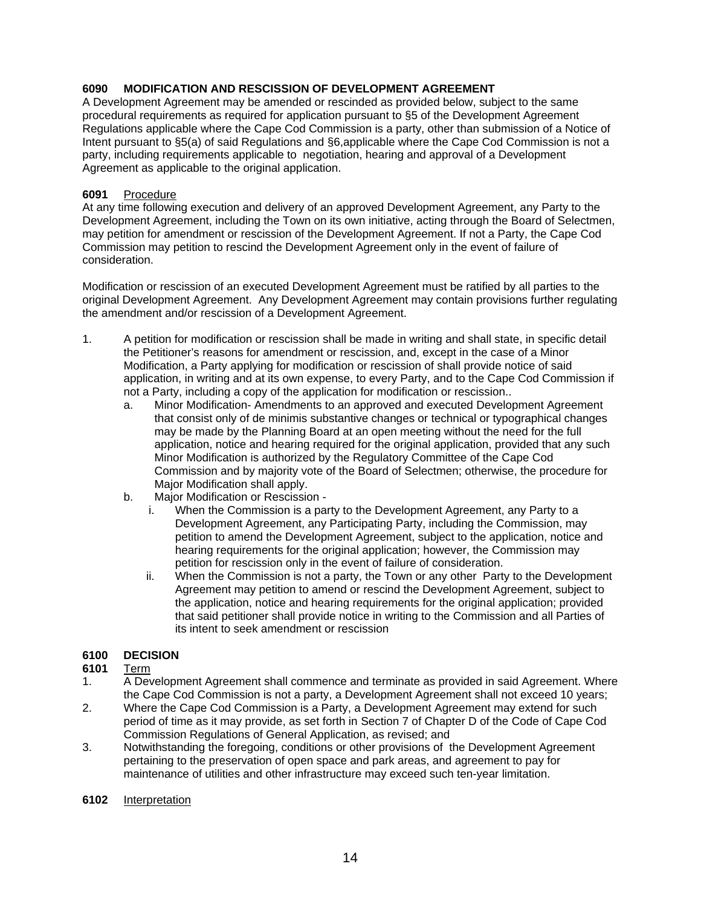## **6090 MODIFICATION AND RESCISSION OF DEVELOPMENT AGREEMENT**

A Development Agreement may be amended or rescinded as provided below, subject to the same procedural requirements as required for application pursuant to §5 of the Development Agreement Regulations applicable where the Cape Cod Commission is a party, other than submission of a Notice of Intent pursuant to §5(a) of said Regulations and §6,applicable where the Cape Cod Commission is not a party, including requirements applicable to negotiation, hearing and approval of a Development Agreement as applicable to the original application.

## **6091** Procedure

At any time following execution and delivery of an approved Development Agreement, any Party to the Development Agreement, including the Town on its own initiative, acting through the Board of Selectmen, may petition for amendment or rescission of the Development Agreement. If not a Party, the Cape Cod Commission may petition to rescind the Development Agreement only in the event of failure of consideration.

Modification or rescission of an executed Development Agreement must be ratified by all parties to the original Development Agreement. Any Development Agreement may contain provisions further regulating the amendment and/or rescission of a Development Agreement.

- 1. A petition for modification or rescission shall be made in writing and shall state, in specific detail the Petitioner's reasons for amendment or rescission, and, except in the case of a Minor Modification, a Party applying for modification or rescission of shall provide notice of said application, in writing and at its own expense, to every Party, and to the Cape Cod Commission if not a Party, including a copy of the application for modification or rescission..
	- a. Minor Modification- Amendments to an approved and executed Development Agreement that consist only of de minimis substantive changes or technical or typographical changes may be made by the Planning Board at an open meeting without the need for the full application, notice and hearing required for the original application, provided that any such Minor Modification is authorized by the Regulatory Committee of the Cape Cod Commission and by majority vote of the Board of Selectmen; otherwise, the procedure for Major Modification shall apply.
	- b. Major Modification or Rescission
		- i. When the Commission is a party to the Development Agreement, any Party to a Development Agreement, any Participating Party, including the Commission, may petition to amend the Development Agreement, subject to the application, notice and hearing requirements for the original application; however, the Commission may petition for rescission only in the event of failure of consideration.
		- ii. When the Commission is not a party, the Town or any other Party to the Development Agreement may petition to amend or rescind the Development Agreement, subject to the application, notice and hearing requirements for the original application; provided that said petitioner shall provide notice in writing to the Commission and all Parties of its intent to seek amendment or rescission

## **6100 DECISION**

## **6101** Term

- 1. A Development Agreement shall commence and terminate as provided in said Agreement. Where the Cape Cod Commission is not a party, a Development Agreement shall not exceed 10 years;
- 2. Where the Cape Cod Commission is a Party, a Development Agreement may extend for such period of time as it may provide, as set forth in Section 7 of Chapter D of the Code of Cape Cod Commission Regulations of General Application, as revised; and
- 3. Notwithstanding the foregoing, conditions or other provisions of the Development Agreement pertaining to the preservation of open space and park areas, and agreement to pay for maintenance of utilities and other infrastructure may exceed such ten-year limitation.

#### **6102** Interpretation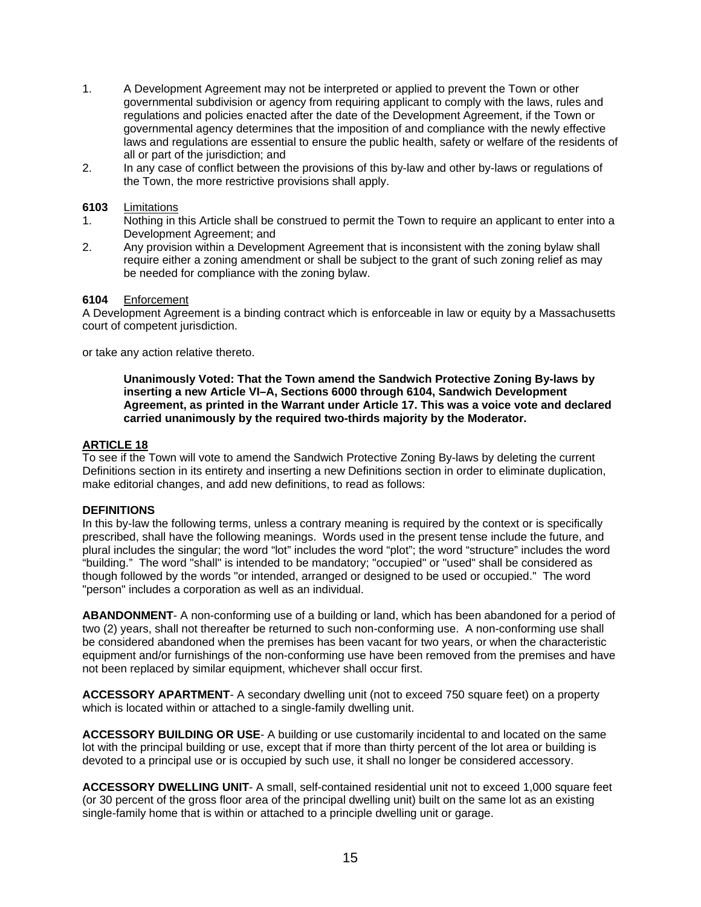- 1. A Development Agreement may not be interpreted or applied to prevent the Town or other governmental subdivision or agency from requiring applicant to comply with the laws, rules and regulations and policies enacted after the date of the Development Agreement, if the Town or governmental agency determines that the imposition of and compliance with the newly effective laws and regulations are essential to ensure the public health, safety or welfare of the residents of all or part of the jurisdiction; and
- 2. In any case of conflict between the provisions of this by-law and other by-laws or regulations of the Town, the more restrictive provisions shall apply.

## **6103** Limitations

- 1. Nothing in this Article shall be construed to permit the Town to require an applicant to enter into a Development Agreement; and
- 2. Any provision within a Development Agreement that is inconsistent with the zoning bylaw shall require either a zoning amendment or shall be subject to the grant of such zoning relief as may be needed for compliance with the zoning bylaw.

#### **6104** Enforcement

A Development Agreement is a binding contract which is enforceable in law or equity by a Massachusetts court of competent jurisdiction.

or take any action relative thereto.

**Unanimously Voted: That the Town amend the Sandwich Protective Zoning By-laws by inserting a new Article VI–A, Sections 6000 through 6104, Sandwich Development Agreement, as printed in the Warrant under Article 17. This was a voice vote and declared carried unanimously by the required two-thirds majority by the Moderator.** 

## **ARTICLE 18**

To see if the Town will vote to amend the Sandwich Protective Zoning By-laws by deleting the current Definitions section in its entirety and inserting a new Definitions section in order to eliminate duplication, make editorial changes, and add new definitions, to read as follows:

#### **DEFINITIONS**

In this by-law the following terms, unless a contrary meaning is required by the context or is specifically prescribed, shall have the following meanings. Words used in the present tense include the future, and plural includes the singular; the word "lot" includes the word "plot"; the word "structure" includes the word "building." The word "shall" is intended to be mandatory; "occupied" or "used" shall be considered as though followed by the words "or intended, arranged or designed to be used or occupied." The word "person" includes a corporation as well as an individual.

**ABANDONMENT**- A non-conforming use of a building or land, which has been abandoned for a period of two (2) years, shall not thereafter be returned to such non-conforming use. A non-conforming use shall be considered abandoned when the premises has been vacant for two years, or when the characteristic equipment and/or furnishings of the non-conforming use have been removed from the premises and have not been replaced by similar equipment, whichever shall occur first.

**ACCESSORY APARTMENT**- A secondary dwelling unit (not to exceed 750 square feet) on a property which is located within or attached to a single-family dwelling unit.

**ACCESSORY BUILDING OR USE**- A building or use customarily incidental to and located on the same lot with the principal building or use, except that if more than thirty percent of the lot area or building is devoted to a principal use or is occupied by such use, it shall no longer be considered accessory.

**ACCESSORY DWELLING UNIT**- A small, self-contained residential unit not to exceed 1,000 square feet (or 30 percent of the gross floor area of the principal dwelling unit) built on the same lot as an existing single-family home that is within or attached to a principle dwelling unit or garage.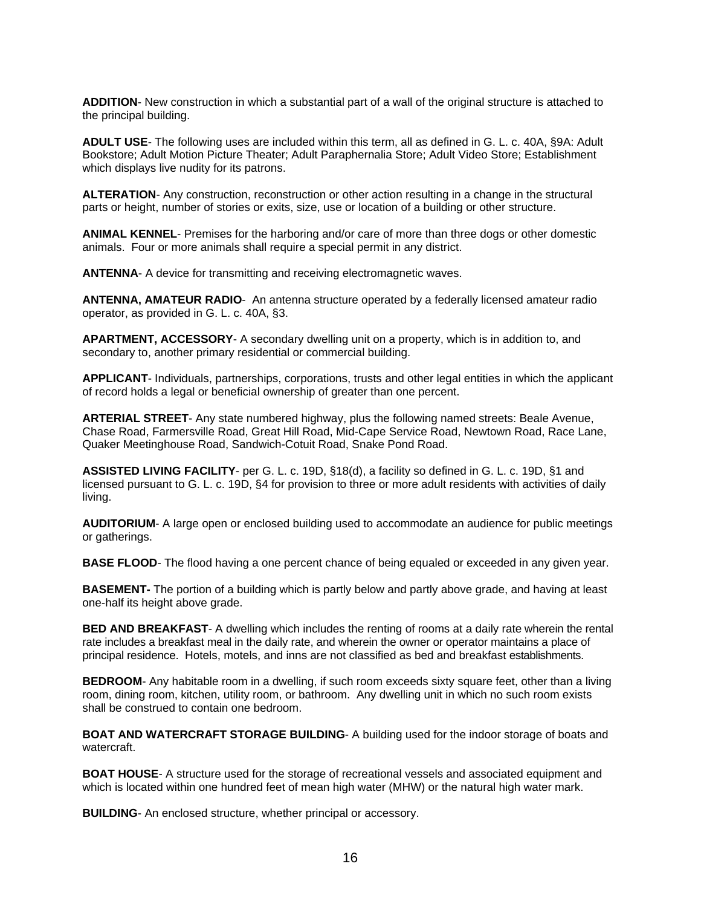**ADDITION**- New construction in which a substantial part of a wall of the original structure is attached to the principal building.

**ADULT USE**- The following uses are included within this term, all as defined in G. L. c. 40A, §9A: Adult Bookstore; Adult Motion Picture Theater; Adult Paraphernalia Store; Adult Video Store; Establishment which displays live nudity for its patrons.

**ALTERATION**- Any construction, reconstruction or other action resulting in a change in the structural parts or height, number of stories or exits, size, use or location of a building or other structure.

**ANIMAL KENNEL**- Premises for the harboring and/or care of more than three dogs or other domestic animals. Four or more animals shall require a special permit in any district.

**ANTENNA**- A device for transmitting and receiving electromagnetic waves.

**ANTENNA, AMATEUR RADIO**-An antenna structure operated by a federally licensed amateur radio operator, as provided in G. L. c. 40A, §3.

**APARTMENT, ACCESSORY**- A secondary dwelling unit on a property, which is in addition to, and secondary to, another primary residential or commercial building.

**APPLICANT**- Individuals, partnerships, corporations, trusts and other legal entities in which the applicant of record holds a legal or beneficial ownership of greater than one percent.

**ARTERIAL STREET**- Any state numbered highway, plus the following named streets: Beale Avenue, Chase Road, Farmersville Road, Great Hill Road, Mid-Cape Service Road, Newtown Road, Race Lane, Quaker Meetinghouse Road, Sandwich-Cotuit Road, Snake Pond Road.

**ASSISTED LIVING FACILITY**- per G. L. c. 19D, §18(d), a facility so defined in G. L. c. 19D, §1 and licensed pursuant to G. L. c. 19D, §4 for provision to three or more adult residents with activities of daily living.

**AUDITORIUM**- A large open or enclosed building used to accommodate an audience for public meetings or gatherings.

**BASE FLOOD**- The flood having a one percent chance of being equaled or exceeded in any given year.

**BASEMENT-** The portion of a building which is partly below and partly above grade, and having at least one-half its height above grade.

**BED AND BREAKFAST**- A dwelling which includes the renting of rooms at a daily rate wherein the rental rate includes a breakfast meal in the daily rate, and wherein the owner or operator maintains a place of principal residence. Hotels, motels, and inns are not classified as bed and breakfast establishments.

**BEDROOM**- Any habitable room in a dwelling, if such room exceeds sixty square feet, other than a living room, dining room, kitchen, utility room, or bathroom. Any dwelling unit in which no such room exists shall be construed to contain one bedroom.

**BOAT AND WATERCRAFT STORAGE BUILDING**- A building used for the indoor storage of boats and watercraft.

**BOAT HOUSE**- A structure used for the storage of recreational vessels and associated equipment and which is located within one hundred feet of mean high water (MHW) or the natural high water mark.

**BUILDING**- An enclosed structure, whether principal or accessory.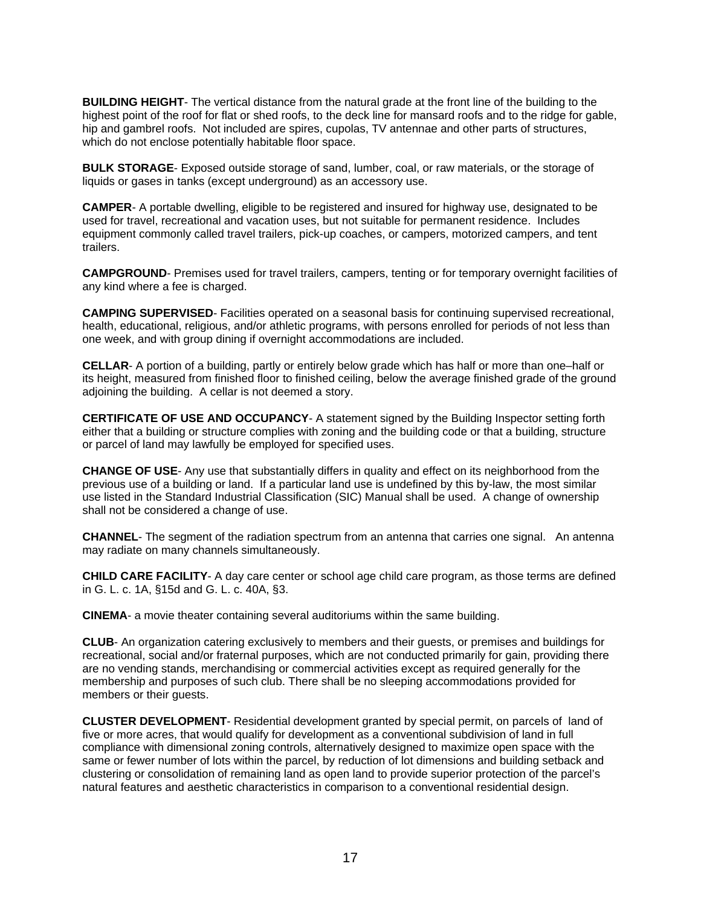**BUILDING HEIGHT**- The vertical distance from the natural grade at the front line of the building to the highest point of the roof for flat or shed roofs, to the deck line for mansard roofs and to the ridge for gable, hip and gambrel roofs. Not included are spires, cupolas, TV antennae and other parts of structures, which do not enclose potentially habitable floor space.

**BULK STORAGE**- Exposed outside storage of sand, lumber, coal, or raw materials, or the storage of liquids or gases in tanks (except underground) as an accessory use.

**CAMPER**- A portable dwelling, eligible to be registered and insured for highway use, designated to be used for travel, recreational and vacation uses, but not suitable for permanent residence. Includes equipment commonly called travel trailers, pick-up coaches, or campers, motorized campers, and tent trailers.

**CAMPGROUND**- Premises used for travel trailers, campers, tenting or for temporary overnight facilities of any kind where a fee is charged.

**CAMPING SUPERVISED**- Facilities operated on a seasonal basis for continuing supervised recreational, health, educational, religious, and/or athletic programs, with persons enrolled for periods of not less than one week, and with group dining if overnight accommodations are included.

**CELLAR**- A portion of a building, partly or entirely below grade which has half or more than one–half or its height, measured from finished floor to finished ceiling, below the average finished grade of the ground adjoining the building. A cellar is not deemed a story.

**CERTIFICATE OF USE AND OCCUPANCY**- A statement signed by the Building Inspector setting forth either that a building or structure complies with zoning and the building code or that a building, structure or parcel of land may lawfully be employed for specified uses.

**CHANGE OF USE**- Any use that substantially differs in quality and effect on its neighborhood from the previous use of a building or land. If a particular land use is undefined by this by-law, the most similar use listed in the Standard Industrial Classification (SIC) Manual shall be used. A change of ownership shall not be considered a change of use.

**CHANNEL**- The segment of the radiation spectrum from an antenna that carries one signal. An antenna may radiate on many channels simultaneously.

**CHILD CARE FACILITY**- A day care center or school age child care program, as those terms are defined in G. L. c. 1A, §15d and G. L. c. 40A, §3.

**CINEMA**- a movie theater containing several auditoriums within the same building.

**CLUB**- An organization catering exclusively to members and their guests, or premises and buildings for recreational, social and/or fraternal purposes, which are not conducted primarily for gain, providing there are no vending stands, merchandising or commercial activities except as required generally for the membership and purposes of such club. There shall be no sleeping accommodations provided for members or their guests.

**CLUSTER DEVELOPMENT**- Residential development granted by special permit, on parcels of land of five or more acres, that would qualify for development as a conventional subdivision of land in full compliance with dimensional zoning controls, alternatively designed to maximize open space with the same or fewer number of lots within the parcel, by reduction of lot dimensions and building setback and clustering or consolidation of remaining land as open land to provide superior protection of the parcel's natural features and aesthetic characteristics in comparison to a conventional residential design.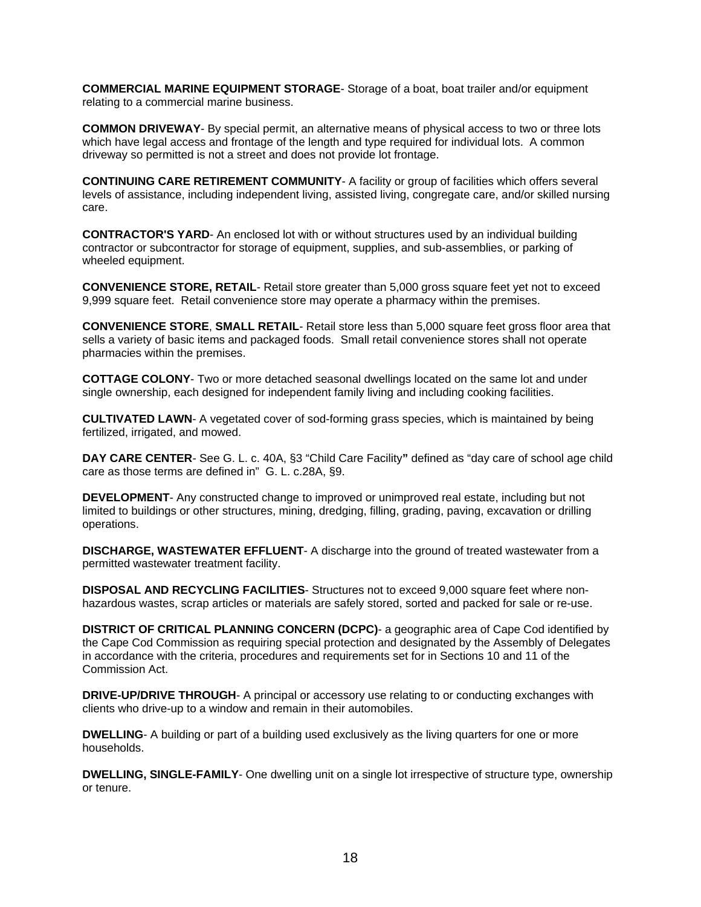**COMMERCIAL MARINE EQUIPMENT STORAGE**- Storage of a boat, boat trailer and/or equipment relating to a commercial marine business.

**COMMON DRIVEWAY**- By special permit, an alternative means of physical access to two or three lots which have legal access and frontage of the length and type required for individual lots. A common driveway so permitted is not a street and does not provide lot frontage.

**CONTINUING CARE RETIREMENT COMMUNITY**- A facility or group of facilities which offers several levels of assistance, including independent living, assisted living, congregate care, and/or skilled nursing care.

**CONTRACTOR'S YARD**- An enclosed lot with or without structures used by an individual building contractor or subcontractor for storage of equipment, supplies, and sub-assemblies, or parking of wheeled equipment.

**CONVENIENCE STORE, RETAIL-** Retail store greater than 5,000 gross square feet yet not to exceed 9,999 square feet. Retail convenience store may operate a pharmacy within the premises.

**CONVENIENCE STORE**, **SMALL RETAIL**- Retail store less than 5,000 square feet gross floor area that sells a variety of basic items and packaged foods. Small retail convenience stores shall not operate pharmacies within the premises.

**COTTAGE COLONY**- Two or more detached seasonal dwellings located on the same lot and under single ownership, each designed for independent family living and including cooking facilities.

**CULTIVATED LAWN**- A vegetated cover of sod-forming grass species, which is maintained by being fertilized, irrigated, and mowed.

**DAY CARE CENTER**- See G. L. c. 40A, §3 "Child Care Facility**"** defined as "day care of school age child care as those terms are defined in" G. L. c.28A, §9.

**DEVELOPMENT**- Any constructed change to improved or unimproved real estate, including but not limited to buildings or other structures, mining, dredging, filling, grading, paving, excavation or drilling operations.

**DISCHARGE, WASTEWATER EFFLUENT**- A discharge into the ground of treated wastewater from a permitted wastewater treatment facility.

**DISPOSAL AND RECYCLING FACILITIES**- Structures not to exceed 9,000 square feet where nonhazardous wastes, scrap articles or materials are safely stored, sorted and packed for sale or re-use.

**DISTRICT OF CRITICAL PLANNING CONCERN (DCPC)**- a geographic area of Cape Cod identified by the Cape Cod Commission as requiring special protection and designated by the Assembly of Delegates in accordance with the criteria, procedures and requirements set for in Sections 10 and 11 of the Commission Act.

**DRIVE-UP/DRIVE THROUGH-** A principal or accessory use relating to or conducting exchanges with clients who drive-up to a window and remain in their automobiles.

**DWELLING**- A building or part of a building used exclusively as the living quarters for one or more households.

**DWELLING, SINGLE-FAMILY**- One dwelling unit on a single lot irrespective of structure type, ownership or tenure.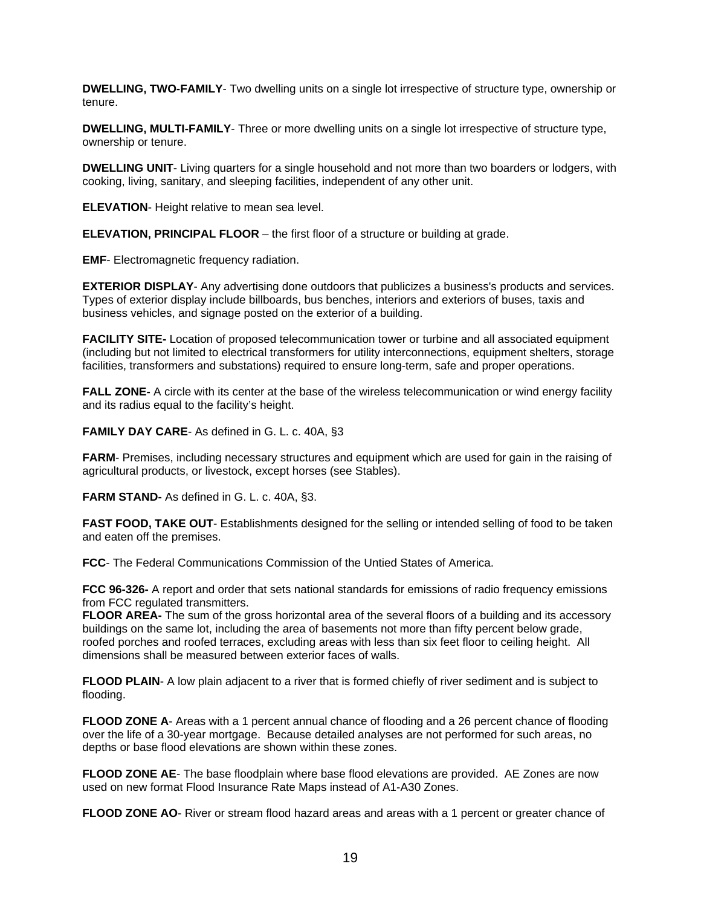**DWELLING, TWO-FAMILY**- Two dwelling units on a single lot irrespective of structure type, ownership or tenure.

**DWELLING, MULTI-FAMILY**- Three or more dwelling units on a single lot irrespective of structure type, ownership or tenure.

**DWELLING UNIT**- Living quarters for a single household and not more than two boarders or lodgers, with cooking, living, sanitary, and sleeping facilities, independent of any other unit.

**ELEVATION**- Height relative to mean sea level.

**ELEVATION, PRINCIPAL FLOOR** – the first floor of a structure or building at grade.

**EMF**- Electromagnetic frequency radiation.

**EXTERIOR DISPLAY**- Any advertising done outdoors that publicizes a business's products and services. Types of exterior display include billboards, bus benches, interiors and exteriors of buses, taxis and business vehicles, and signage posted on the exterior of a building.

**FACILITY SITE-** Location of proposed telecommunication tower or turbine and all associated equipment (including but not limited to electrical transformers for utility interconnections, equipment shelters, storage facilities, transformers and substations) required to ensure long-term, safe and proper operations.

**FALL ZONE-** A circle with its center at the base of the wireless telecommunication or wind energy facility and its radius equal to the facility's height.

**FAMILY DAY CARE**- As defined in G. L. c. 40A, §3

**FARM**- Premises, including necessary structures and equipment which are used for gain in the raising of agricultural products, or livestock, except horses (see Stables).

**FARM STAND-** As defined in G. L. c. 40A, §3.

**FAST FOOD, TAKE OUT**- Establishments designed for the selling or intended selling of food to be taken and eaten off the premises.

**FCC**- The Federal Communications Commission of the Untied States of America.

**FCC 96-326-** A report and order that sets national standards for emissions of radio frequency emissions from FCC regulated transmitters.

**FLOOR AREA-** The sum of the gross horizontal area of the several floors of a building and its accessory buildings on the same lot, including the area of basements not more than fifty percent below grade, roofed porches and roofed terraces, excluding areas with less than six feet floor to ceiling height. All dimensions shall be measured between exterior faces of walls.

**FLOOD PLAIN-** A low plain adjacent to a river that is formed chiefly of river sediment and is subject to flooding.

**FLOOD ZONE A**- Areas with a 1 percent annual chance of flooding and a 26 percent chance of flooding over the life of a 30-year mortgage. Because detailed analyses are not performed for such areas, no depths or base flood elevations are shown within these zones.

**FLOOD ZONE AE**- The base floodplain where base flood elevations are provided. AE Zones are now used on new format Flood Insurance Rate Maps instead of A1-A30 Zones.

**FLOOD ZONE AO**- River or stream flood hazard areas and areas with a 1 percent or greater chance of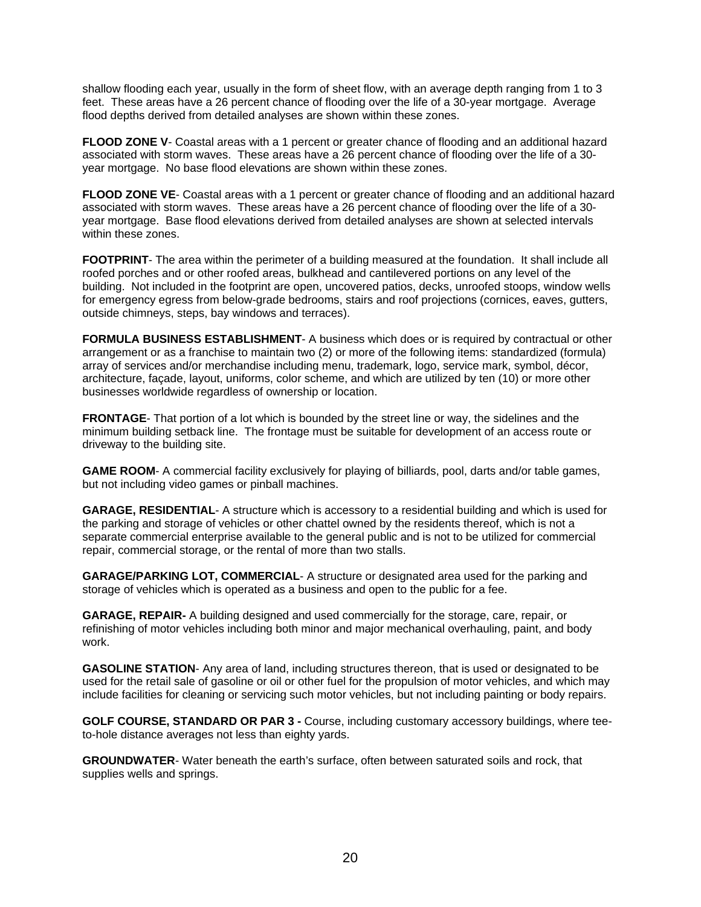shallow flooding each year, usually in the form of sheet flow, with an average depth ranging from 1 to 3 feet. These areas have a 26 percent chance of flooding over the life of a 30-year mortgage. Average flood depths derived from detailed analyses are shown within these zones.

**FLOOD ZONE V-** Coastal areas with a 1 percent or greater chance of flooding and an additional hazard associated with storm waves. These areas have a 26 percent chance of flooding over the life of a 30 year mortgage. No base flood elevations are shown within these zones.

**FLOOD ZONE VE**- Coastal areas with a 1 percent or greater chance of flooding and an additional hazard associated with storm waves. These areas have a 26 percent chance of flooding over the life of a 30 year mortgage. Base flood elevations derived from detailed analyses are shown at selected intervals within these zones.

**FOOTPRINT**- The area within the perimeter of a building measured at the foundation. It shall include all roofed porches and or other roofed areas, bulkhead and cantilevered portions on any level of the building. Not included in the footprint are open, uncovered patios, decks, unroofed stoops, window wells for emergency egress from below-grade bedrooms, stairs and roof projections (cornices, eaves, gutters, outside chimneys, steps, bay windows and terraces).

**FORMULA BUSINESS ESTABLISHMENT**- A business which does or is required by contractual or other arrangement or as a franchise to maintain two (2) or more of the following items: standardized (formula) array of services and/or merchandise including menu, trademark, logo, service mark, symbol, décor, architecture, façade, layout, uniforms, color scheme, and which are utilized by ten (10) or more other businesses worldwide regardless of ownership or location.

**FRONTAGE**- That portion of a lot which is bounded by the street line or way, the sidelines and the minimum building setback line. The frontage must be suitable for development of an access route or driveway to the building site.

**GAME ROOM**- A commercial facility exclusively for playing of billiards, pool, darts and/or table games, but not including video games or pinball machines.

**GARAGE, RESIDENTIAL**- A structure which is accessory to a residential building and which is used for the parking and storage of vehicles or other chattel owned by the residents thereof, which is not a separate commercial enterprise available to the general public and is not to be utilized for commercial repair, commercial storage, or the rental of more than two stalls.

**GARAGE/PARKING LOT, COMMERCIAL**- A structure or designated area used for the parking and storage of vehicles which is operated as a business and open to the public for a fee.

**GARAGE, REPAIR-** A building designed and used commercially for the storage, care, repair, or refinishing of motor vehicles including both minor and major mechanical overhauling, paint, and body work.

**GASOLINE STATION**- Any area of land, including structures thereon, that is used or designated to be used for the retail sale of gasoline or oil or other fuel for the propulsion of motor vehicles, and which may include facilities for cleaning or servicing such motor vehicles, but not including painting or body repairs.

**GOLF COURSE, STANDARD OR PAR 3 -** Course, including customary accessory buildings, where teeto-hole distance averages not less than eighty yards.

**GROUNDWATER**- Water beneath the earth's surface, often between saturated soils and rock, that supplies wells and springs.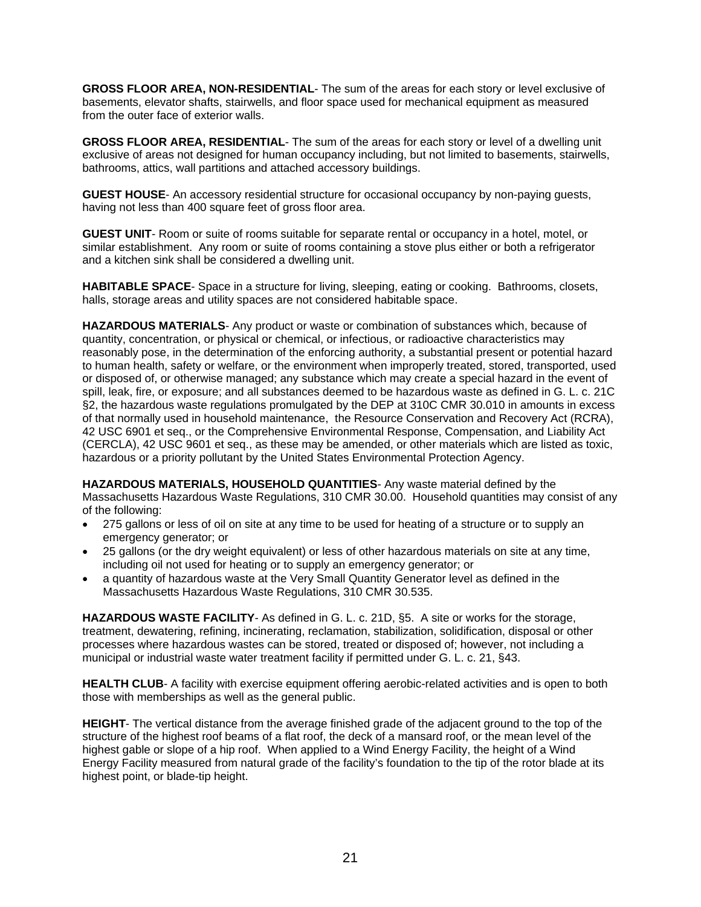**GROSS FLOOR AREA, NON-RESIDENTIAL**- The sum of the areas for each story or level exclusive of basements, elevator shafts, stairwells, and floor space used for mechanical equipment as measured from the outer face of exterior walls.

**GROSS FLOOR AREA, RESIDENTIAL**- The sum of the areas for each story or level of a dwelling unit exclusive of areas not designed for human occupancy including, but not limited to basements, stairwells, bathrooms, attics, wall partitions and attached accessory buildings.

**GUEST HOUSE**- An accessory residential structure for occasional occupancy by non-paying guests, having not less than 400 square feet of gross floor area.

**GUEST UNIT**- Room or suite of rooms suitable for separate rental or occupancy in a hotel, motel, or similar establishment. Any room or suite of rooms containing a stove plus either or both a refrigerator and a kitchen sink shall be considered a dwelling unit.

**HABITABLE SPACE**- Space in a structure for living, sleeping, eating or cooking. Bathrooms, closets, halls, storage areas and utility spaces are not considered habitable space.

**HAZARDOUS MATERIALS**- Any product or waste or combination of substances which, because of quantity, concentration, or physical or chemical, or infectious, or radioactive characteristics may reasonably pose, in the determination of the enforcing authority, a substantial present or potential hazard to human health, safety or welfare, or the environment when improperly treated, stored, transported, used or disposed of, or otherwise managed; any substance which may create a special hazard in the event of spill, leak, fire, or exposure; and all substances deemed to be hazardous waste as defined in G. L. c. 21C §2, the hazardous waste regulations promulgated by the DEP at 310C CMR 30.010 in amounts in excess of that normally used in household maintenance, the Resource Conservation and Recovery Act (RCRA), 42 USC 6901 et seq., or the Comprehensive Environmental Response, Compensation, and Liability Act (CERCLA), 42 USC 9601 et seq., as these may be amended, or other materials which are listed as toxic, hazardous or a priority pollutant by the United States Environmental Protection Agency.

**HAZARDOUS MATERIALS, HOUSEHOLD QUANTITIES**- Any waste material defined by the Massachusetts Hazardous Waste Regulations, 310 CMR 30.00. Household quantities may consist of any of the following:

- 275 gallons or less of oil on site at any time to be used for heating of a structure or to supply an emergency generator; or
- 25 gallons (or the dry weight equivalent) or less of other hazardous materials on site at any time, including oil not used for heating or to supply an emergency generator; or
- a quantity of hazardous waste at the Very Small Quantity Generator level as defined in the Massachusetts Hazardous Waste Regulations, 310 CMR 30.535.

**HAZARDOUS WASTE FACILITY**- As defined in G. L. c. 21D, §5. A site or works for the storage, treatment, dewatering, refining, incinerating, reclamation, stabilization, solidification, disposal or other processes where hazardous wastes can be stored, treated or disposed of; however, not including a municipal or industrial waste water treatment facility if permitted under G. L. c. 21, §43.

**HEALTH CLUB-** A facility with exercise equipment offering aerobic-related activities and is open to both those with memberships as well as the general public.

**HEIGHT**- The vertical distance from the average finished grade of the adjacent ground to the top of the structure of the highest roof beams of a flat roof, the deck of a mansard roof, or the mean level of the highest gable or slope of a hip roof. When applied to a Wind Energy Facility, the height of a Wind Energy Facility measured from natural grade of the facility's foundation to the tip of the rotor blade at its highest point, or blade-tip height.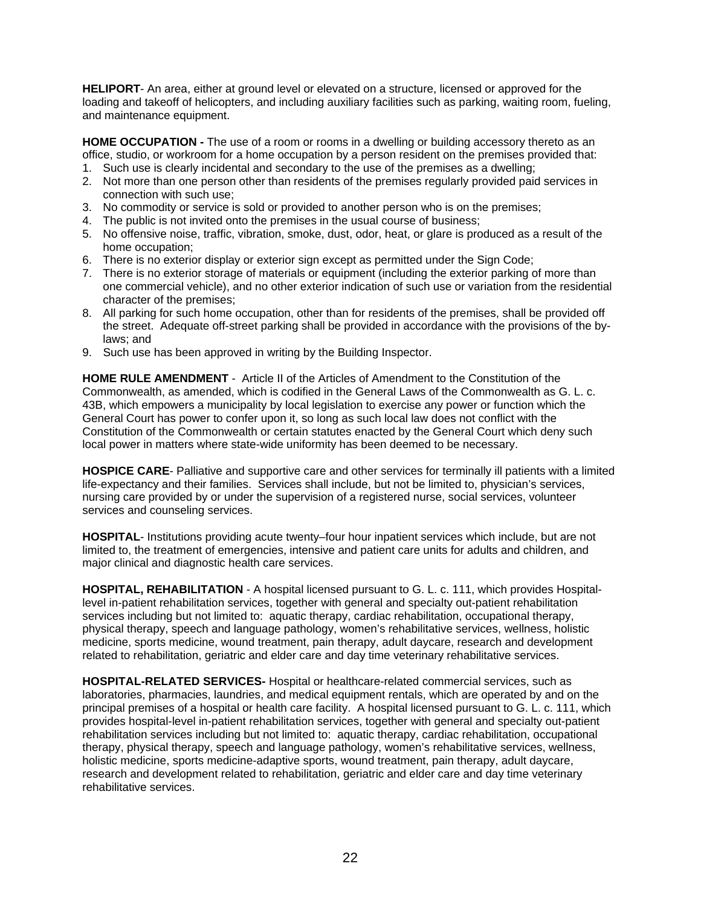**HELIPORT**- An area, either at ground level or elevated on a structure, licensed or approved for the loading and takeoff of helicopters, and including auxiliary facilities such as parking, waiting room, fueling, and maintenance equipment.

**HOME OCCUPATION -** The use of a room or rooms in a dwelling or building accessory thereto as an office, studio, or workroom for a home occupation by a person resident on the premises provided that:

- 1. Such use is clearly incidental and secondary to the use of the premises as a dwelling;
- 2. Not more than one person other than residents of the premises regularly provided paid services in connection with such use;
- 3. No commodity or service is sold or provided to another person who is on the premises;
- 4. The public is not invited onto the premises in the usual course of business;
- 5. No offensive noise, traffic, vibration, smoke, dust, odor, heat, or glare is produced as a result of the home occupation;
- 6. There is no exterior display or exterior sign except as permitted under the Sign Code;
- 7. There is no exterior storage of materials or equipment (including the exterior parking of more than one commercial vehicle), and no other exterior indication of such use or variation from the residential character of the premises;
- 8. All parking for such home occupation, other than for residents of the premises, shall be provided off the street. Adequate off-street parking shall be provided in accordance with the provisions of the bylaws; and
- 9. Such use has been approved in writing by the Building Inspector.

**HOME RULE AMENDMENT** - Article II of the Articles of Amendment to the Constitution of the Commonwealth, as amended, which is codified in the General Laws of the Commonwealth as G. L. c. 43B, which empowers a municipality by local legislation to exercise any power or function which the General Court has power to confer upon it, so long as such local law does not conflict with the Constitution of the Commonwealth or certain statutes enacted by the General Court which deny such local power in matters where state-wide uniformity has been deemed to be necessary.

**HOSPICE CARE**- Palliative and supportive care and other services for terminally ill patients with a limited life-expectancy and their families. Services shall include, but not be limited to, physician's services, nursing care provided by or under the supervision of a registered nurse, social services, volunteer services and counseling services.

**HOSPITAL**- Institutions providing acute twenty–four hour inpatient services which include, but are not limited to, the treatment of emergencies, intensive and patient care units for adults and children, and major clinical and diagnostic health care services.

**HOSPITAL, REHABILITATION** - A hospital licensed pursuant to G. L. c. 111, which provides Hospitallevel in-patient rehabilitation services, together with general and specialty out-patient rehabilitation services including but not limited to: aquatic therapy, cardiac rehabilitation, occupational therapy, physical therapy, speech and language pathology, women's rehabilitative services, wellness, holistic medicine, sports medicine, wound treatment, pain therapy, adult daycare, research and development related to rehabilitation, geriatric and elder care and day time veterinary rehabilitative services.

**HOSPITAL-RELATED SERVICES-** Hospital or healthcare-related commercial services, such as laboratories, pharmacies, laundries, and medical equipment rentals, which are operated by and on the principal premises of a hospital or health care facility. A hospital licensed pursuant to G. L. c. 111, which provides hospital-level in-patient rehabilitation services, together with general and specialty out-patient rehabilitation services including but not limited to: aquatic therapy, cardiac rehabilitation, occupational therapy, physical therapy, speech and language pathology, women's rehabilitative services, wellness, holistic medicine, sports medicine-adaptive sports, wound treatment, pain therapy, adult daycare, research and development related to rehabilitation, geriatric and elder care and day time veterinary rehabilitative services.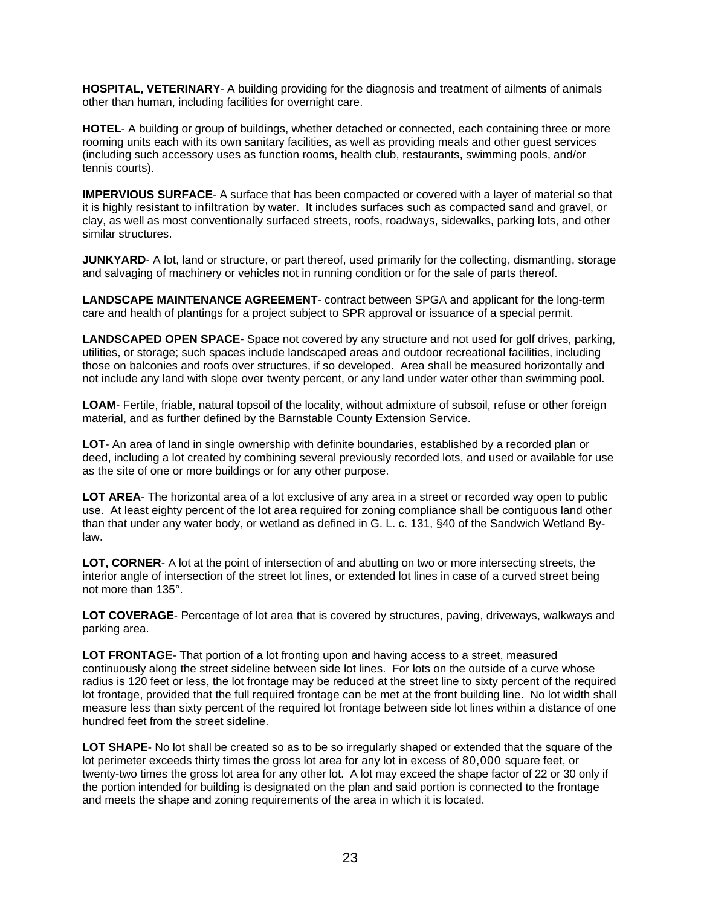**HOSPITAL, VETERINARY**- A building providing for the diagnosis and treatment of ailments of animals other than human, including facilities for overnight care.

**HOTEL**- A building or group of buildings, whether detached or connected, each containing three or more rooming units each with its own sanitary facilities, as well as providing meals and other guest services (including such accessory uses as function rooms, health club, restaurants, swimming pools, and/or tennis courts).

**IMPERVIOUS SURFACE-** A surface that has been compacted or covered with a layer of material so that it is highly resistant to infiltration by water. It includes surfaces such as compacted sand and gravel, or clay, as well as most conventionally surfaced streets, roofs, roadways, sidewalks, parking lots, and other similar structures.

**JUNKYARD**- A lot, land or structure, or part thereof, used primarily for the collecting, dismantling, storage and salvaging of machinery or vehicles not in running condition or for the sale of parts thereof.

**LANDSCAPE MAINTENANCE AGREEMENT**- contract between SPGA and applicant for the long-term care and health of plantings for a project subject to SPR approval or issuance of a special permit.

**LANDSCAPED OPEN SPACE-** Space not covered by any structure and not used for golf drives, parking, utilities, or storage; such spaces include landscaped areas and outdoor recreational facilities, including those on balconies and roofs over structures, if so developed. Area shall be measured horizontally and not include any land with slope over twenty percent, or any land under water other than swimming pool.

**LOAM**- Fertile, friable, natural topsoil of the locality, without admixture of subsoil, refuse or other foreign material, and as further defined by the Barnstable County Extension Service.

**LOT**- An area of land in single ownership with definite boundaries, established by a recorded plan or deed, including a lot created by combining several previously recorded lots, and used or available for use as the site of one or more buildings or for any other purpose.

LOT AREA- The horizontal area of a lot exclusive of any area in a street or recorded way open to public use. At least eighty percent of the lot area required for zoning compliance shall be contiguous land other than that under any water body, or wetland as defined in G. L. c. 131, §40 of the Sandwich Wetland Bylaw.

**LOT, CORNER**- A lot at the point of intersection of and abutting on two or more intersecting streets, the interior angle of intersection of the street lot lines, or extended lot lines in case of a curved street being not more than 135°.

**LOT COVERAGE**- Percentage of lot area that is covered by structures, paving, driveways, walkways and parking area.

**LOT FRONTAGE**- That portion of a lot fronting upon and having access to a street, measured continuously along the street sideline between side lot lines. For lots on the outside of a curve whose radius is 120 feet or less, the lot frontage may be reduced at the street line to sixty percent of the required lot frontage, provided that the full required frontage can be met at the front building line. No lot width shall measure less than sixty percent of the required lot frontage between side lot lines within a distance of one hundred feet from the street sideline.

**LOT SHAPE**- No lot shall be created so as to be so irregularly shaped or extended that the square of the lot perimeter exceeds thirty times the gross lot area for any lot in excess of 80,000 square feet, or twenty-two times the gross lot area for any other lot. A lot may exceed the shape factor of 22 or 30 only if the portion intended for building is designated on the plan and said portion is connected to the frontage and meets the shape and zoning requirements of the area in which it is located.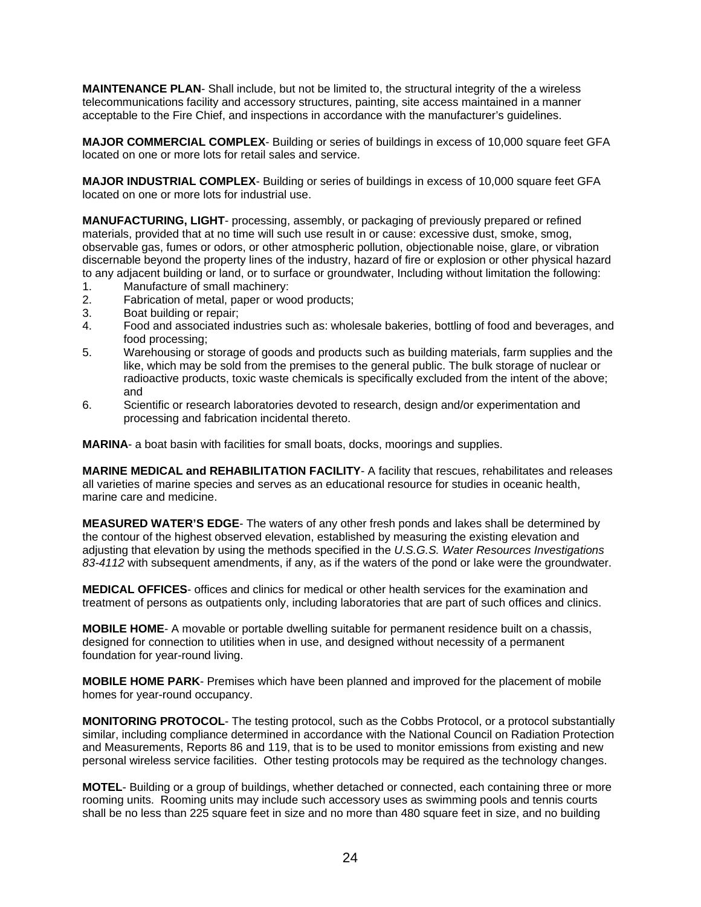**MAINTENANCE PLAN**- Shall include, but not be limited to, the structural integrity of the a wireless telecommunications facility and accessory structures, painting, site access maintained in a manner acceptable to the Fire Chief, and inspections in accordance with the manufacturer's guidelines.

**MAJOR COMMERCIAL COMPLEX**- Building or series of buildings in excess of 10,000 square feet GFA located on one or more lots for retail sales and service.

**MAJOR INDUSTRIAL COMPLEX**- Building or series of buildings in excess of 10,000 square feet GFA located on one or more lots for industrial use.

**MANUFACTURING, LIGHT**- processing, assembly, or packaging of previously prepared or refined materials, provided that at no time will such use result in or cause: excessive dust, smoke, smog, observable gas, fumes or odors, or other atmospheric pollution, objectionable noise, glare, or vibration discernable beyond the property lines of the industry, hazard of fire or explosion or other physical hazard to any adjacent building or land, or to surface or groundwater, Including without limitation the following:

- 1. Manufacture of small machinery:
- 2. Fabrication of metal, paper or wood products;
- 3. Boat building or repair;
- 4. Food and associated industries such as: wholesale bakeries, bottling of food and beverages, and food processing;
- 5. Warehousing or storage of goods and products such as building materials, farm supplies and the like, which may be sold from the premises to the general public. The bulk storage of nuclear or radioactive products, toxic waste chemicals is specifically excluded from the intent of the above; and
- 6. Scientific or research laboratories devoted to research, design and/or experimentation and processing and fabrication incidental thereto.

**MARINA**- a boat basin with facilities for small boats, docks, moorings and supplies.

**MARINE MEDICAL and REHABILITATION FACILITY**- A facility that rescues, rehabilitates and releases all varieties of marine species and serves as an educational resource for studies in oceanic health, marine care and medicine.

**MEASURED WATER'S EDGE**- The waters of any other fresh ponds and lakes shall be determined by the contour of the highest observed elevation, established by measuring the existing elevation and adjusting that elevation by using the methods specified in the *U.S.G.S. Water Resources Investigations 83-4112* with subsequent amendments, if any, as if the waters of the pond or lake were the groundwater.

**MEDICAL OFFICES**- offices and clinics for medical or other health services for the examination and treatment of persons as outpatients only, including laboratories that are part of such offices and clinics.

**MOBILE HOME**- A movable or portable dwelling suitable for permanent residence built on a chassis, designed for connection to utilities when in use, and designed without necessity of a permanent foundation for year-round living.

**MOBILE HOME PARK**- Premises which have been planned and improved for the placement of mobile homes for year-round occupancy.

**MONITORING PROTOCOL**- The testing protocol, such as the Cobbs Protocol, or a protocol substantially similar, including compliance determined in accordance with the National Council on Radiation Protection and Measurements, Reports 86 and 119, that is to be used to monitor emissions from existing and new personal wireless service facilities. Other testing protocols may be required as the technology changes.

**MOTEL**- Building or a group of buildings, whether detached or connected, each containing three or more rooming units. Rooming units may include such accessory uses as swimming pools and tennis courts shall be no less than 225 square feet in size and no more than 480 square feet in size, and no building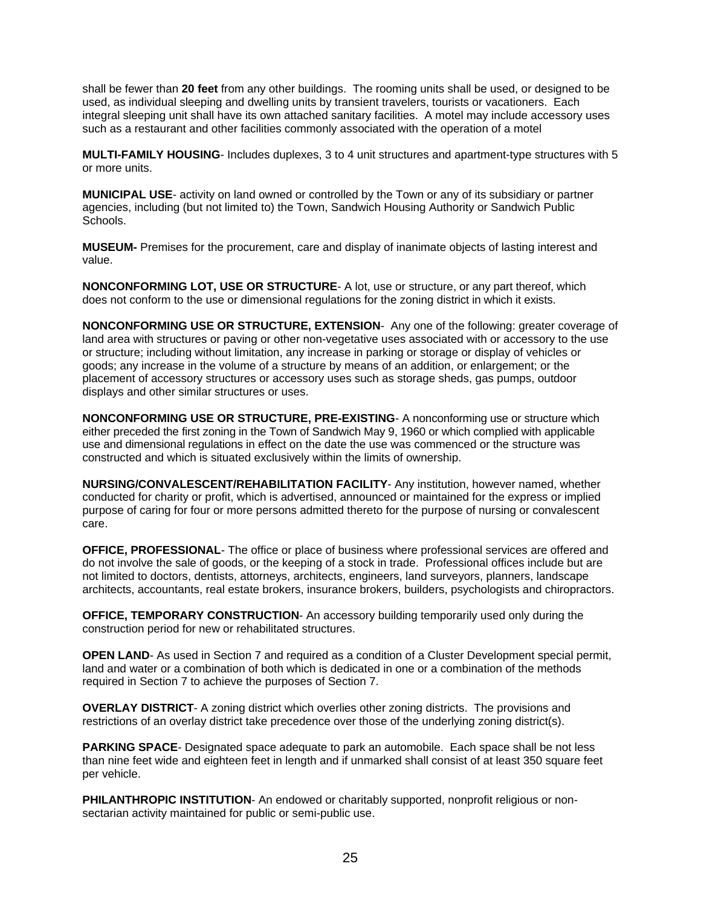shall be fewer than **20 feet** from any other buildings. The rooming units shall be used, or designed to be used, as individual sleeping and dwelling units by transient travelers, tourists or vacationers. Each integral sleeping unit shall have its own attached sanitary facilities. A motel may include accessory uses such as a restaurant and other facilities commonly associated with the operation of a motel

**MULTI-FAMILY HOUSING**- Includes duplexes, 3 to 4 unit structures and apartment-type structures with 5 or more units.

**MUNICIPAL USE**- activity on land owned or controlled by the Town or any of its subsidiary or partner agencies, including (but not limited to) the Town, Sandwich Housing Authority or Sandwich Public Schools.

**MUSEUM-** Premises for the procurement, care and display of inanimate objects of lasting interest and value.

**NONCONFORMING LOT, USE OR STRUCTURE**- A lot, use or structure, or any part thereof, which does not conform to the use or dimensional regulations for the zoning district in which it exists.

**NONCONFORMING USE OR STRUCTURE, EXTENSION**- Any one of the following: greater coverage of land area with structures or paving or other non-vegetative uses associated with or accessory to the use or structure; including without limitation, any increase in parking or storage or display of vehicles or goods; any increase in the volume of a structure by means of an addition, or enlargement; or the placement of accessory structures or accessory uses such as storage sheds, gas pumps, outdoor displays and other similar structures or uses.

**NONCONFORMING USE OR STRUCTURE, PRE-EXISTING**- A nonconforming use or structure which either preceded the first zoning in the Town of Sandwich May 9, 1960 or which complied with applicable use and dimensional regulations in effect on the date the use was commenced or the structure was constructed and which is situated exclusively within the limits of ownership.

**NURSING/CONVALESCENT/REHABILITATION FACILITY**- Any institution, however named, whether conducted for charity or profit, which is advertised, announced or maintained for the express or implied purpose of caring for four or more persons admitted thereto for the purpose of nursing or convalescent care.

**OFFICE, PROFESSIONAL**- The office or place of business where professional services are offered and do not involve the sale of goods, or the keeping of a stock in trade. Professional offices include but are not limited to doctors, dentists, attorneys, architects, engineers, land surveyors, planners, landscape architects, accountants, real estate brokers, insurance brokers, builders, psychologists and chiropractors.

**OFFICE, TEMPORARY CONSTRUCTION**- An accessory building temporarily used only during the construction period for new or rehabilitated structures.

**OPEN LAND-** As used in Section 7 and required as a condition of a Cluster Development special permit, land and water or a combination of both which is dedicated in one or a combination of the methods required in Section 7 to achieve the purposes of Section 7.

**OVERLAY DISTRICT**- A zoning district which overlies other zoning districts. The provisions and restrictions of an overlay district take precedence over those of the underlying zoning district(s).

**PARKING SPACE**- Designated space adequate to park an automobile. Each space shall be not less than nine feet wide and eighteen feet in length and if unmarked shall consist of at least 350 square feet per vehicle.

**PHILANTHROPIC INSTITUTION**- An endowed or charitably supported, nonprofit religious or nonsectarian activity maintained for public or semi-public use.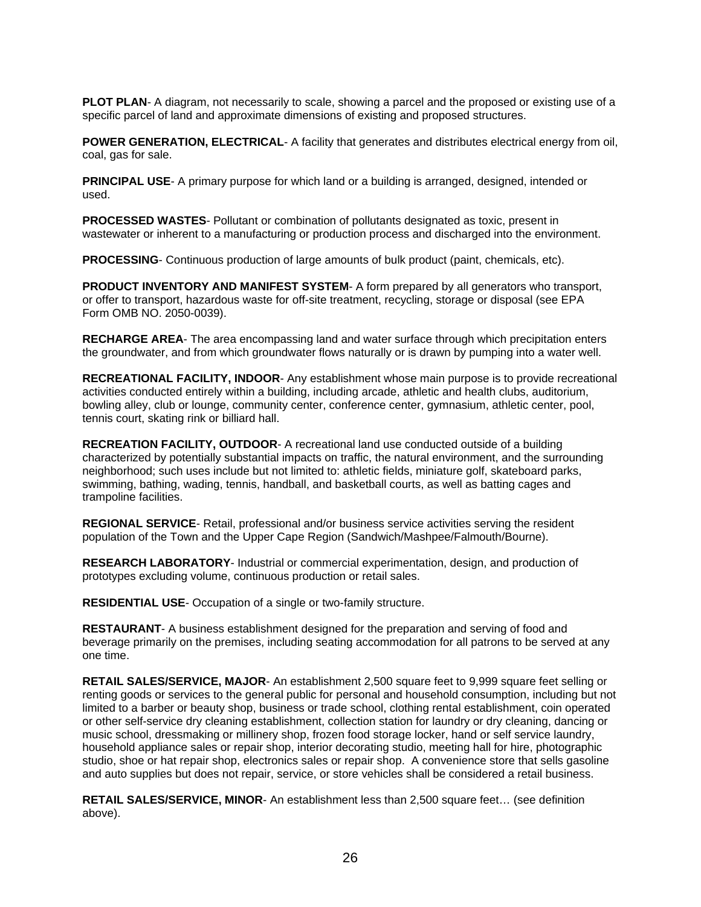**PLOT PLAN-** A diagram, not necessarily to scale, showing a parcel and the proposed or existing use of a specific parcel of land and approximate dimensions of existing and proposed structures.

**POWER GENERATION, ELECTRICAL-** A facility that generates and distributes electrical energy from oil, coal, gas for sale.

**PRINCIPAL USE-** A primary purpose for which land or a building is arranged, designed, intended or used.

**PROCESSED WASTES**- Pollutant or combination of pollutants designated as toxic, present in wastewater or inherent to a manufacturing or production process and discharged into the environment.

**PROCESSING**- Continuous production of large amounts of bulk product (paint, chemicals, etc).

**PRODUCT INVENTORY AND MANIFEST SYSTEM**- A form prepared by all generators who transport, or offer to transport, hazardous waste for off-site treatment, recycling, storage or disposal (see EPA Form OMB NO. 2050-0039).

**RECHARGE AREA**- The area encompassing land and water surface through which precipitation enters the groundwater, and from which groundwater flows naturally or is drawn by pumping into a water well.

**RECREATIONAL FACILITY, INDOOR**- Any establishment whose main purpose is to provide recreational activities conducted entirely within a building, including arcade, athletic and health clubs, auditorium, bowling alley, club or lounge, community center, conference center, gymnasium, athletic center, pool, tennis court, skating rink or billiard hall.

**RECREATION FACILITY, OUTDOOR**- A recreational land use conducted outside of a building characterized by potentially substantial impacts on traffic, the natural environment, and the surrounding neighborhood; such uses include but not limited to: athletic fields, miniature golf, skateboard parks, swimming, bathing, wading, tennis, handball, and basketball courts, as well as batting cages and trampoline facilities.

**REGIONAL SERVICE**- Retail, professional and/or business service activities serving the resident population of the Town and the Upper Cape Region (Sandwich/Mashpee/Falmouth/Bourne).

**RESEARCH LABORATORY**- Industrial or commercial experimentation, design, and production of prototypes excluding volume, continuous production or retail sales.

**RESIDENTIAL USE**- Occupation of a single or two-family structure.

**RESTAURANT**- A business establishment designed for the preparation and serving of food and beverage primarily on the premises, including seating accommodation for all patrons to be served at any one time.

**RETAIL SALES/SERVICE, MAJOR**- An establishment 2,500 square feet to 9,999 square feet selling or renting goods or services to the general public for personal and household consumption, including but not limited to a barber or beauty shop, business or trade school, clothing rental establishment, coin operated or other self-service dry cleaning establishment, collection station for laundry or dry cleaning, dancing or music school, dressmaking or millinery shop, frozen food storage locker, hand or self service laundry, household appliance sales or repair shop, interior decorating studio, meeting hall for hire, photographic studio, shoe or hat repair shop, electronics sales or repair shop. A convenience store that sells gasoline and auto supplies but does not repair, service, or store vehicles shall be considered a retail business.

**RETAIL SALES/SERVICE, MINOR**- An establishment less than 2,500 square feet… (see definition above).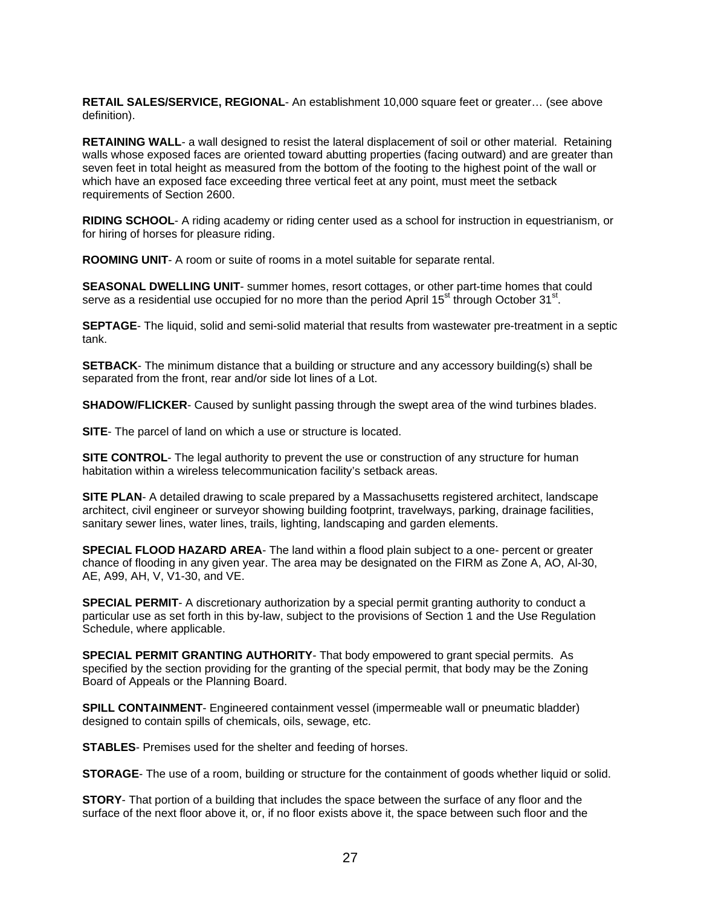**RETAIL SALES/SERVICE, REGIONAL**- An establishment 10,000 square feet or greater… (see above definition).

**RETAINING WALL**- a wall designed to resist the lateral displacement of soil or other material. Retaining walls whose exposed faces are oriented toward abutting properties (facing outward) and are greater than seven feet in total height as measured from the bottom of the footing to the highest point of the wall or which have an exposed face exceeding three vertical feet at any point, must meet the setback requirements of Section 2600.

**RIDING SCHOOL**- A riding academy or riding center used as a school for instruction in equestrianism, or for hiring of horses for pleasure riding.

**ROOMING UNIT**- A room or suite of rooms in a motel suitable for separate rental.

**SEASONAL DWELLING UNIT**- summer homes, resort cottages, or other part-time homes that could serve as a residential use occupied for no more than the period April 15<sup>st</sup> through October 31<sup>st</sup>.

**SEPTAGE**- The liquid, solid and semi-solid material that results from wastewater pre-treatment in a septic tank.

**SETBACK**- The minimum distance that a building or structure and any accessory building(s) shall be separated from the front, rear and/or side lot lines of a Lot.

**SHADOW/FLICKER**- Caused by sunlight passing through the swept area of the wind turbines blades.

**SITE**- The parcel of land on which a use or structure is located.

**SITE CONTROL**- The legal authority to prevent the use or construction of any structure for human habitation within a wireless telecommunication facility's setback areas.

**SITE PLAN**- A detailed drawing to scale prepared by a Massachusetts registered architect, landscape architect, civil engineer or surveyor showing building footprint, travelways, parking, drainage facilities, sanitary sewer lines, water lines, trails, lighting, landscaping and garden elements.

**SPECIAL FLOOD HAZARD AREA-** The land within a flood plain subject to a one- percent or greater chance of flooding in any given year. The area may be designated on the FIRM as Zone A, AO, Al-30, AE, A99, AH, V, V1-30, and VE.

**SPECIAL PERMIT**- A discretionary authorization by a special permit granting authority to conduct a particular use as set forth in this by-law, subject to the provisions of Section 1 and the Use Regulation Schedule, where applicable.

**SPECIAL PERMIT GRANTING AUTHORITY**- That body empowered to grant special permits. As specified by the section providing for the granting of the special permit, that body may be the Zoning Board of Appeals or the Planning Board.

**SPILL CONTAINMENT**- Engineered containment vessel (impermeable wall or pneumatic bladder) designed to contain spills of chemicals, oils, sewage, etc.

**STABLES**- Premises used for the shelter and feeding of horses.

**STORAGE**- The use of a room, building or structure for the containment of goods whether liquid or solid.

**STORY**- That portion of a building that includes the space between the surface of any floor and the surface of the next floor above it, or, if no floor exists above it, the space between such floor and the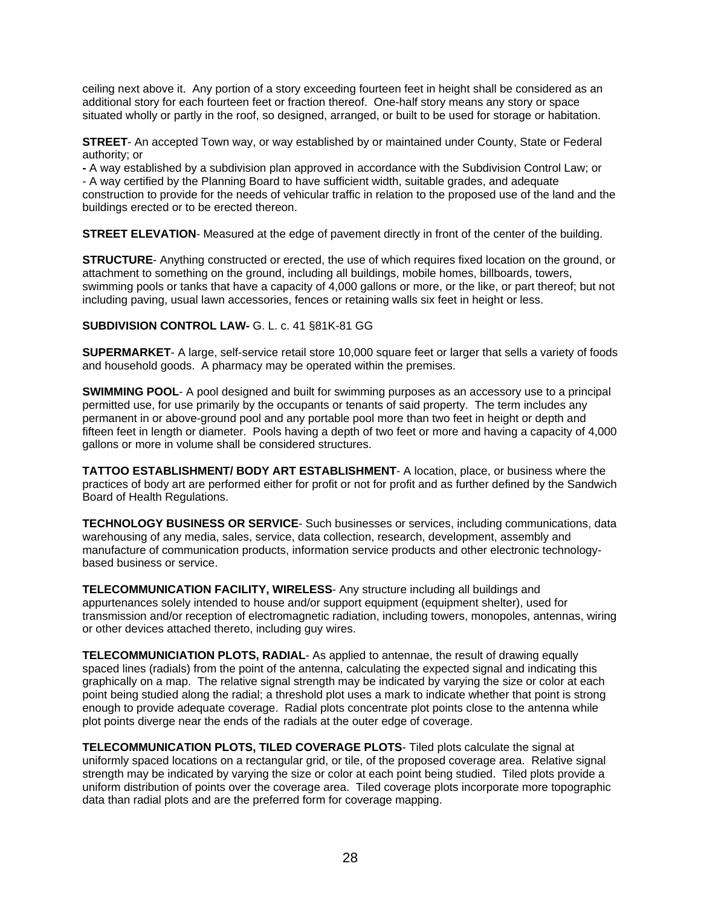ceiling next above it. Any portion of a story exceeding fourteen feet in height shall be considered as an additional story for each fourteen feet or fraction thereof. One-half story means any story or space situated wholly or partly in the roof, so designed, arranged, or built to be used for storage or habitation.

**STREET**- An accepted Town way, or way established by or maintained under County, State or Federal authority; or

**-** A way established by a subdivision plan approved in accordance with the Subdivision Control Law; or - A way certified by the Planning Board to have sufficient width, suitable grades, and adequate construction to provide for the needs of vehicular traffic in relation to the proposed use of the land and the buildings erected or to be erected thereon.

**STREET ELEVATION-** Measured at the edge of pavement directly in front of the center of the building.

**STRUCTURE**- Anything constructed or erected, the use of which requires fixed location on the ground, or attachment to something on the ground, including all buildings, mobile homes, billboards, towers, swimming pools or tanks that have a capacity of 4,000 gallons or more, or the like, or part thereof; but not including paving, usual lawn accessories, fences or retaining walls six feet in height or less.

#### **SUBDIVISION CONTROL LAW-** G. L. c. 41 §81K-81 GG

**SUPERMARKET**- A large, self-service retail store 10,000 square feet or larger that sells a variety of foods and household goods. A pharmacy may be operated within the premises.

**SWIMMING POOL**- A pool designed and built for swimming purposes as an accessory use to a principal permitted use, for use primarily by the occupants or tenants of said property. The term includes any permanent in or above-ground pool and any portable pool more than two feet in height or depth and fifteen feet in length or diameter. Pools having a depth of two feet or more and having a capacity of 4,000 gallons or more in volume shall be considered structures.

**TATTOO ESTABLISHMENT/ BODY ART ESTABLISHMENT**- A location, place, or business where the practices of body art are performed either for profit or not for profit and as further defined by the Sandwich Board of Health Regulations.

**TECHNOLOGY BUSINESS OR SERVICE**- Such businesses or services, including communications, data warehousing of any media, sales, service, data collection, research, development, assembly and manufacture of communication products, information service products and other electronic technologybased business or service.

**TELECOMMUNICATION FACILITY, WIRELESS**- Any structure including all buildings and appurtenances solely intended to house and/or support equipment (equipment shelter), used for transmission and/or reception of electromagnetic radiation, including towers, monopoles, antennas, wiring or other devices attached thereto, including guy wires.

**TELECOMMUNICIATION PLOTS, RADIAL**- As applied to antennae, the result of drawing equally spaced lines (radials) from the point of the antenna, calculating the expected signal and indicating this graphically on a map. The relative signal strength may be indicated by varying the size or color at each point being studied along the radial; a threshold plot uses a mark to indicate whether that point is strong enough to provide adequate coverage. Radial plots concentrate plot points close to the antenna while plot points diverge near the ends of the radials at the outer edge of coverage.

**TELECOMMUNICATION PLOTS, TILED COVERAGE PLOTS**- Tiled plots calculate the signal at uniformly spaced locations on a rectangular grid, or tile, of the proposed coverage area. Relative signal strength may be indicated by varying the size or color at each point being studied. Tiled plots provide a uniform distribution of points over the coverage area. Tiled coverage plots incorporate more topographic data than radial plots and are the preferred form for coverage mapping.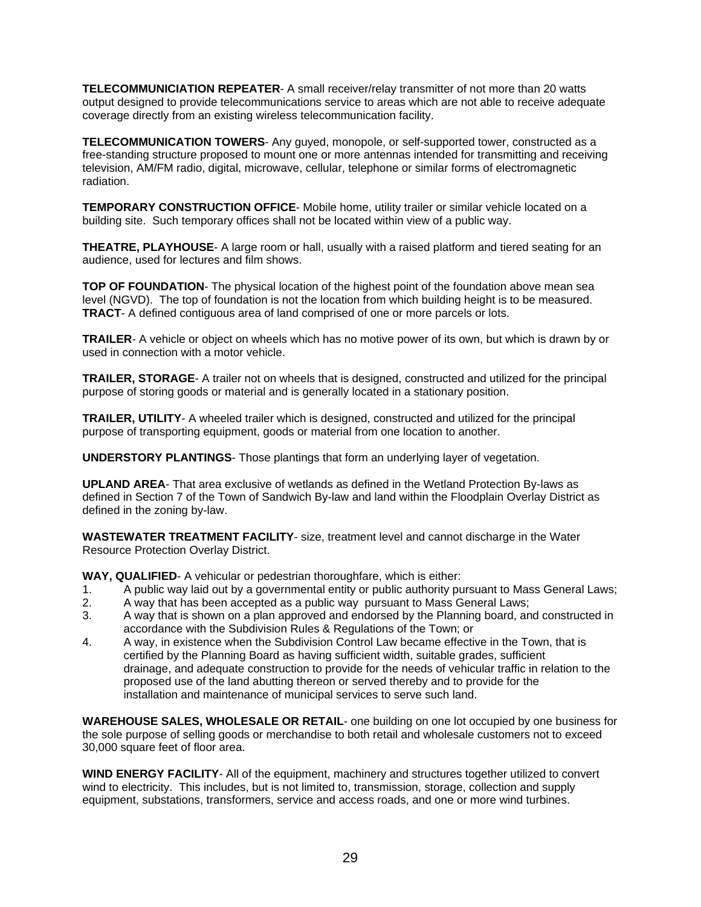**TELECOMMUNICIATION REPEATER**- A small receiver/relay transmitter of not more than 20 watts output designed to provide telecommunications service to areas which are not able to receive adequate coverage directly from an existing wireless telecommunication facility.

**TELECOMMUNICATION TOWERS**- Any guyed, monopole, or self-supported tower, constructed as a free-standing structure proposed to mount one or more antennas intended for transmitting and receiving television, AM/FM radio, digital, microwave, cellular, telephone or similar forms of electromagnetic radiation.

**TEMPORARY CONSTRUCTION OFFICE**- Mobile home, utility trailer or similar vehicle located on a building site. Such temporary offices shall not be located within view of a public way.

**THEATRE, PLAYHOUSE**- A large room or hall, usually with a raised platform and tiered seating for an audience, used for lectures and film shows.

**TOP OF FOUNDATION**- The physical location of the highest point of the foundation above mean sea level (NGVD). The top of foundation is not the location from which building height is to be measured. **TRACT**- A defined contiguous area of land comprised of one or more parcels or lots.

**TRAILER**- A vehicle or object on wheels which has no motive power of its own, but which is drawn by or used in connection with a motor vehicle.

**TRAILER, STORAGE**- A trailer not on wheels that is designed, constructed and utilized for the principal purpose of storing goods or material and is generally located in a stationary position.

**TRAILER, UTILITY**- A wheeled trailer which is designed, constructed and utilized for the principal purpose of transporting equipment, goods or material from one location to another.

**UNDERSTORY PLANTINGS**- Those plantings that form an underlying layer of vegetation.

**UPLAND AREA**- That area exclusive of wetlands as defined in the Wetland Protection By-laws as defined in Section 7 of the Town of Sandwich By-law and land within the Floodplain Overlay District as defined in the zoning by-law.

**WASTEWATER TREATMENT FACILITY**- size, treatment level and cannot discharge in the Water Resource Protection Overlay District.

**WAY, QUALIFIED**- A vehicular or pedestrian thoroughfare, which is either:

- 1. A public way laid out by a governmental entity or public authority pursuant to Mass General Laws;
- 2. A way that has been accepted as a public way pursuant to Mass General Laws;
- 3. A way that is shown on a plan approved and endorsed by the Planning board, and constructed in accordance with the Subdivision Rules & Regulations of the Town; or
- 4. A way, in existence when the Subdivision Control Law became effective in the Town, that is certified by the Planning Board as having sufficient width, suitable grades, sufficient drainage, and adequate construction to provide for the needs of vehicular traffic in relation to the proposed use of the land abutting thereon or served thereby and to provide for the installation and maintenance of municipal services to serve such land.

**WAREHOUSE SALES, WHOLESALE OR RETAIL**- one building on one lot occupied by one business for the sole purpose of selling goods or merchandise to both retail and wholesale customers not to exceed 30,000 square feet of floor area.

**WIND ENERGY FACILITY**- All of the equipment, machinery and structures together utilized to convert wind to electricity. This includes, but is not limited to, transmission, storage, collection and supply equipment, substations, transformers, service and access roads, and one or more wind turbines.